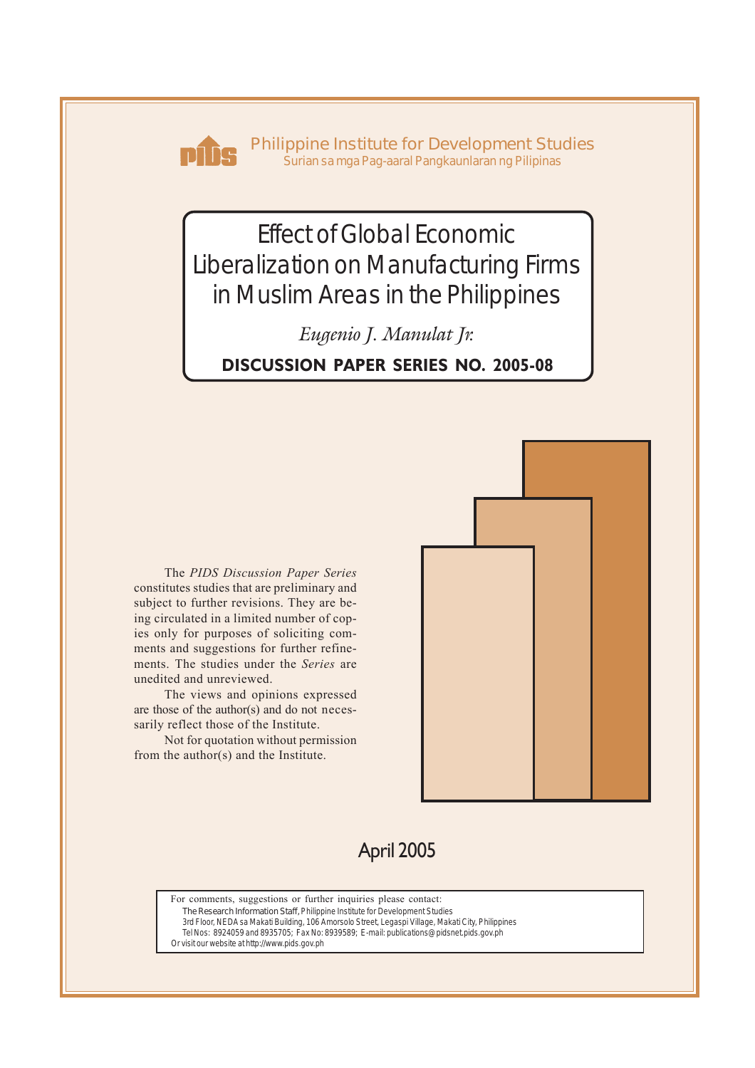

**Philippine Institute for Development Studies** *Surian sa mga Pag-aaral Pangkaunlaran ng Pilipinas*

# Effect of Global Economic Liberalization on Manufacturing Firms in Muslim Areas in the Philippines

*Eugenio J. Manulat Jr.*

**DISCUSSION PAPER SERIES NO. 2005-08**

The *PIDS Discussion Paper Series* constitutes studies that are preliminary and subject to further revisions. They are being circulated in a limited number of copies only for purposes of soliciting comments and suggestions for further refinements. The studies under the *Series* are unedited and unreviewed.

The views and opinions expressed are those of the author(s) and do not necessarily reflect those of the Institute.

Not for quotation without permission from the author(s) and the Institute.



## April 2005

For comments, suggestions or further inquiries please contact: **The Research Information Staff,** Philippine Institute for Development Studies

3rd Floor, NEDA sa Makati Building, 106 Amorsolo Street, Legaspi Village, Makati City, Philippines

Tel Nos: 8924059 and 8935705; Fax No: 8939589; E-mail: publications@pidsnet.pids.gov.ph

Or visit our website at http://www.pids.gov.ph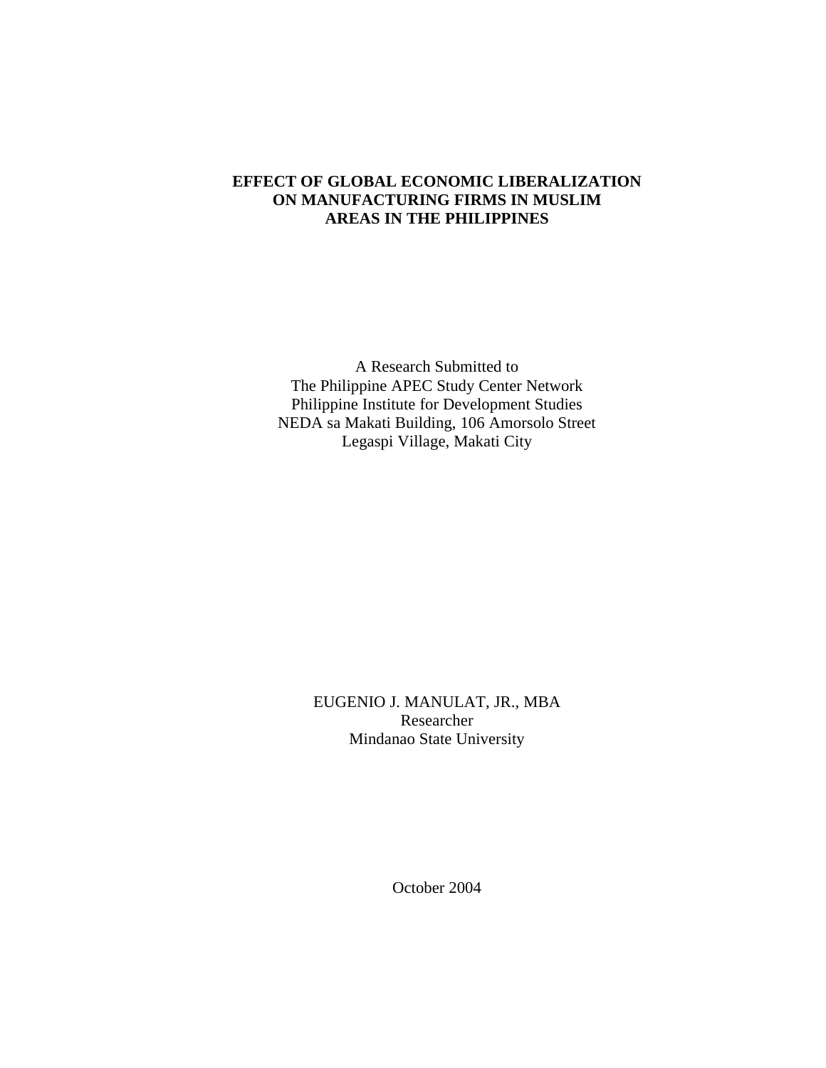## **EFFECT OF GLOBAL ECONOMIC LIBERALIZATION ON MANUFACTURING FIRMS IN MUSLIM AREAS IN THE PHILIPPINES**

A Research Submitted to The Philippine APEC Study Center Network Philippine Institute for Development Studies NEDA sa Makati Building, 106 Amorsolo Street Legaspi Village, Makati City

> EUGENIO J. MANULAT, JR., MBA Researcher Mindanao State University

> > October 2004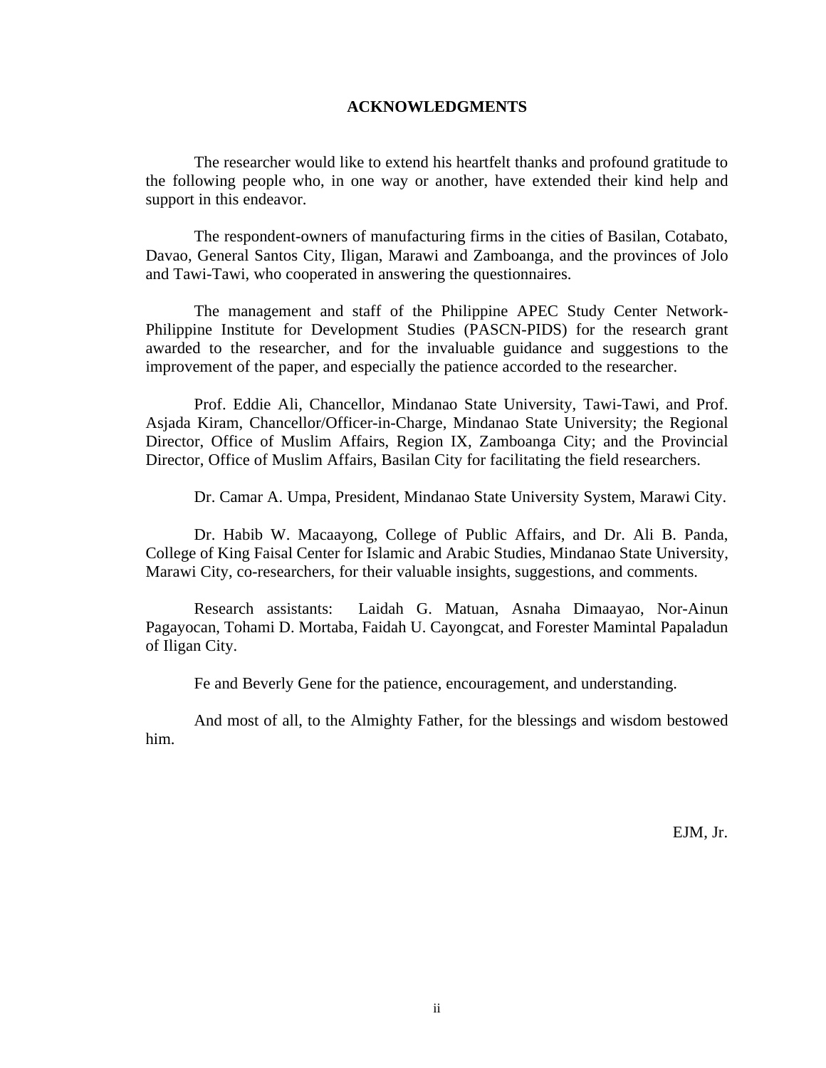#### **ACKNOWLEDGMENTS**

 The researcher would like to extend his heartfelt thanks and profound gratitude to the following people who, in one way or another, have extended their kind help and support in this endeavor.

 The respondent-owners of manufacturing firms in the cities of Basilan, Cotabato, Davao, General Santos City, Iligan, Marawi and Zamboanga, and the provinces of Jolo and Tawi-Tawi, who cooperated in answering the questionnaires.

 The management and staff of the Philippine APEC Study Center Network-Philippine Institute for Development Studies (PASCN-PIDS) for the research grant awarded to the researcher, and for the invaluable guidance and suggestions to the improvement of the paper, and especially the patience accorded to the researcher.

 Prof. Eddie Ali, Chancellor, Mindanao State University, Tawi-Tawi, and Prof. Asjada Kiram, Chancellor/Officer-in-Charge, Mindanao State University; the Regional Director, Office of Muslim Affairs, Region IX, Zamboanga City; and the Provincial Director, Office of Muslim Affairs, Basilan City for facilitating the field researchers.

Dr. Camar A. Umpa, President, Mindanao State University System, Marawi City.

 Dr. Habib W. Macaayong, College of Public Affairs, and Dr. Ali B. Panda, College of King Faisal Center for Islamic and Arabic Studies, Mindanao State University, Marawi City, co-researchers, for their valuable insights, suggestions, and comments.

 Research assistants: Laidah G. Matuan, Asnaha Dimaayao, Nor-Ainun Pagayocan, Tohami D. Mortaba, Faidah U. Cayongcat, and Forester Mamintal Papaladun of Iligan City.

Fe and Beverly Gene for the patience, encouragement, and understanding.

 And most of all, to the Almighty Father, for the blessings and wisdom bestowed him.

EJM, Jr.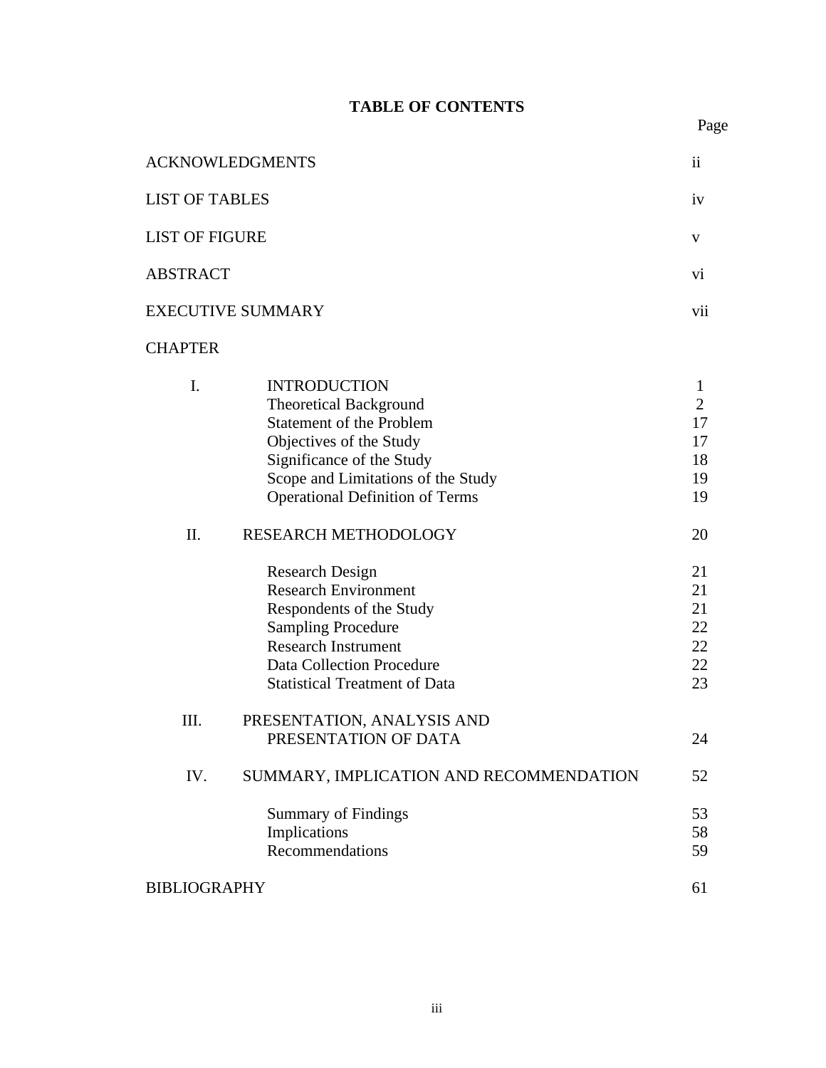## **TABLE OF CONTENTS**

Page **Page** 

| <b>ACKNOWLEDGMENTS</b> |                                                                                                                                                                                                                                 |                                                   |  |  |
|------------------------|---------------------------------------------------------------------------------------------------------------------------------------------------------------------------------------------------------------------------------|---------------------------------------------------|--|--|
| <b>LIST OF TABLES</b>  |                                                                                                                                                                                                                                 |                                                   |  |  |
| LIST OF FIGURE         |                                                                                                                                                                                                                                 |                                                   |  |  |
| <b>ABSTRACT</b>        |                                                                                                                                                                                                                                 | vi                                                |  |  |
|                        | <b>EXECUTIVE SUMMARY</b>                                                                                                                                                                                                        | vii                                               |  |  |
| <b>CHAPTER</b>         |                                                                                                                                                                                                                                 |                                                   |  |  |
| I.                     | <b>INTRODUCTION</b><br><b>Theoretical Background</b><br><b>Statement of the Problem</b><br>Objectives of the Study<br>Significance of the Study<br>Scope and Limitations of the Study<br><b>Operational Definition of Terms</b> | 1<br>$\overline{2}$<br>17<br>17<br>18<br>19<br>19 |  |  |
| II.                    | RESEARCH METHODOLOGY                                                                                                                                                                                                            | 20                                                |  |  |
|                        | <b>Research Design</b><br><b>Research Environment</b><br>Respondents of the Study<br><b>Sampling Procedure</b><br><b>Research Instrument</b><br><b>Data Collection Procedure</b><br><b>Statistical Treatment of Data</b>        | 21<br>21<br>21<br>22<br>22<br>22<br>23            |  |  |
| III.                   | PRESENTATION, ANALYSIS AND<br>PRESENTATION OF DATA                                                                                                                                                                              | 24                                                |  |  |
| IV.                    | SUMMARY, IMPLICATION AND RECOMMENDATION                                                                                                                                                                                         | 52                                                |  |  |
|                        | <b>Summary of Findings</b><br>Implications<br>Recommendations                                                                                                                                                                   | 53<br>58<br>59                                    |  |  |
| <b>BIBLIOGRAPHY</b>    |                                                                                                                                                                                                                                 | 61                                                |  |  |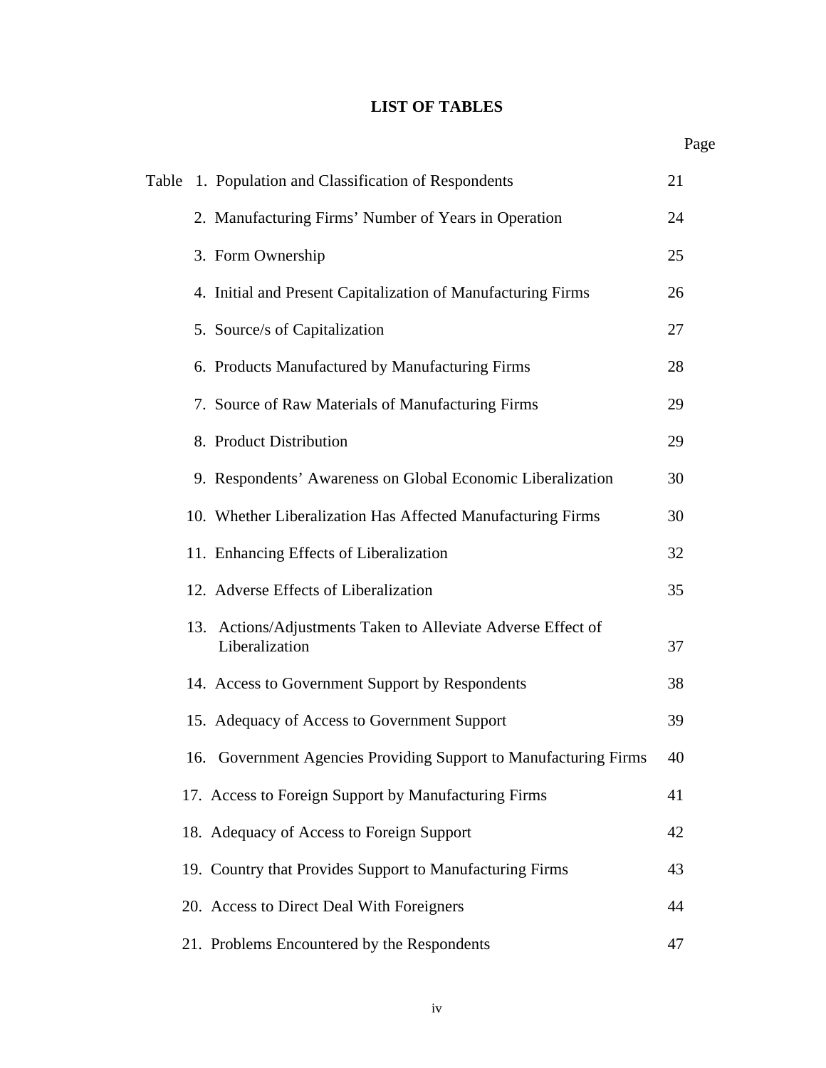## **LIST OF TABLES**

|     | Table 1. Population and Classification of Respondents                          | 21 |
|-----|--------------------------------------------------------------------------------|----|
|     | 2. Manufacturing Firms' Number of Years in Operation                           | 24 |
|     | 3. Form Ownership                                                              | 25 |
|     | 4. Initial and Present Capitalization of Manufacturing Firms                   | 26 |
|     | 5. Source/s of Capitalization                                                  | 27 |
|     | 6. Products Manufactured by Manufacturing Firms                                | 28 |
|     | 7. Source of Raw Materials of Manufacturing Firms                              | 29 |
|     | 8. Product Distribution                                                        | 29 |
|     | 9. Respondents' Awareness on Global Economic Liberalization                    | 30 |
|     | 10. Whether Liberalization Has Affected Manufacturing Firms                    | 30 |
|     | 11. Enhancing Effects of Liberalization                                        | 32 |
|     | 12. Adverse Effects of Liberalization                                          | 35 |
|     | 13. Actions/Adjustments Taken to Alleviate Adverse Effect of<br>Liberalization | 37 |
|     | 14. Access to Government Support by Respondents                                | 38 |
|     | 15. Adequacy of Access to Government Support                                   | 39 |
| 16. | Government Agencies Providing Support to Manufacturing Firms                   | 40 |
|     | 17. Access to Foreign Support by Manufacturing Firms                           | 41 |
|     | 18. Adequacy of Access to Foreign Support                                      | 42 |
|     | 19. Country that Provides Support to Manufacturing Firms                       | 43 |
|     | 20. Access to Direct Deal With Foreigners                                      | 44 |
|     | 21. Problems Encountered by the Respondents                                    | 47 |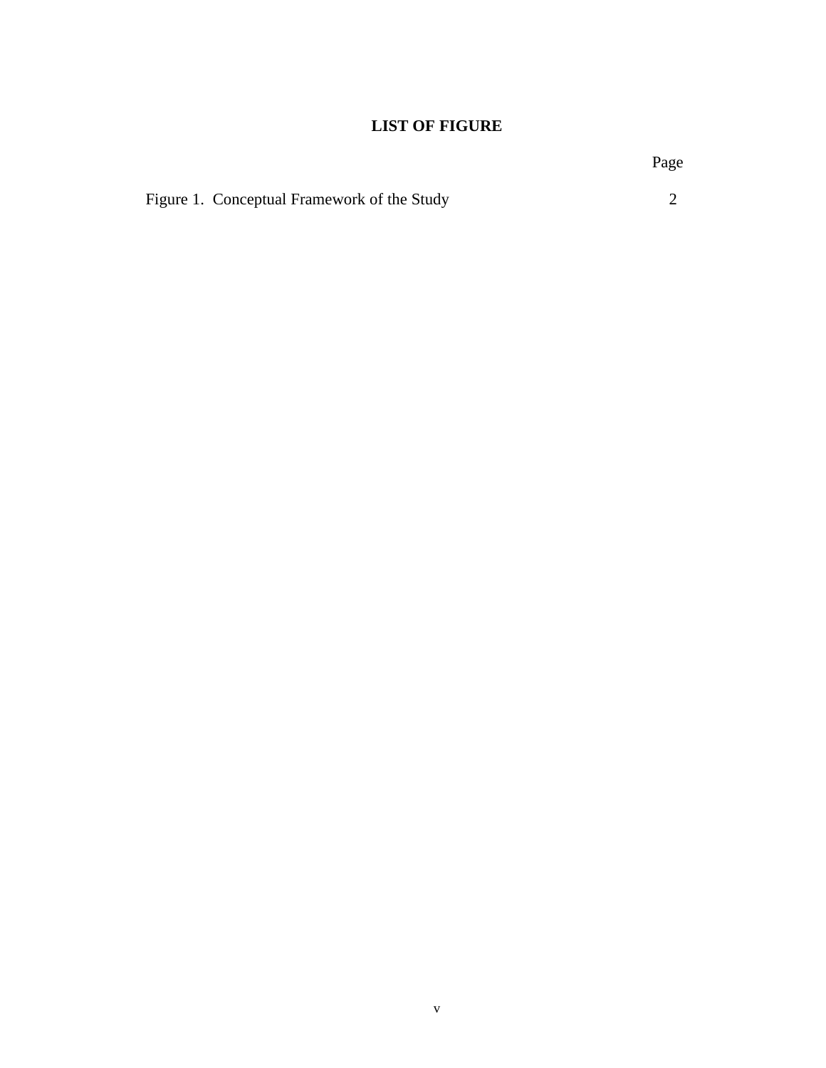## **LIST OF FIGURE**

Page **Page**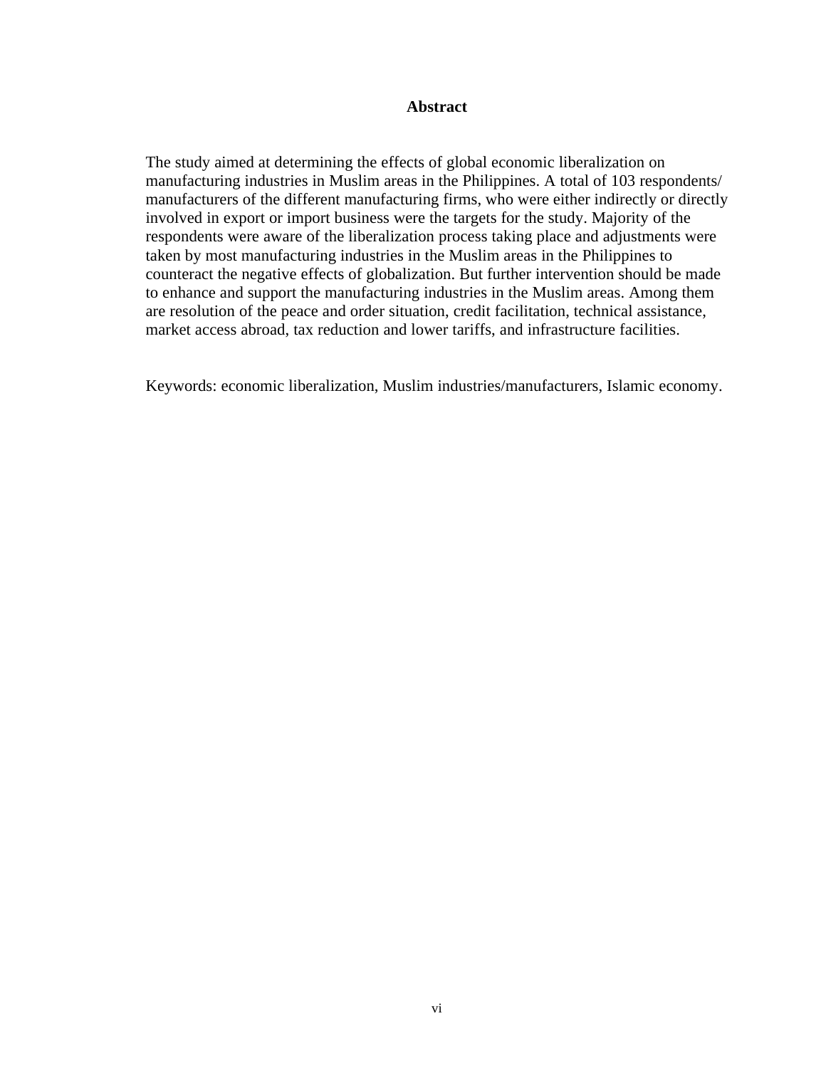#### **Abstract**

The study aimed at determining the effects of global economic liberalization on manufacturing industries in Muslim areas in the Philippines. A total of 103 respondents/ manufacturers of the different manufacturing firms, who were either indirectly or directly involved in export or import business were the targets for the study. Majority of the respondents were aware of the liberalization process taking place and adjustments were taken by most manufacturing industries in the Muslim areas in the Philippines to counteract the negative effects of globalization. But further intervention should be made to enhance and support the manufacturing industries in the Muslim areas. Among them are resolution of the peace and order situation, credit facilitation, technical assistance, market access abroad, tax reduction and lower tariffs, and infrastructure facilities.

Keywords: economic liberalization, Muslim industries/manufacturers, Islamic economy.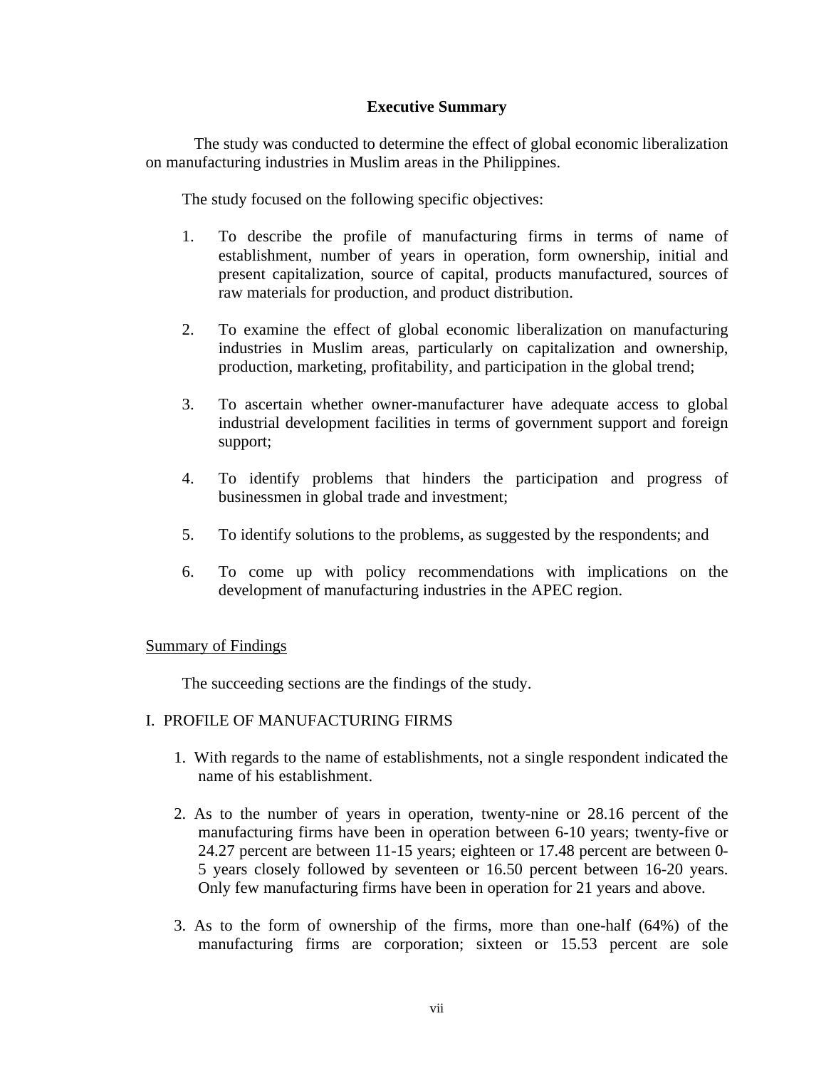## **Executive Summary**

The study was conducted to determine the effect of global economic liberalization on manufacturing industries in Muslim areas in the Philippines.

The study focused on the following specific objectives:

- 1. To describe the profile of manufacturing firms in terms of name of establishment, number of years in operation, form ownership, initial and present capitalization, source of capital, products manufactured, sources of raw materials for production, and product distribution.
- 2. To examine the effect of global economic liberalization on manufacturing industries in Muslim areas, particularly on capitalization and ownership, production, marketing, profitability, and participation in the global trend;
- 3. To ascertain whether owner-manufacturer have adequate access to global industrial development facilities in terms of government support and foreign support;
- 4. To identify problems that hinders the participation and progress of businessmen in global trade and investment;
- 5. To identify solutions to the problems, as suggested by the respondents; and
- 6. To come up with policy recommendations with implications on the development of manufacturing industries in the APEC region.

## Summary of Findings

The succeeding sections are the findings of the study.

## I. PROFILE OF MANUFACTURING FIRMS

- 1. With regards to the name of establishments, not a single respondent indicated the name of his establishment.
- 2. As to the number of years in operation, twenty-nine or 28.16 percent of the manufacturing firms have been in operation between 6-10 years; twenty-five or 24.27 percent are between 11-15 years; eighteen or 17.48 percent are between 0- 5 years closely followed by seventeen or 16.50 percent between 16-20 years. Only few manufacturing firms have been in operation for 21 years and above.
- 3. As to the form of ownership of the firms, more than one-half (64%) of the manufacturing firms are corporation; sixteen or 15.53 percent are sole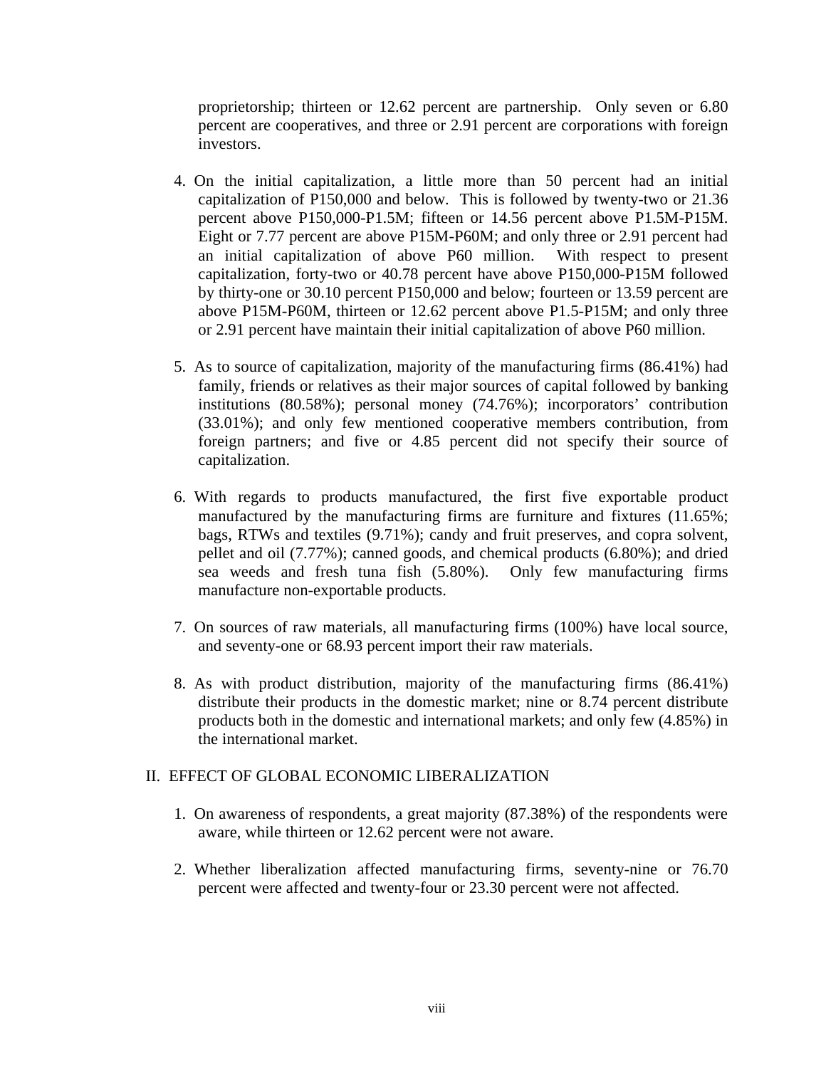proprietorship; thirteen or 12.62 percent are partnership. Only seven or 6.80 percent are cooperatives, and three or 2.91 percent are corporations with foreign investors.

- 4. On the initial capitalization, a little more than 50 percent had an initial capitalization of P150,000 and below. This is followed by twenty-two or 21.36 percent above P150,000-P1.5M; fifteen or 14.56 percent above P1.5M-P15M. Eight or 7.77 percent are above P15M-P60M; and only three or 2.91 percent had an initial capitalization of above P60 million. With respect to present capitalization, forty-two or 40.78 percent have above P150,000-P15M followed by thirty-one or 30.10 percent P150,000 and below; fourteen or 13.59 percent are above P15M-P60M, thirteen or 12.62 percent above P1.5-P15M; and only three or 2.91 percent have maintain their initial capitalization of above P60 million.
- 5. As to source of capitalization, majority of the manufacturing firms (86.41%) had family, friends or relatives as their major sources of capital followed by banking institutions (80.58%); personal money (74.76%); incorporators' contribution (33.01%); and only few mentioned cooperative members contribution, from foreign partners; and five or 4.85 percent did not specify their source of capitalization.
- 6. With regards to products manufactured, the first five exportable product manufactured by the manufacturing firms are furniture and fixtures (11.65%; bags, RTWs and textiles (9.71%); candy and fruit preserves, and copra solvent, pellet and oil (7.77%); canned goods, and chemical products (6.80%); and dried sea weeds and fresh tuna fish (5.80%). Only few manufacturing firms manufacture non-exportable products.
- 7. On sources of raw materials, all manufacturing firms (100%) have local source, and seventy-one or 68.93 percent import their raw materials.
- 8. As with product distribution, majority of the manufacturing firms (86.41%) distribute their products in the domestic market; nine or 8.74 percent distribute products both in the domestic and international markets; and only few (4.85%) in the international market.

## II. EFFECT OF GLOBAL ECONOMIC LIBERALIZATION

- 1. On awareness of respondents, a great majority (87.38%) of the respondents were aware, while thirteen or 12.62 percent were not aware.
- 2. Whether liberalization affected manufacturing firms, seventy-nine or 76.70 percent were affected and twenty-four or 23.30 percent were not affected.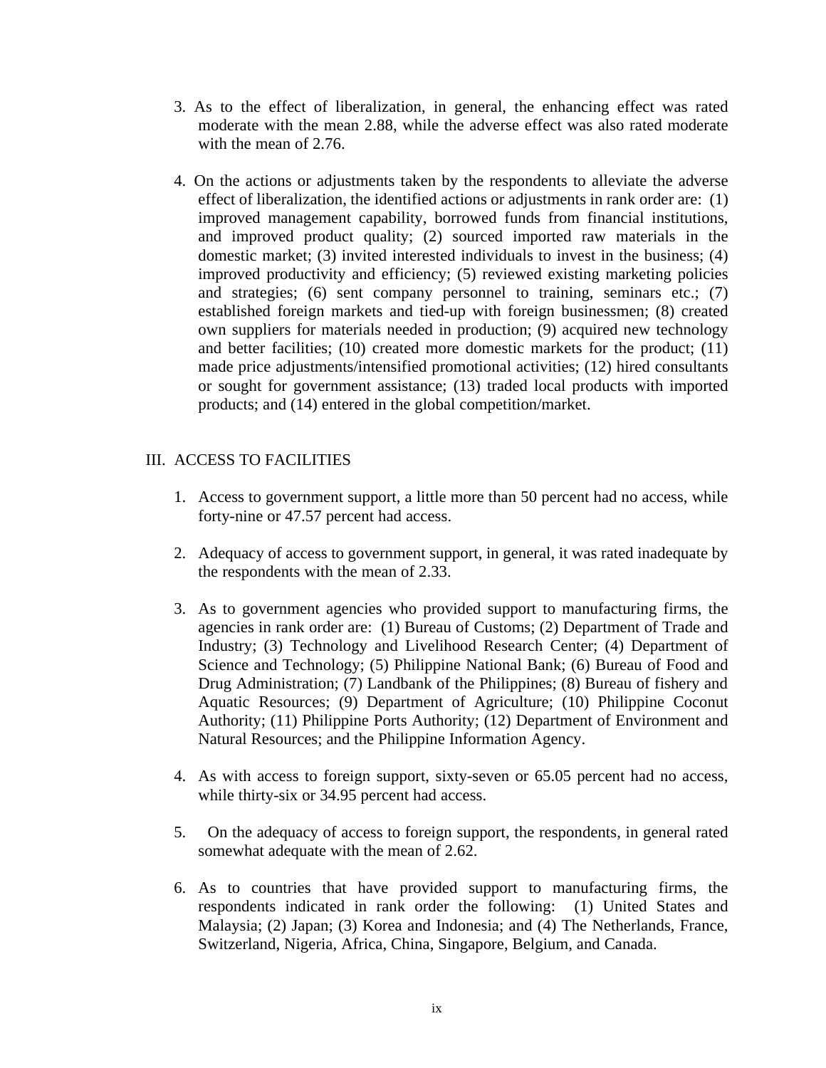- 3. As to the effect of liberalization, in general, the enhancing effect was rated moderate with the mean 2.88, while the adverse effect was also rated moderate with the mean of 2.76.
- 4. On the actions or adjustments taken by the respondents to alleviate the adverse effect of liberalization, the identified actions or adjustments in rank order are: (1) improved management capability, borrowed funds from financial institutions, and improved product quality; (2) sourced imported raw materials in the domestic market; (3) invited interested individuals to invest in the business; (4) improved productivity and efficiency; (5) reviewed existing marketing policies and strategies; (6) sent company personnel to training, seminars etc.; (7) established foreign markets and tied-up with foreign businessmen; (8) created own suppliers for materials needed in production; (9) acquired new technology and better facilities; (10) created more domestic markets for the product; (11) made price adjustments/intensified promotional activities; (12) hired consultants or sought for government assistance; (13) traded local products with imported products; and (14) entered in the global competition/market.

## III. ACCESS TO FACILITIES

- 1. Access to government support, a little more than 50 percent had no access, while forty-nine or 47.57 percent had access.
- 2. Adequacy of access to government support, in general, it was rated inadequate by the respondents with the mean of 2.33.
- 3. As to government agencies who provided support to manufacturing firms, the agencies in rank order are: (1) Bureau of Customs; (2) Department of Trade and Industry; (3) Technology and Livelihood Research Center; (4) Department of Science and Technology; (5) Philippine National Bank; (6) Bureau of Food and Drug Administration; (7) Landbank of the Philippines; (8) Bureau of fishery and Aquatic Resources; (9) Department of Agriculture; (10) Philippine Coconut Authority; (11) Philippine Ports Authority; (12) Department of Environment and Natural Resources; and the Philippine Information Agency.
- 4. As with access to foreign support, sixty-seven or 65.05 percent had no access, while thirty-six or 34.95 percent had access.
- 5. On the adequacy of access to foreign support, the respondents, in general rated somewhat adequate with the mean of 2.62.
- 6. As to countries that have provided support to manufacturing firms, the respondents indicated in rank order the following: (1) United States and Malaysia; (2) Japan; (3) Korea and Indonesia; and (4) The Netherlands, France, Switzerland, Nigeria, Africa, China, Singapore, Belgium, and Canada.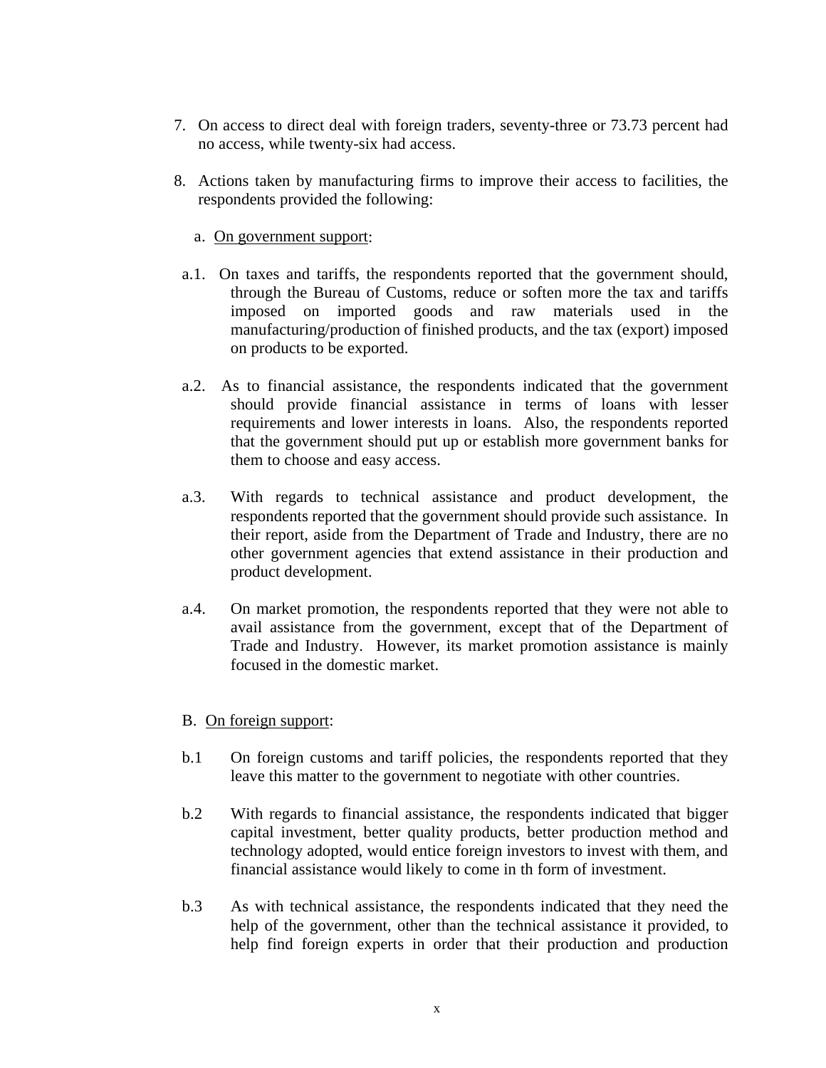- 7. On access to direct deal with foreign traders, seventy-three or 73.73 percent had no access, while twenty-six had access.
- 8. Actions taken by manufacturing firms to improve their access to facilities, the respondents provided the following:
	- a. On government support:
- a.1. On taxes and tariffs, the respondents reported that the government should, through the Bureau of Customs, reduce or soften more the tax and tariffs imposed on imported goods and raw materials used in the manufacturing/production of finished products, and the tax (export) imposed on products to be exported.
- a.2. As to financial assistance, the respondents indicated that the government should provide financial assistance in terms of loans with lesser requirements and lower interests in loans. Also, the respondents reported that the government should put up or establish more government banks for them to choose and easy access.
- a.3. With regards to technical assistance and product development, the respondents reported that the government should provide such assistance. In their report, aside from the Department of Trade and Industry, there are no other government agencies that extend assistance in their production and product development.
- a.4. On market promotion, the respondents reported that they were not able to avail assistance from the government, except that of the Department of Trade and Industry. However, its market promotion assistance is mainly focused in the domestic market.
- B. On foreign support:
- b.1 On foreign customs and tariff policies, the respondents reported that they leave this matter to the government to negotiate with other countries.
- b.2 With regards to financial assistance, the respondents indicated that bigger capital investment, better quality products, better production method and technology adopted, would entice foreign investors to invest with them, and financial assistance would likely to come in th form of investment.
- b.3 As with technical assistance, the respondents indicated that they need the help of the government, other than the technical assistance it provided, to help find foreign experts in order that their production and production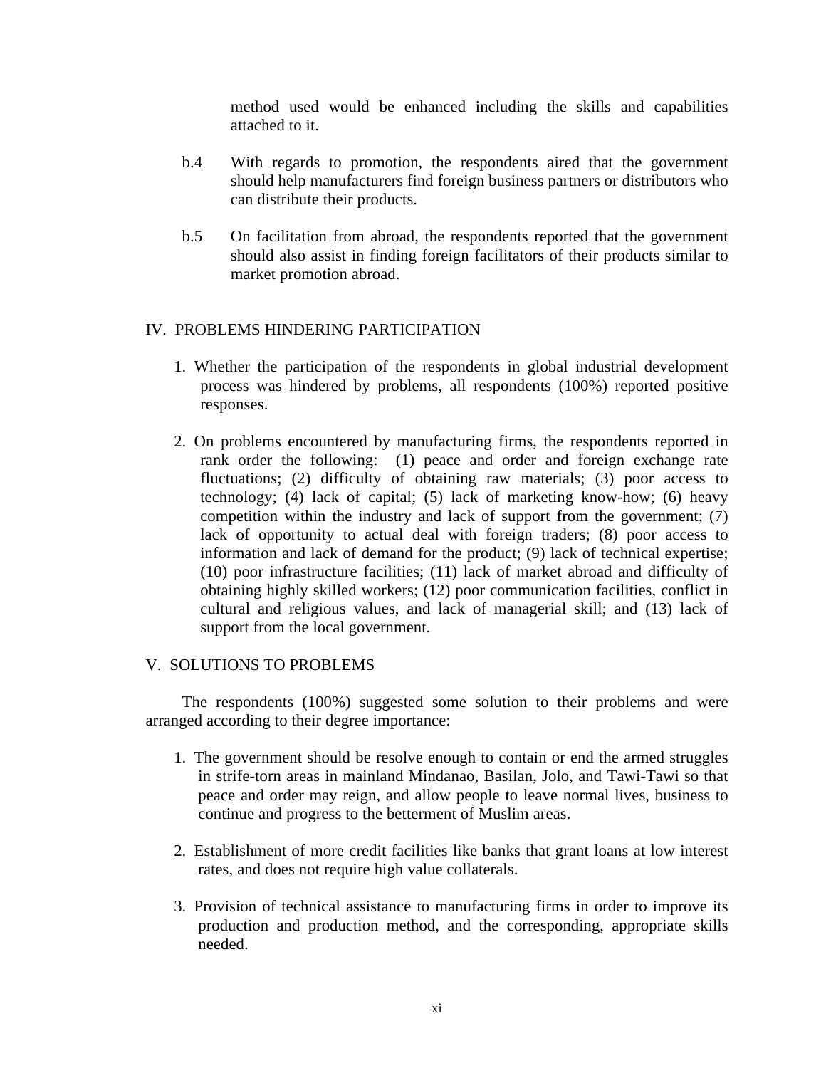method used would be enhanced including the skills and capabilities attached to it.

- b.4 With regards to promotion, the respondents aired that the government should help manufacturers find foreign business partners or distributors who can distribute their products.
- b.5 On facilitation from abroad, the respondents reported that the government should also assist in finding foreign facilitators of their products similar to market promotion abroad.

## IV. PROBLEMS HINDERING PARTICIPATION

- 1. Whether the participation of the respondents in global industrial development process was hindered by problems, all respondents (100%) reported positive responses.
- 2. On problems encountered by manufacturing firms, the respondents reported in rank order the following: (1) peace and order and foreign exchange rate fluctuations; (2) difficulty of obtaining raw materials; (3) poor access to technology; (4) lack of capital; (5) lack of marketing know-how; (6) heavy competition within the industry and lack of support from the government; (7) lack of opportunity to actual deal with foreign traders; (8) poor access to information and lack of demand for the product; (9) lack of technical expertise; (10) poor infrastructure facilities; (11) lack of market abroad and difficulty of obtaining highly skilled workers; (12) poor communication facilities, conflict in cultural and religious values, and lack of managerial skill; and (13) lack of support from the local government.

## V. SOLUTIONS TO PROBLEMS

 The respondents (100%) suggested some solution to their problems and were arranged according to their degree importance:

- 1. The government should be resolve enough to contain or end the armed struggles in strife-torn areas in mainland Mindanao, Basilan, Jolo, and Tawi-Tawi so that peace and order may reign, and allow people to leave normal lives, business to continue and progress to the betterment of Muslim areas.
- 2. Establishment of more credit facilities like banks that grant loans at low interest rates, and does not require high value collaterals.
- 3. Provision of technical assistance to manufacturing firms in order to improve its production and production method, and the corresponding, appropriate skills needed.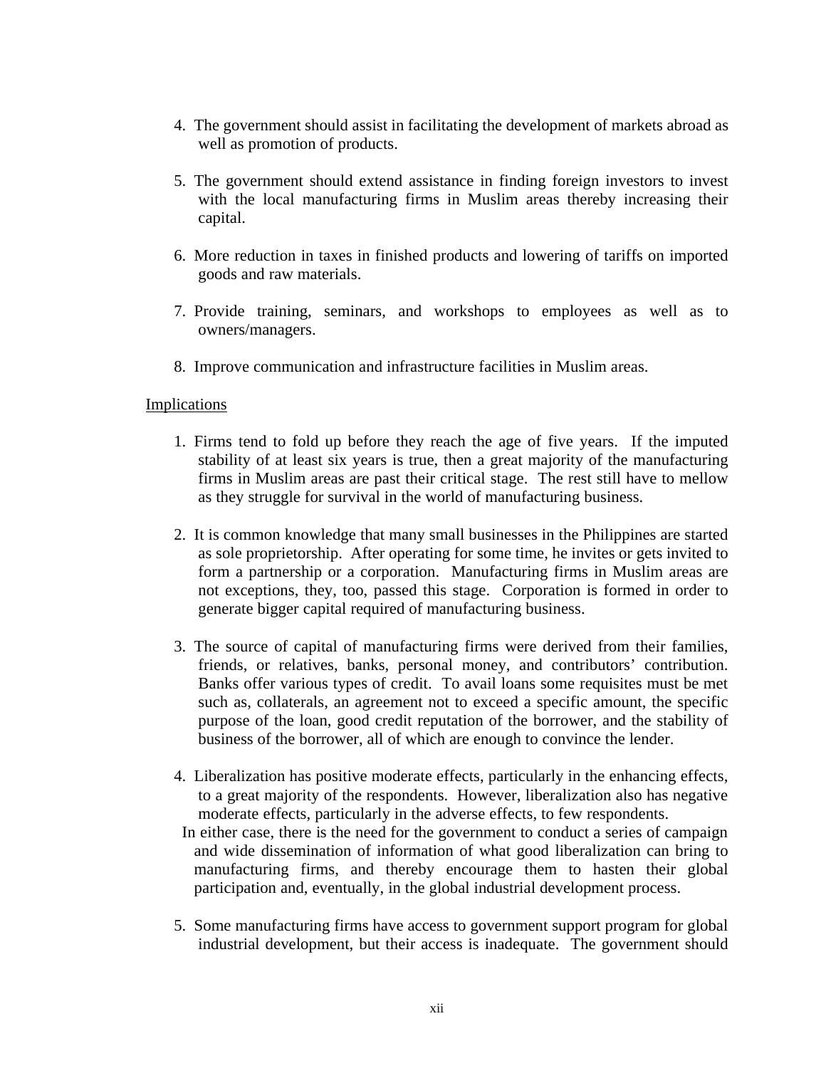- 4. The government should assist in facilitating the development of markets abroad as well as promotion of products.
- 5. The government should extend assistance in finding foreign investors to invest with the local manufacturing firms in Muslim areas thereby increasing their capital.
- 6. More reduction in taxes in finished products and lowering of tariffs on imported goods and raw materials.
- 7. Provide training, seminars, and workshops to employees as well as to owners/managers.
- 8. Improve communication and infrastructure facilities in Muslim areas.

#### Implications

- 1. Firms tend to fold up before they reach the age of five years. If the imputed stability of at least six years is true, then a great majority of the manufacturing firms in Muslim areas are past their critical stage. The rest still have to mellow as they struggle for survival in the world of manufacturing business.
- 2. It is common knowledge that many small businesses in the Philippines are started as sole proprietorship. After operating for some time, he invites or gets invited to form a partnership or a corporation. Manufacturing firms in Muslim areas are not exceptions, they, too, passed this stage. Corporation is formed in order to generate bigger capital required of manufacturing business.
- 3. The source of capital of manufacturing firms were derived from their families, friends, or relatives, banks, personal money, and contributors' contribution. Banks offer various types of credit. To avail loans some requisites must be met such as, collaterals, an agreement not to exceed a specific amount, the specific purpose of the loan, good credit reputation of the borrower, and the stability of business of the borrower, all of which are enough to convince the lender.
- 4. Liberalization has positive moderate effects, particularly in the enhancing effects, to a great majority of the respondents. However, liberalization also has negative moderate effects, particularly in the adverse effects, to few respondents.
- In either case, there is the need for the government to conduct a series of campaign and wide dissemination of information of what good liberalization can bring to manufacturing firms, and thereby encourage them to hasten their global participation and, eventually, in the global industrial development process.
- 5. Some manufacturing firms have access to government support program for global industrial development, but their access is inadequate. The government should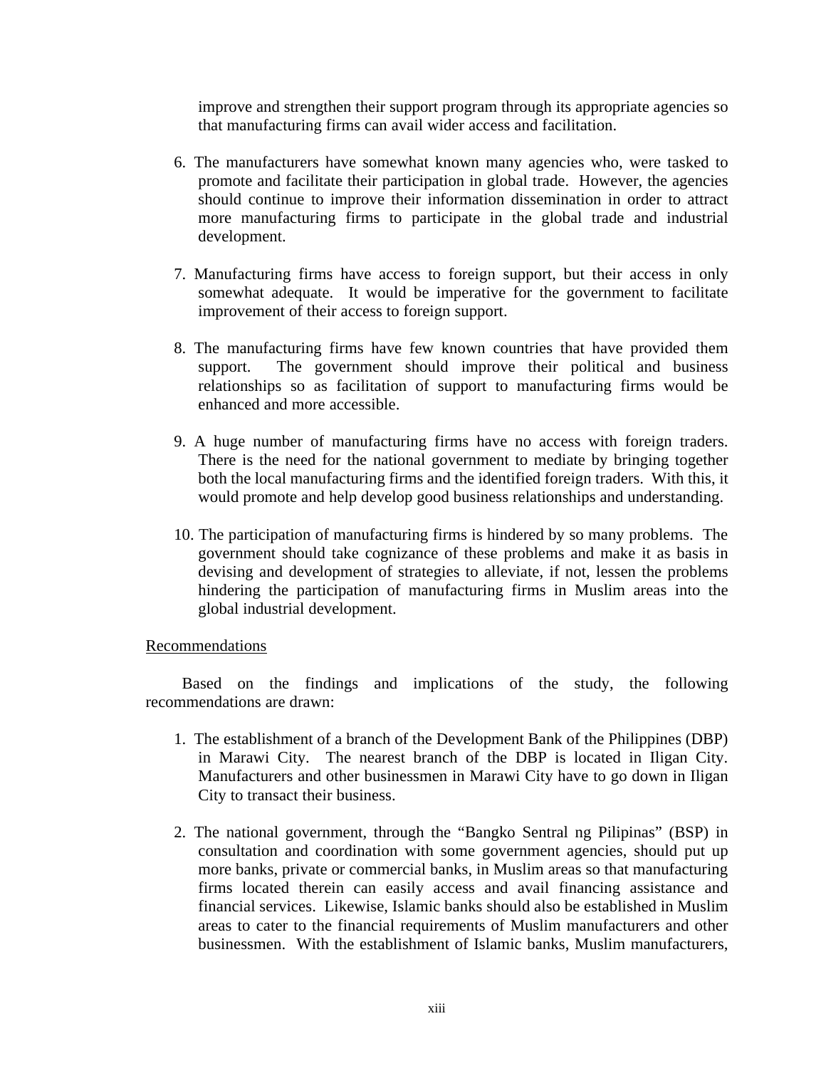improve and strengthen their support program through its appropriate agencies so that manufacturing firms can avail wider access and facilitation.

- 6. The manufacturers have somewhat known many agencies who, were tasked to promote and facilitate their participation in global trade. However, the agencies should continue to improve their information dissemination in order to attract more manufacturing firms to participate in the global trade and industrial development.
- 7. Manufacturing firms have access to foreign support, but their access in only somewhat adequate. It would be imperative for the government to facilitate improvement of their access to foreign support.
- 8. The manufacturing firms have few known countries that have provided them support. The government should improve their political and business relationships so as facilitation of support to manufacturing firms would be enhanced and more accessible.
- 9. A huge number of manufacturing firms have no access with foreign traders. There is the need for the national government to mediate by bringing together both the local manufacturing firms and the identified foreign traders. With this, it would promote and help develop good business relationships and understanding.
- 10. The participation of manufacturing firms is hindered by so many problems. The government should take cognizance of these problems and make it as basis in devising and development of strategies to alleviate, if not, lessen the problems hindering the participation of manufacturing firms in Muslim areas into the global industrial development.

#### Recommendations

 Based on the findings and implications of the study, the following recommendations are drawn:

- 1. The establishment of a branch of the Development Bank of the Philippines (DBP) in Marawi City. The nearest branch of the DBP is located in Iligan City. Manufacturers and other businessmen in Marawi City have to go down in Iligan City to transact their business.
- 2. The national government, through the "Bangko Sentral ng Pilipinas" (BSP) in consultation and coordination with some government agencies, should put up more banks, private or commercial banks, in Muslim areas so that manufacturing firms located therein can easily access and avail financing assistance and financial services. Likewise, Islamic banks should also be established in Muslim areas to cater to the financial requirements of Muslim manufacturers and other businessmen. With the establishment of Islamic banks, Muslim manufacturers,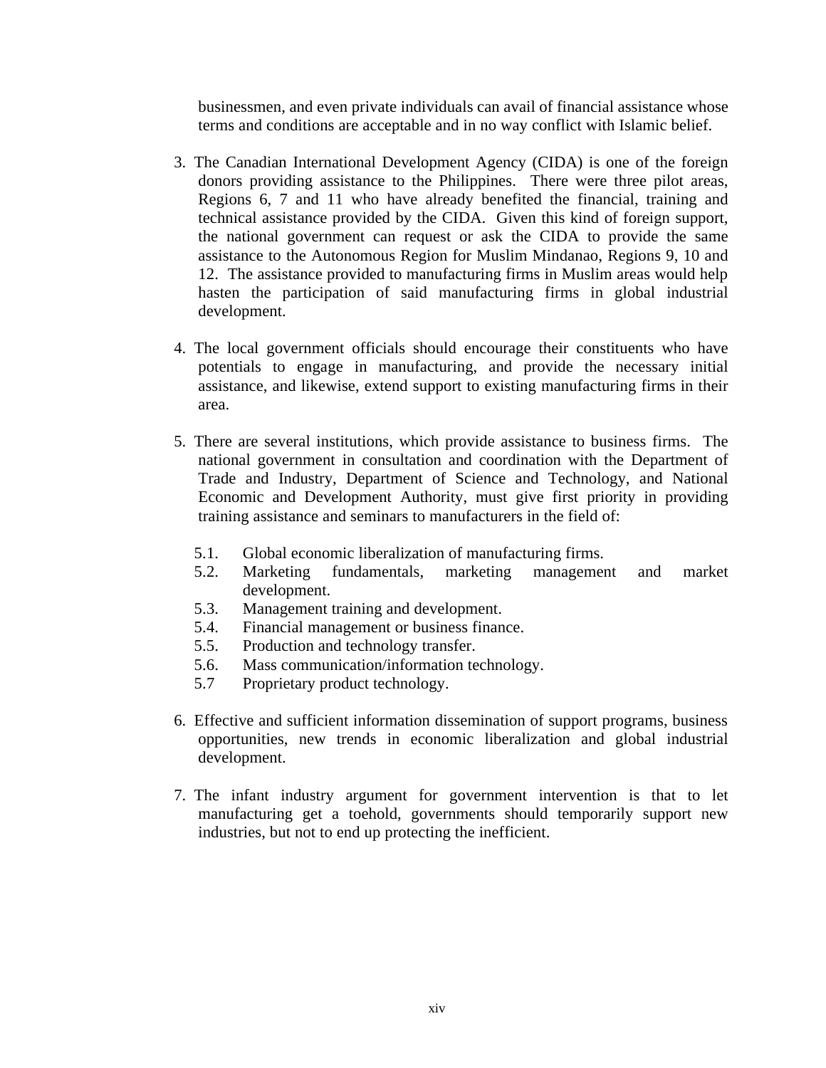businessmen, and even private individuals can avail of financial assistance whose terms and conditions are acceptable and in no way conflict with Islamic belief.

- 3. The Canadian International Development Agency (CIDA) is one of the foreign donors providing assistance to the Philippines. There were three pilot areas, Regions 6, 7 and 11 who have already benefited the financial, training and technical assistance provided by the CIDA. Given this kind of foreign support, the national government can request or ask the CIDA to provide the same assistance to the Autonomous Region for Muslim Mindanao, Regions 9, 10 and 12. The assistance provided to manufacturing firms in Muslim areas would help hasten the participation of said manufacturing firms in global industrial development.
- 4. The local government officials should encourage their constituents who have potentials to engage in manufacturing, and provide the necessary initial assistance, and likewise, extend support to existing manufacturing firms in their area.
- 5. There are several institutions, which provide assistance to business firms. The national government in consultation and coordination with the Department of Trade and Industry, Department of Science and Technology, and National Economic and Development Authority, must give first priority in providing training assistance and seminars to manufacturers in the field of:
	- 5.1. Global economic liberalization of manufacturing firms.
	- 5.2. Marketing fundamentals, marketing management and market development.
	- 5.3. Management training and development.
	- 5.4. Financial management or business finance.
	- 5.5. Production and technology transfer.
	- 5.6. Mass communication/information technology.
	- 5.7 Proprietary product technology.
- 6. Effective and sufficient information dissemination of support programs, business opportunities, new trends in economic liberalization and global industrial development.
- 7. The infant industry argument for government intervention is that to let manufacturing get a toehold, governments should temporarily support new industries, but not to end up protecting the inefficient.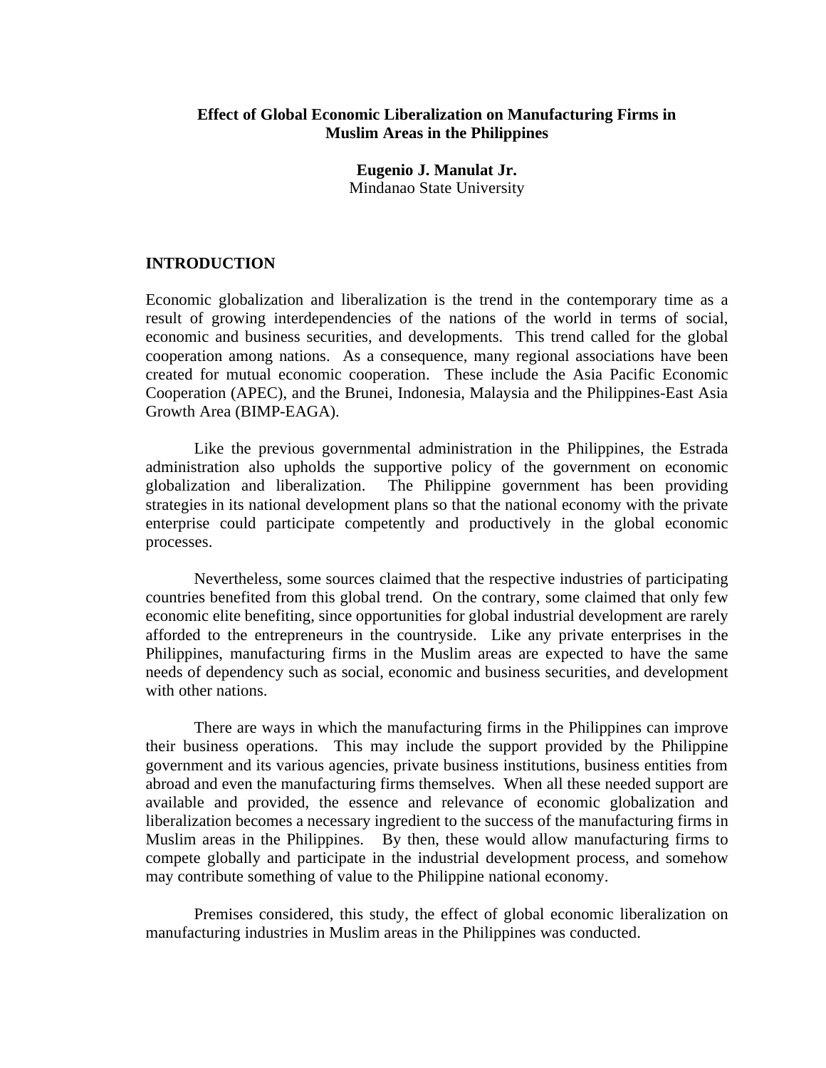## **Effect of Global Economic Liberalization on Manufacturing Firms in Muslim Areas in the Philippines**

**Eugenio J. Manulat Jr.** Mindanao State University

#### **INTRODUCTION**

Economic globalization and liberalization is the trend in the contemporary time as a result of growing interdependencies of the nations of the world in terms of social, economic and business securities, and developments. This trend called for the global cooperation among nations. As a consequence, many regional associations have been created for mutual economic cooperation. These include the Asia Pacific Economic Cooperation (APEC), and the Brunei, Indonesia, Malaysia and the Philippines-East Asia Growth Area (BIMP-EAGA).

Like the previous governmental administration in the Philippines, the Estrada administration also upholds the supportive policy of the government on economic globalization and liberalization. The Philippine government has been providing strategies in its national development plans so that the national economy with the private enterprise could participate competently and productively in the global economic processes.

Nevertheless, some sources claimed that the respective industries of participating countries benefited from this global trend. On the contrary, some claimed that only few economic elite benefiting, since opportunities for global industrial development are rarely afforded to the entrepreneurs in the countryside. Like any private enterprises in the Philippines, manufacturing firms in the Muslim areas are expected to have the same needs of dependency such as social, economic and business securities, and development with other nations.

There are ways in which the manufacturing firms in the Philippines can improve their business operations. This may include the support provided by the Philippine government and its various agencies, private business institutions, business entities from abroad and even the manufacturing firms themselves. When all these needed support are available and provided, the essence and relevance of economic globalization and liberalization becomes a necessary ingredient to the success of the manufacturing firms in Muslim areas in the Philippines. By then, these would allow manufacturing firms to compete globally and participate in the industrial development process, and somehow may contribute something of value to the Philippine national economy.

Premises considered, this study, the effect of global economic liberalization on manufacturing industries in Muslim areas in the Philippines was conducted.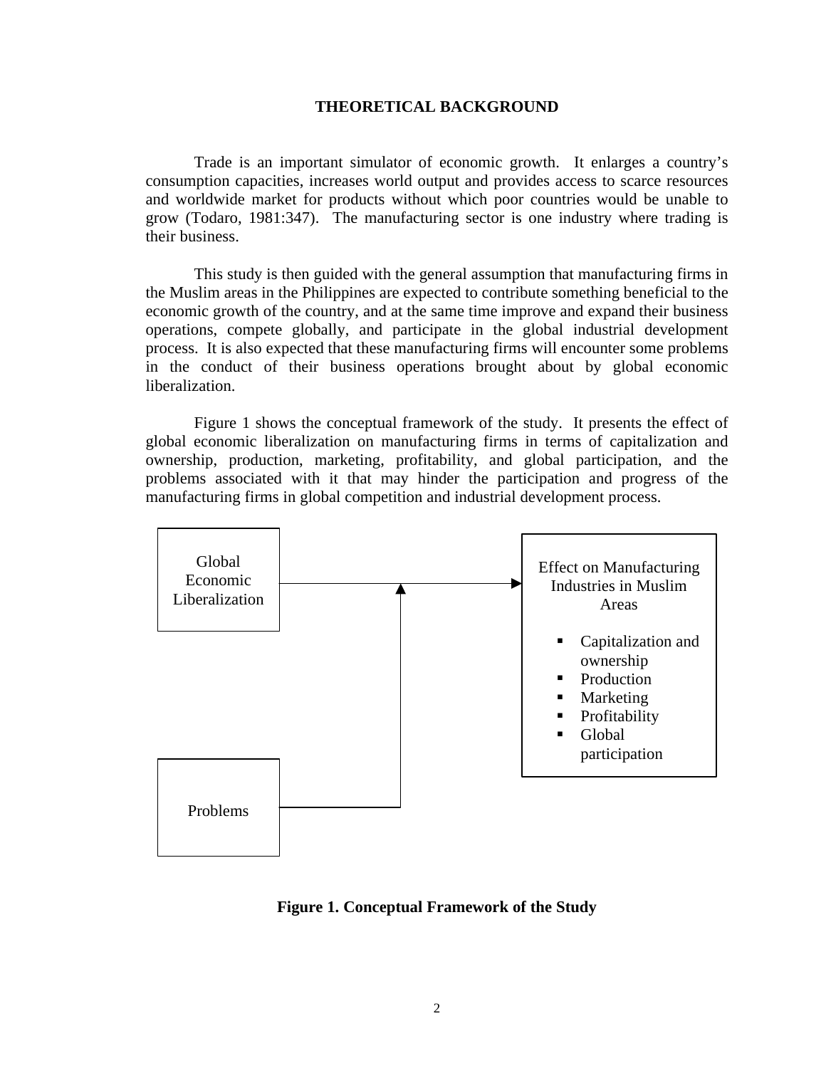#### **THEORETICAL BACKGROUND**

Trade is an important simulator of economic growth. It enlarges a country's consumption capacities, increases world output and provides access to scarce resources and worldwide market for products without which poor countries would be unable to grow (Todaro, 1981:347). The manufacturing sector is one industry where trading is their business.

This study is then guided with the general assumption that manufacturing firms in the Muslim areas in the Philippines are expected to contribute something beneficial to the economic growth of the country, and at the same time improve and expand their business operations, compete globally, and participate in the global industrial development process. It is also expected that these manufacturing firms will encounter some problems in the conduct of their business operations brought about by global economic liberalization.

Figure 1 shows the conceptual framework of the study. It presents the effect of global economic liberalization on manufacturing firms in terms of capitalization and ownership, production, marketing, profitability, and global participation, and the problems associated with it that may hinder the participation and progress of the manufacturing firms in global competition and industrial development process.



**Figure 1. Conceptual Framework of the Study**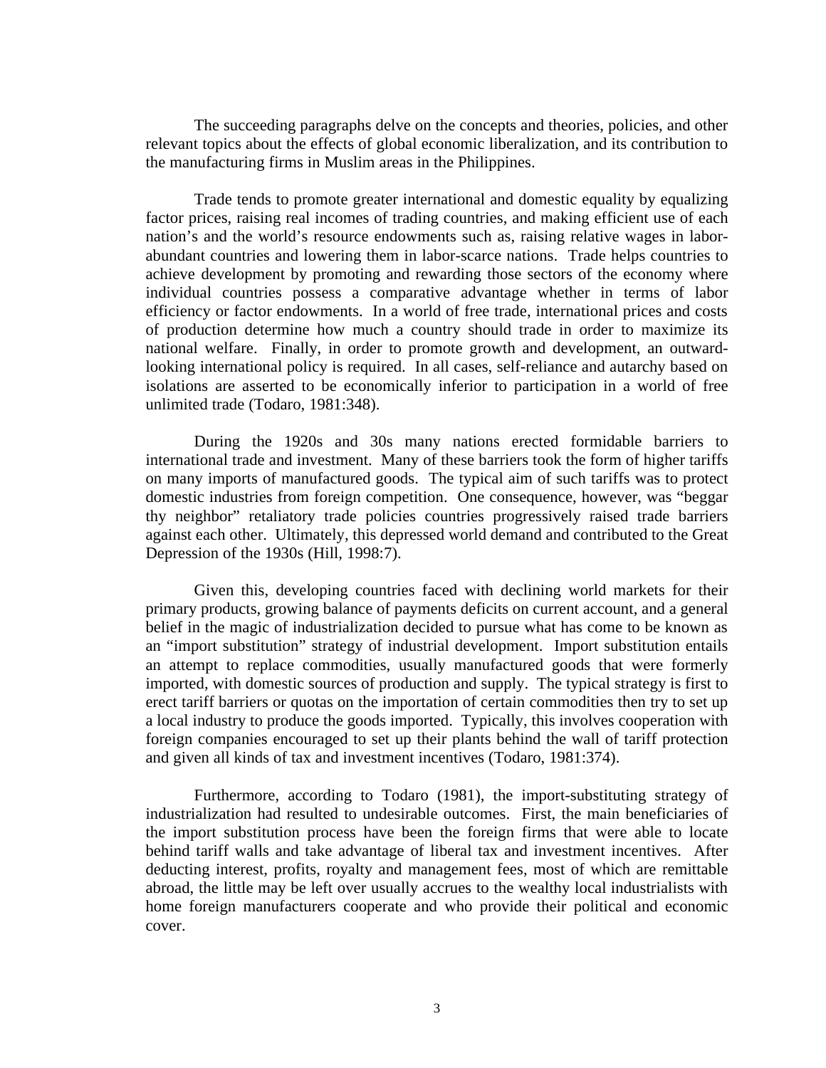The succeeding paragraphs delve on the concepts and theories, policies, and other relevant topics about the effects of global economic liberalization, and its contribution to the manufacturing firms in Muslim areas in the Philippines.

 Trade tends to promote greater international and domestic equality by equalizing factor prices, raising real incomes of trading countries, and making efficient use of each nation's and the world's resource endowments such as, raising relative wages in laborabundant countries and lowering them in labor-scarce nations. Trade helps countries to achieve development by promoting and rewarding those sectors of the economy where individual countries possess a comparative advantage whether in terms of labor efficiency or factor endowments. In a world of free trade, international prices and costs of production determine how much a country should trade in order to maximize its national welfare. Finally, in order to promote growth and development, an outwardlooking international policy is required. In all cases, self-reliance and autarchy based on isolations are asserted to be economically inferior to participation in a world of free unlimited trade (Todaro, 1981:348).

 During the 1920s and 30s many nations erected formidable barriers to international trade and investment. Many of these barriers took the form of higher tariffs on many imports of manufactured goods. The typical aim of such tariffs was to protect domestic industries from foreign competition. One consequence, however, was "beggar thy neighbor" retaliatory trade policies countries progressively raised trade barriers against each other. Ultimately, this depressed world demand and contributed to the Great Depression of the 1930s (Hill, 1998:7).

Given this, developing countries faced with declining world markets for their primary products, growing balance of payments deficits on current account, and a general belief in the magic of industrialization decided to pursue what has come to be known as an "import substitution" strategy of industrial development. Import substitution entails an attempt to replace commodities, usually manufactured goods that were formerly imported, with domestic sources of production and supply. The typical strategy is first to erect tariff barriers or quotas on the importation of certain commodities then try to set up a local industry to produce the goods imported. Typically, this involves cooperation with foreign companies encouraged to set up their plants behind the wall of tariff protection and given all kinds of tax and investment incentives (Todaro, 1981:374).

Furthermore, according to Todaro (1981), the import-substituting strategy of industrialization had resulted to undesirable outcomes. First, the main beneficiaries of the import substitution process have been the foreign firms that were able to locate behind tariff walls and take advantage of liberal tax and investment incentives. After deducting interest, profits, royalty and management fees, most of which are remittable abroad, the little may be left over usually accrues to the wealthy local industrialists with home foreign manufacturers cooperate and who provide their political and economic cover.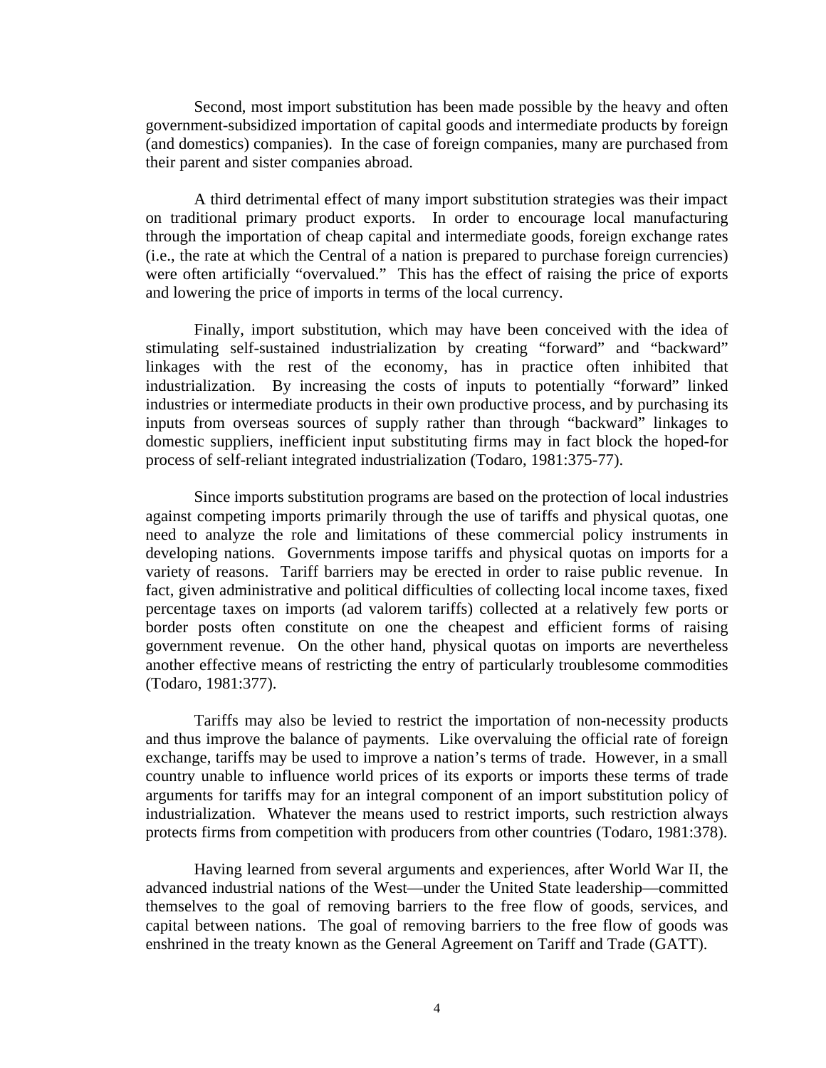Second, most import substitution has been made possible by the heavy and often government-subsidized importation of capital goods and intermediate products by foreign (and domestics) companies). In the case of foreign companies, many are purchased from their parent and sister companies abroad.

A third detrimental effect of many import substitution strategies was their impact on traditional primary product exports. In order to encourage local manufacturing through the importation of cheap capital and intermediate goods, foreign exchange rates (i.e., the rate at which the Central of a nation is prepared to purchase foreign currencies) were often artificially "overvalued." This has the effect of raising the price of exports and lowering the price of imports in terms of the local currency.

Finally, import substitution, which may have been conceived with the idea of stimulating self-sustained industrialization by creating "forward" and "backward" linkages with the rest of the economy, has in practice often inhibited that industrialization. By increasing the costs of inputs to potentially "forward" linked industries or intermediate products in their own productive process, and by purchasing its inputs from overseas sources of supply rather than through "backward" linkages to domestic suppliers, inefficient input substituting firms may in fact block the hoped-for process of self-reliant integrated industrialization (Todaro, 1981:375-77).

Since imports substitution programs are based on the protection of local industries against competing imports primarily through the use of tariffs and physical quotas, one need to analyze the role and limitations of these commercial policy instruments in developing nations. Governments impose tariffs and physical quotas on imports for a variety of reasons. Tariff barriers may be erected in order to raise public revenue. In fact, given administrative and political difficulties of collecting local income taxes, fixed percentage taxes on imports (ad valorem tariffs) collected at a relatively few ports or border posts often constitute on one the cheapest and efficient forms of raising government revenue. On the other hand, physical quotas on imports are nevertheless another effective means of restricting the entry of particularly troublesome commodities (Todaro, 1981:377).

Tariffs may also be levied to restrict the importation of non-necessity products and thus improve the balance of payments. Like overvaluing the official rate of foreign exchange, tariffs may be used to improve a nation's terms of trade. However, in a small country unable to influence world prices of its exports or imports these terms of trade arguments for tariffs may for an integral component of an import substitution policy of industrialization. Whatever the means used to restrict imports, such restriction always protects firms from competition with producers from other countries (Todaro, 1981:378).

Having learned from several arguments and experiences, after World War II, the advanced industrial nations of the West—under the United State leadership—committed themselves to the goal of removing barriers to the free flow of goods, services, and capital between nations. The goal of removing barriers to the free flow of goods was enshrined in the treaty known as the General Agreement on Tariff and Trade (GATT).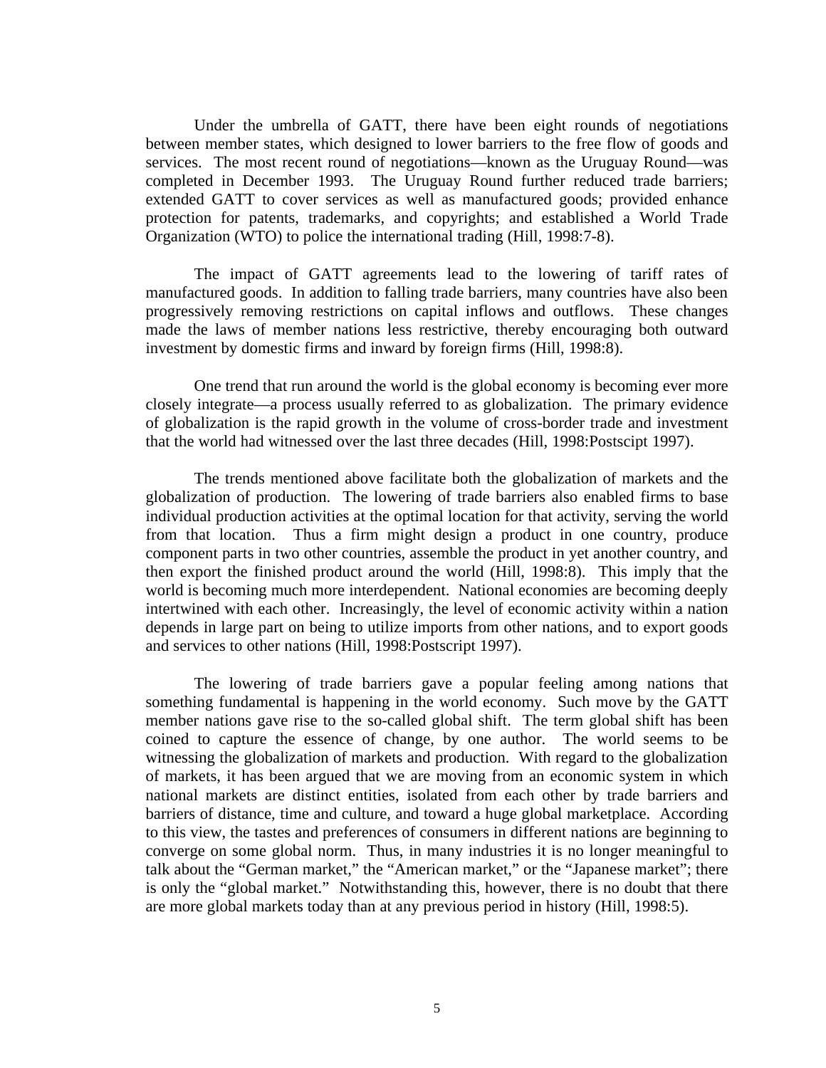Under the umbrella of GATT, there have been eight rounds of negotiations between member states, which designed to lower barriers to the free flow of goods and services. The most recent round of negotiations—known as the Uruguay Round—was completed in December 1993. The Uruguay Round further reduced trade barriers; extended GATT to cover services as well as manufactured goods; provided enhance protection for patents, trademarks, and copyrights; and established a World Trade Organization (WTO) to police the international trading (Hill, 1998:7-8).

The impact of GATT agreements lead to the lowering of tariff rates of manufactured goods. In addition to falling trade barriers, many countries have also been progressively removing restrictions on capital inflows and outflows. These changes made the laws of member nations less restrictive, thereby encouraging both outward investment by domestic firms and inward by foreign firms (Hill, 1998:8).

One trend that run around the world is the global economy is becoming ever more closely integrate—a process usually referred to as globalization. The primary evidence of globalization is the rapid growth in the volume of cross-border trade and investment that the world had witnessed over the last three decades (Hill, 1998:Postscipt 1997).

The trends mentioned above facilitate both the globalization of markets and the globalization of production. The lowering of trade barriers also enabled firms to base individual production activities at the optimal location for that activity, serving the world from that location. Thus a firm might design a product in one country, produce component parts in two other countries, assemble the product in yet another country, and then export the finished product around the world (Hill, 1998:8). This imply that the world is becoming much more interdependent. National economies are becoming deeply intertwined with each other. Increasingly, the level of economic activity within a nation depends in large part on being to utilize imports from other nations, and to export goods and services to other nations (Hill, 1998:Postscript 1997).

The lowering of trade barriers gave a popular feeling among nations that something fundamental is happening in the world economy. Such move by the GATT member nations gave rise to the so-called global shift. The term global shift has been coined to capture the essence of change, by one author. The world seems to be witnessing the globalization of markets and production. With regard to the globalization of markets, it has been argued that we are moving from an economic system in which national markets are distinct entities, isolated from each other by trade barriers and barriers of distance, time and culture, and toward a huge global marketplace. According to this view, the tastes and preferences of consumers in different nations are beginning to converge on some global norm. Thus, in many industries it is no longer meaningful to talk about the "German market," the "American market," or the "Japanese market"; there is only the "global market." Notwithstanding this, however, there is no doubt that there are more global markets today than at any previous period in history (Hill, 1998:5).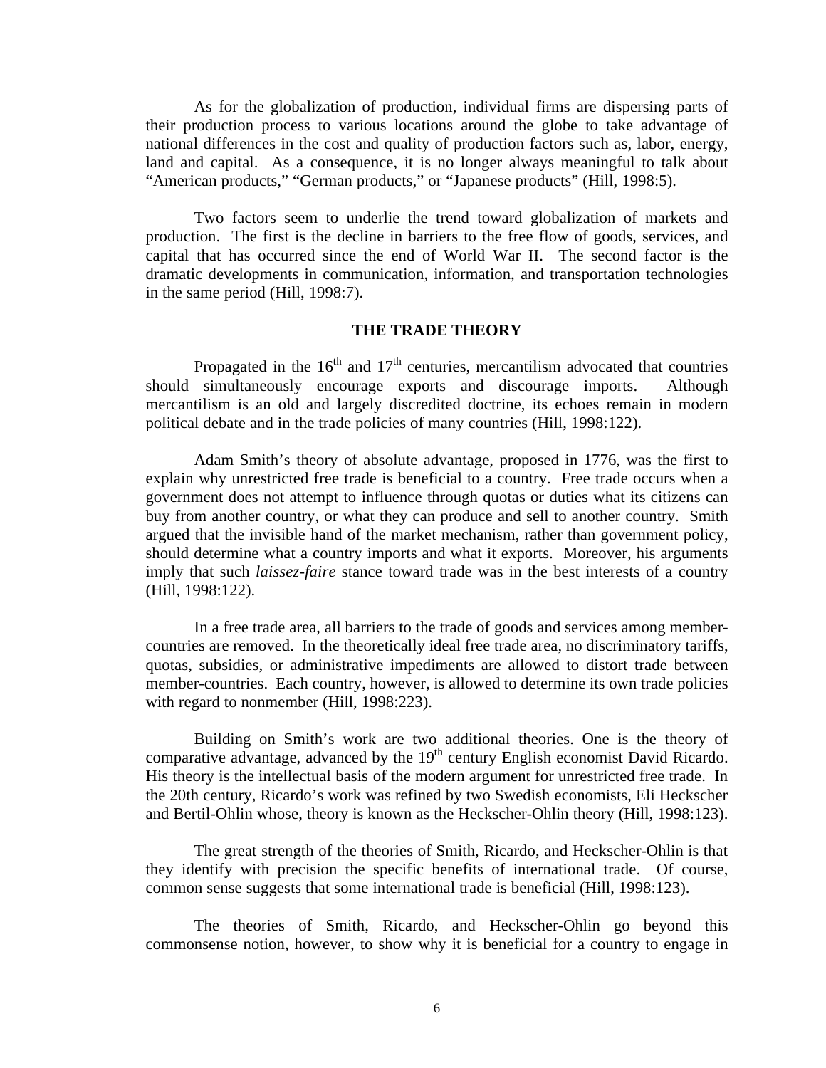As for the globalization of production, individual firms are dispersing parts of their production process to various locations around the globe to take advantage of national differences in the cost and quality of production factors such as, labor, energy, land and capital. As a consequence, it is no longer always meaningful to talk about "American products," "German products," or "Japanese products" (Hill, 1998:5).

Two factors seem to underlie the trend toward globalization of markets and production. The first is the decline in barriers to the free flow of goods, services, and capital that has occurred since the end of World War II. The second factor is the dramatic developments in communication, information, and transportation technologies in the same period (Hill, 1998:7).

#### **THE TRADE THEORY**

Propagated in the  $16<sup>th</sup>$  and  $17<sup>th</sup>$  centuries, mercantilism advocated that countries should simultaneously encourage exports and discourage imports. Although mercantilism is an old and largely discredited doctrine, its echoes remain in modern political debate and in the trade policies of many countries (Hill, 1998:122).

 Adam Smith's theory of absolute advantage, proposed in 1776, was the first to explain why unrestricted free trade is beneficial to a country. Free trade occurs when a government does not attempt to influence through quotas or duties what its citizens can buy from another country, or what they can produce and sell to another country. Smith argued that the invisible hand of the market mechanism, rather than government policy, should determine what a country imports and what it exports. Moreover, his arguments imply that such *laissez-faire* stance toward trade was in the best interests of a country (Hill, 1998:122).

In a free trade area, all barriers to the trade of goods and services among membercountries are removed. In the theoretically ideal free trade area, no discriminatory tariffs, quotas, subsidies, or administrative impediments are allowed to distort trade between member-countries. Each country, however, is allowed to determine its own trade policies with regard to nonmember (Hill, 1998:223).

Building on Smith's work are two additional theories. One is the theory of comparative advantage, advanced by the  $19<sup>th</sup>$  century English economist David Ricardo. His theory is the intellectual basis of the modern argument for unrestricted free trade. In the 20th century, Ricardo's work was refined by two Swedish economists, Eli Heckscher and Bertil-Ohlin whose, theory is known as the Heckscher-Ohlin theory (Hill, 1998:123).

The great strength of the theories of Smith, Ricardo, and Heckscher-Ohlin is that they identify with precision the specific benefits of international trade. Of course, common sense suggests that some international trade is beneficial (Hill, 1998:123).

The theories of Smith, Ricardo, and Heckscher-Ohlin go beyond this commonsense notion, however, to show why it is beneficial for a country to engage in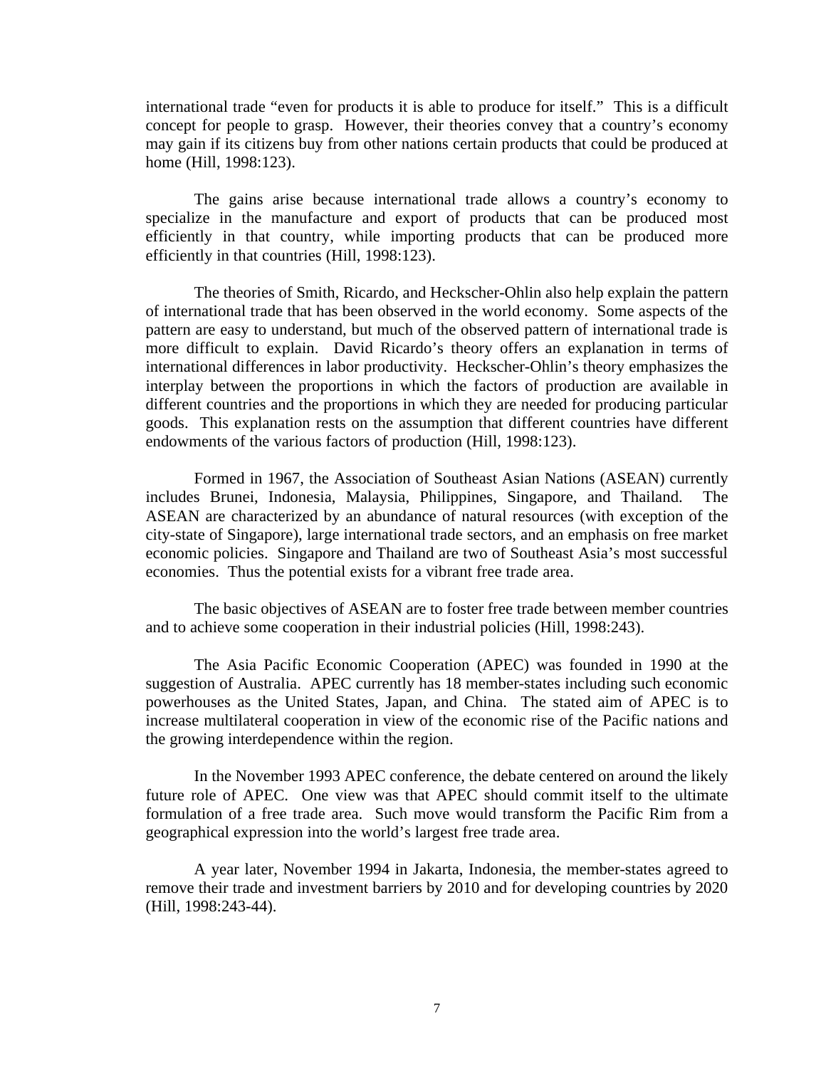international trade "even for products it is able to produce for itself." This is a difficult concept for people to grasp. However, their theories convey that a country's economy may gain if its citizens buy from other nations certain products that could be produced at home (Hill, 1998:123).

The gains arise because international trade allows a country's economy to specialize in the manufacture and export of products that can be produced most efficiently in that country, while importing products that can be produced more efficiently in that countries (Hill, 1998:123).

The theories of Smith, Ricardo, and Heckscher-Ohlin also help explain the pattern of international trade that has been observed in the world economy. Some aspects of the pattern are easy to understand, but much of the observed pattern of international trade is more difficult to explain. David Ricardo's theory offers an explanation in terms of international differences in labor productivity. Heckscher-Ohlin's theory emphasizes the interplay between the proportions in which the factors of production are available in different countries and the proportions in which they are needed for producing particular goods. This explanation rests on the assumption that different countries have different endowments of the various factors of production (Hill, 1998:123).

Formed in 1967, the Association of Southeast Asian Nations (ASEAN) currently includes Brunei, Indonesia, Malaysia, Philippines, Singapore, and Thailand. The ASEAN are characterized by an abundance of natural resources (with exception of the city-state of Singapore), large international trade sectors, and an emphasis on free market economic policies. Singapore and Thailand are two of Southeast Asia's most successful economies. Thus the potential exists for a vibrant free trade area.

The basic objectives of ASEAN are to foster free trade between member countries and to achieve some cooperation in their industrial policies (Hill, 1998:243).

The Asia Pacific Economic Cooperation (APEC) was founded in 1990 at the suggestion of Australia. APEC currently has 18 member-states including such economic powerhouses as the United States, Japan, and China. The stated aim of APEC is to increase multilateral cooperation in view of the economic rise of the Pacific nations and the growing interdependence within the region.

In the November 1993 APEC conference, the debate centered on around the likely future role of APEC. One view was that APEC should commit itself to the ultimate formulation of a free trade area. Such move would transform the Pacific Rim from a geographical expression into the world's largest free trade area.

A year later, November 1994 in Jakarta, Indonesia, the member-states agreed to remove their trade and investment barriers by 2010 and for developing countries by 2020 (Hill, 1998:243-44).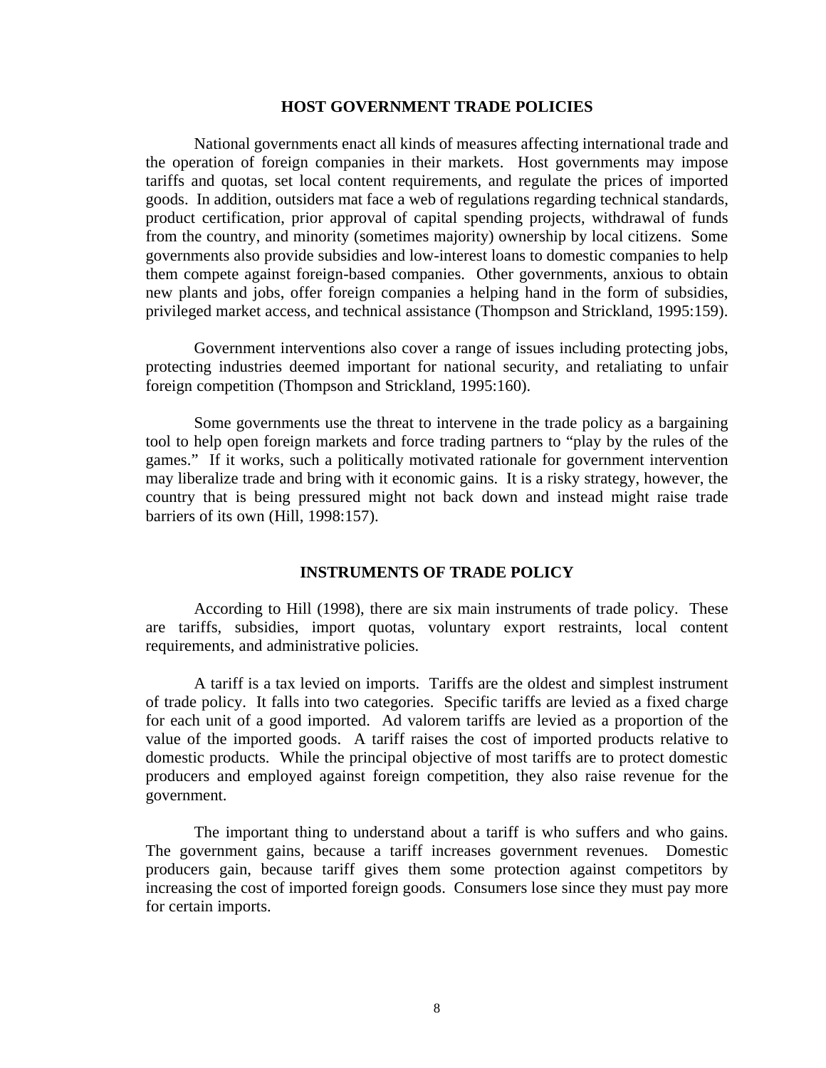#### **HOST GOVERNMENT TRADE POLICIES**

National governments enact all kinds of measures affecting international trade and the operation of foreign companies in their markets. Host governments may impose tariffs and quotas, set local content requirements, and regulate the prices of imported goods. In addition, outsiders mat face a web of regulations regarding technical standards, product certification, prior approval of capital spending projects, withdrawal of funds from the country, and minority (sometimes majority) ownership by local citizens. Some governments also provide subsidies and low-interest loans to domestic companies to help them compete against foreign-based companies. Other governments, anxious to obtain new plants and jobs, offer foreign companies a helping hand in the form of subsidies, privileged market access, and technical assistance (Thompson and Strickland, 1995:159).

Government interventions also cover a range of issues including protecting jobs, protecting industries deemed important for national security, and retaliating to unfair foreign competition (Thompson and Strickland, 1995:160).

Some governments use the threat to intervene in the trade policy as a bargaining tool to help open foreign markets and force trading partners to "play by the rules of the games." If it works, such a politically motivated rationale for government intervention may liberalize trade and bring with it economic gains. It is a risky strategy, however, the country that is being pressured might not back down and instead might raise trade barriers of its own (Hill, 1998:157).

#### **INSTRUMENTS OF TRADE POLICY**

According to Hill (1998), there are six main instruments of trade policy. These are tariffs, subsidies, import quotas, voluntary export restraints, local content requirements, and administrative policies.

A tariff is a tax levied on imports. Tariffs are the oldest and simplest instrument of trade policy. It falls into two categories. Specific tariffs are levied as a fixed charge for each unit of a good imported. Ad valorem tariffs are levied as a proportion of the value of the imported goods. A tariff raises the cost of imported products relative to domestic products. While the principal objective of most tariffs are to protect domestic producers and employed against foreign competition, they also raise revenue for the government.

The important thing to understand about a tariff is who suffers and who gains. The government gains, because a tariff increases government revenues. Domestic producers gain, because tariff gives them some protection against competitors by increasing the cost of imported foreign goods. Consumers lose since they must pay more for certain imports.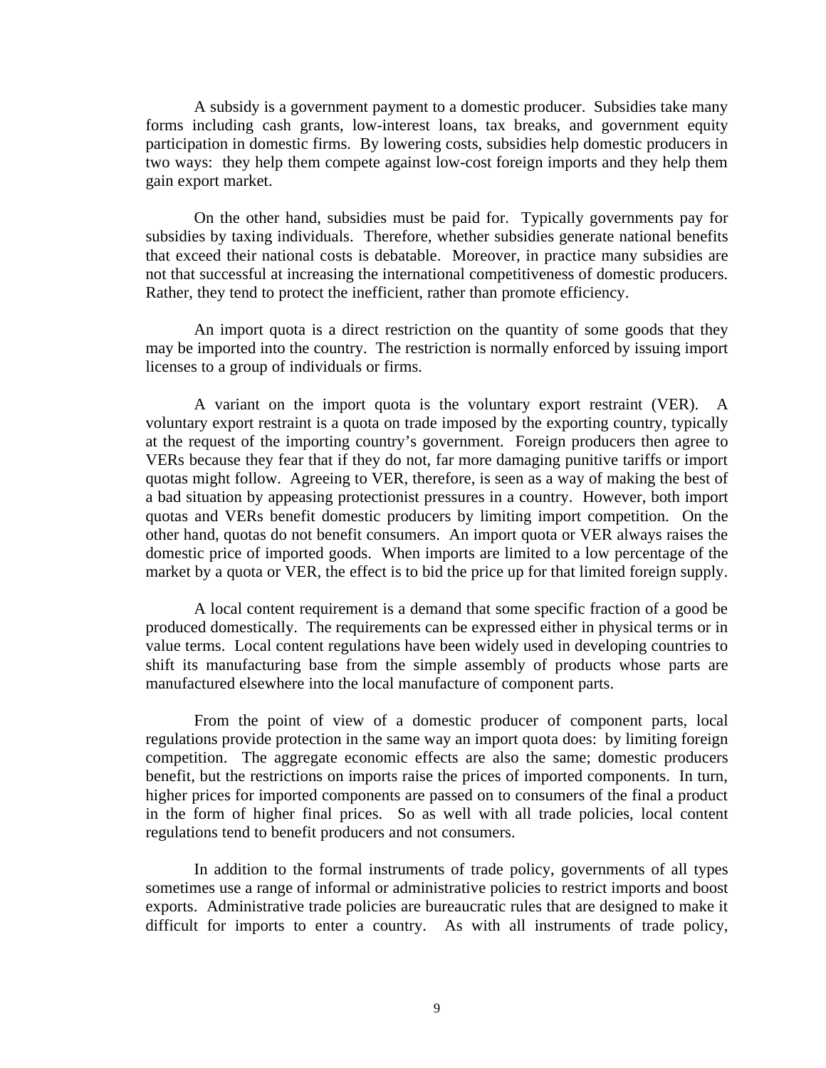A subsidy is a government payment to a domestic producer. Subsidies take many forms including cash grants, low-interest loans, tax breaks, and government equity participation in domestic firms. By lowering costs, subsidies help domestic producers in two ways: they help them compete against low-cost foreign imports and they help them gain export market.

On the other hand, subsidies must be paid for. Typically governments pay for subsidies by taxing individuals. Therefore, whether subsidies generate national benefits that exceed their national costs is debatable. Moreover, in practice many subsidies are not that successful at increasing the international competitiveness of domestic producers. Rather, they tend to protect the inefficient, rather than promote efficiency.

An import quota is a direct restriction on the quantity of some goods that they may be imported into the country. The restriction is normally enforced by issuing import licenses to a group of individuals or firms.

A variant on the import quota is the voluntary export restraint (VER). A voluntary export restraint is a quota on trade imposed by the exporting country, typically at the request of the importing country's government. Foreign producers then agree to VERs because they fear that if they do not, far more damaging punitive tariffs or import quotas might follow. Agreeing to VER, therefore, is seen as a way of making the best of a bad situation by appeasing protectionist pressures in a country. However, both import quotas and VERs benefit domestic producers by limiting import competition. On the other hand, quotas do not benefit consumers. An import quota or VER always raises the domestic price of imported goods. When imports are limited to a low percentage of the market by a quota or VER, the effect is to bid the price up for that limited foreign supply.

A local content requirement is a demand that some specific fraction of a good be produced domestically. The requirements can be expressed either in physical terms or in value terms. Local content regulations have been widely used in developing countries to shift its manufacturing base from the simple assembly of products whose parts are manufactured elsewhere into the local manufacture of component parts.

From the point of view of a domestic producer of component parts, local regulations provide protection in the same way an import quota does: by limiting foreign competition. The aggregate economic effects are also the same; domestic producers benefit, but the restrictions on imports raise the prices of imported components. In turn, higher prices for imported components are passed on to consumers of the final a product in the form of higher final prices. So as well with all trade policies, local content regulations tend to benefit producers and not consumers.

In addition to the formal instruments of trade policy, governments of all types sometimes use a range of informal or administrative policies to restrict imports and boost exports. Administrative trade policies are bureaucratic rules that are designed to make it difficult for imports to enter a country. As with all instruments of trade policy,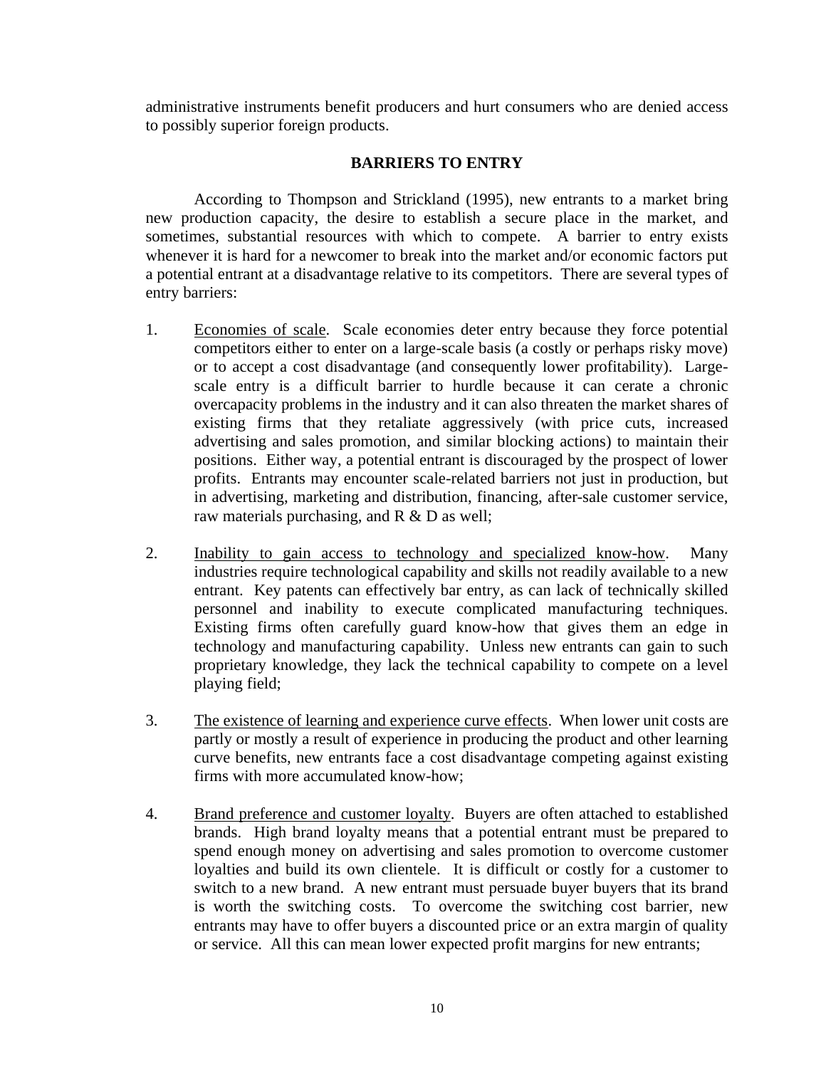administrative instruments benefit producers and hurt consumers who are denied access to possibly superior foreign products.

## **BARRIERS TO ENTRY**

 According to Thompson and Strickland (1995), new entrants to a market bring new production capacity, the desire to establish a secure place in the market, and sometimes, substantial resources with which to compete. A barrier to entry exists whenever it is hard for a newcomer to break into the market and/or economic factors put a potential entrant at a disadvantage relative to its competitors. There are several types of entry barriers:

- 1. Economies of scale. Scale economies deter entry because they force potential competitors either to enter on a large-scale basis (a costly or perhaps risky move) or to accept a cost disadvantage (and consequently lower profitability). Largescale entry is a difficult barrier to hurdle because it can cerate a chronic overcapacity problems in the industry and it can also threaten the market shares of existing firms that they retaliate aggressively (with price cuts, increased advertising and sales promotion, and similar blocking actions) to maintain their positions. Either way, a potential entrant is discouraged by the prospect of lower profits. Entrants may encounter scale-related barriers not just in production, but in advertising, marketing and distribution, financing, after-sale customer service, raw materials purchasing, and R & D as well;
- 2. Inability to gain access to technology and specialized know-how. Many industries require technological capability and skills not readily available to a new entrant. Key patents can effectively bar entry, as can lack of technically skilled personnel and inability to execute complicated manufacturing techniques. Existing firms often carefully guard know-how that gives them an edge in technology and manufacturing capability. Unless new entrants can gain to such proprietary knowledge, they lack the technical capability to compete on a level playing field;
- 3. The existence of learning and experience curve effects. When lower unit costs are partly or mostly a result of experience in producing the product and other learning curve benefits, new entrants face a cost disadvantage competing against existing firms with more accumulated know-how;
- 4. Brand preference and customer loyalty. Buyers are often attached to established brands. High brand loyalty means that a potential entrant must be prepared to spend enough money on advertising and sales promotion to overcome customer loyalties and build its own clientele. It is difficult or costly for a customer to switch to a new brand. A new entrant must persuade buyer buyers that its brand is worth the switching costs. To overcome the switching cost barrier, new entrants may have to offer buyers a discounted price or an extra margin of quality or service. All this can mean lower expected profit margins for new entrants;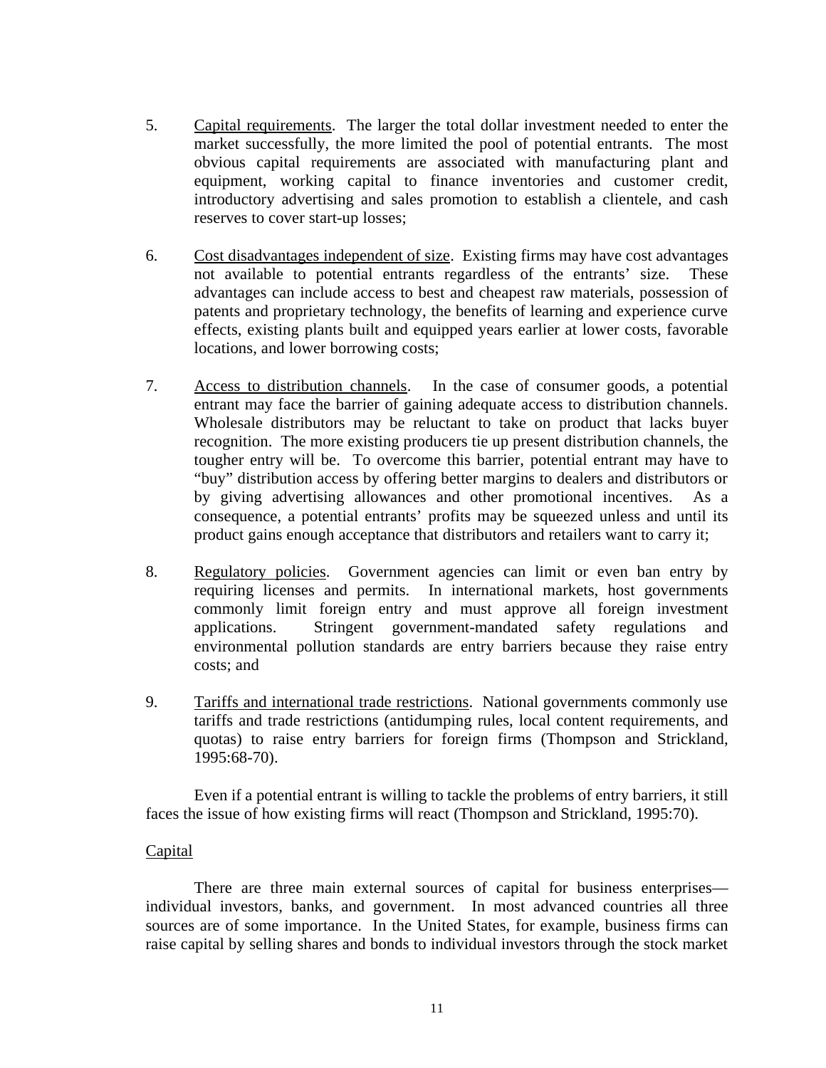- 5. Capital requirements. The larger the total dollar investment needed to enter the market successfully, the more limited the pool of potential entrants. The most obvious capital requirements are associated with manufacturing plant and equipment, working capital to finance inventories and customer credit, introductory advertising and sales promotion to establish a clientele, and cash reserves to cover start-up losses;
- 6. Cost disadvantages independent of size. Existing firms may have cost advantages not available to potential entrants regardless of the entrants' size. These advantages can include access to best and cheapest raw materials, possession of patents and proprietary technology, the benefits of learning and experience curve effects, existing plants built and equipped years earlier at lower costs, favorable locations, and lower borrowing costs;
- 7. Access to distribution channels. In the case of consumer goods, a potential entrant may face the barrier of gaining adequate access to distribution channels. Wholesale distributors may be reluctant to take on product that lacks buyer recognition. The more existing producers tie up present distribution channels, the tougher entry will be. To overcome this barrier, potential entrant may have to "buy" distribution access by offering better margins to dealers and distributors or by giving advertising allowances and other promotional incentives. As a consequence, a potential entrants' profits may be squeezed unless and until its product gains enough acceptance that distributors and retailers want to carry it;
- 8. Regulatory policies. Government agencies can limit or even ban entry by requiring licenses and permits. In international markets, host governments commonly limit foreign entry and must approve all foreign investment applications. Stringent government-mandated safety regulations and environmental pollution standards are entry barriers because they raise entry costs; and
- 9. Tariffs and international trade restrictions. National governments commonly use tariffs and trade restrictions (antidumping rules, local content requirements, and quotas) to raise entry barriers for foreign firms (Thompson and Strickland, 1995:68-70).

 Even if a potential entrant is willing to tackle the problems of entry barriers, it still faces the issue of how existing firms will react (Thompson and Strickland, 1995:70).

## Capital

 There are three main external sources of capital for business enterprises individual investors, banks, and government. In most advanced countries all three sources are of some importance. In the United States, for example, business firms can raise capital by selling shares and bonds to individual investors through the stock market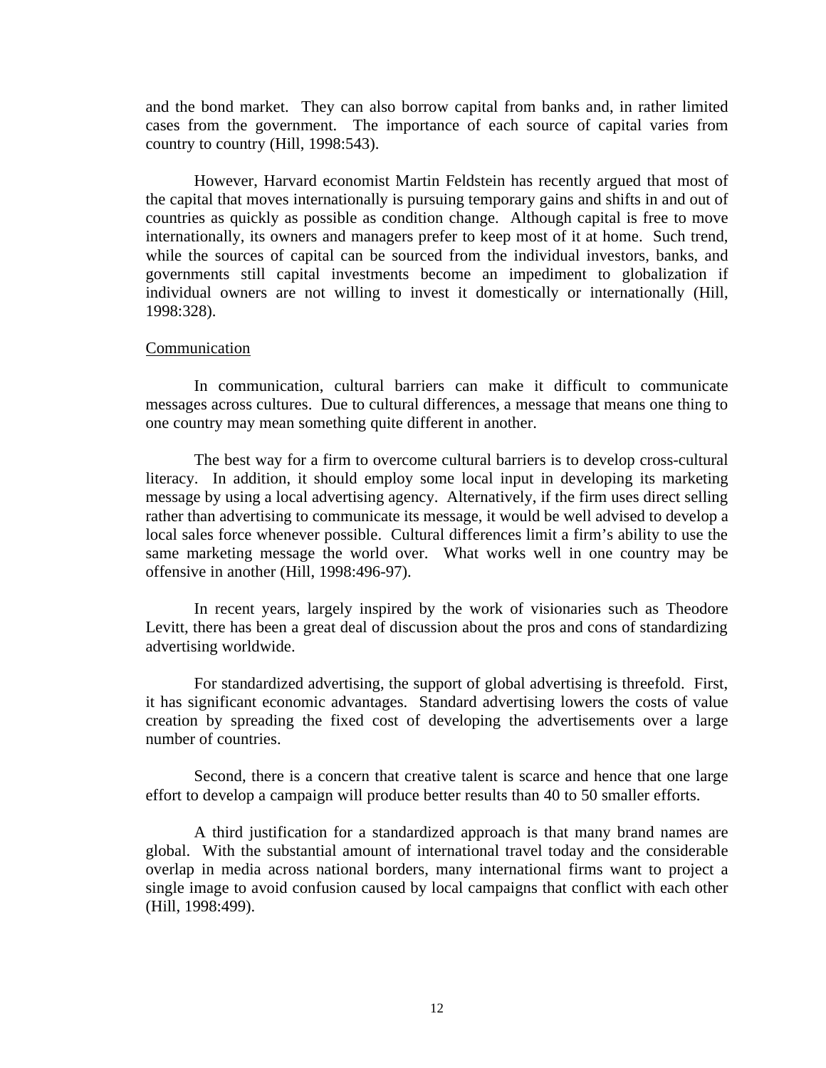and the bond market. They can also borrow capital from banks and, in rather limited cases from the government. The importance of each source of capital varies from country to country (Hill, 1998:543).

However, Harvard economist Martin Feldstein has recently argued that most of the capital that moves internationally is pursuing temporary gains and shifts in and out of countries as quickly as possible as condition change. Although capital is free to move internationally, its owners and managers prefer to keep most of it at home. Such trend, while the sources of capital can be sourced from the individual investors, banks, and governments still capital investments become an impediment to globalization if individual owners are not willing to invest it domestically or internationally (Hill, 1998:328).

#### Communication

In communication, cultural barriers can make it difficult to communicate messages across cultures. Due to cultural differences, a message that means one thing to one country may mean something quite different in another.

The best way for a firm to overcome cultural barriers is to develop cross-cultural literacy. In addition, it should employ some local input in developing its marketing message by using a local advertising agency. Alternatively, if the firm uses direct selling rather than advertising to communicate its message, it would be well advised to develop a local sales force whenever possible. Cultural differences limit a firm's ability to use the same marketing message the world over. What works well in one country may be offensive in another (Hill, 1998:496-97).

In recent years, largely inspired by the work of visionaries such as Theodore Levitt, there has been a great deal of discussion about the pros and cons of standardizing advertising worldwide.

For standardized advertising, the support of global advertising is threefold. First, it has significant economic advantages. Standard advertising lowers the costs of value creation by spreading the fixed cost of developing the advertisements over a large number of countries.

Second, there is a concern that creative talent is scarce and hence that one large effort to develop a campaign will produce better results than 40 to 50 smaller efforts.

A third justification for a standardized approach is that many brand names are global. With the substantial amount of international travel today and the considerable overlap in media across national borders, many international firms want to project a single image to avoid confusion caused by local campaigns that conflict with each other (Hill, 1998:499).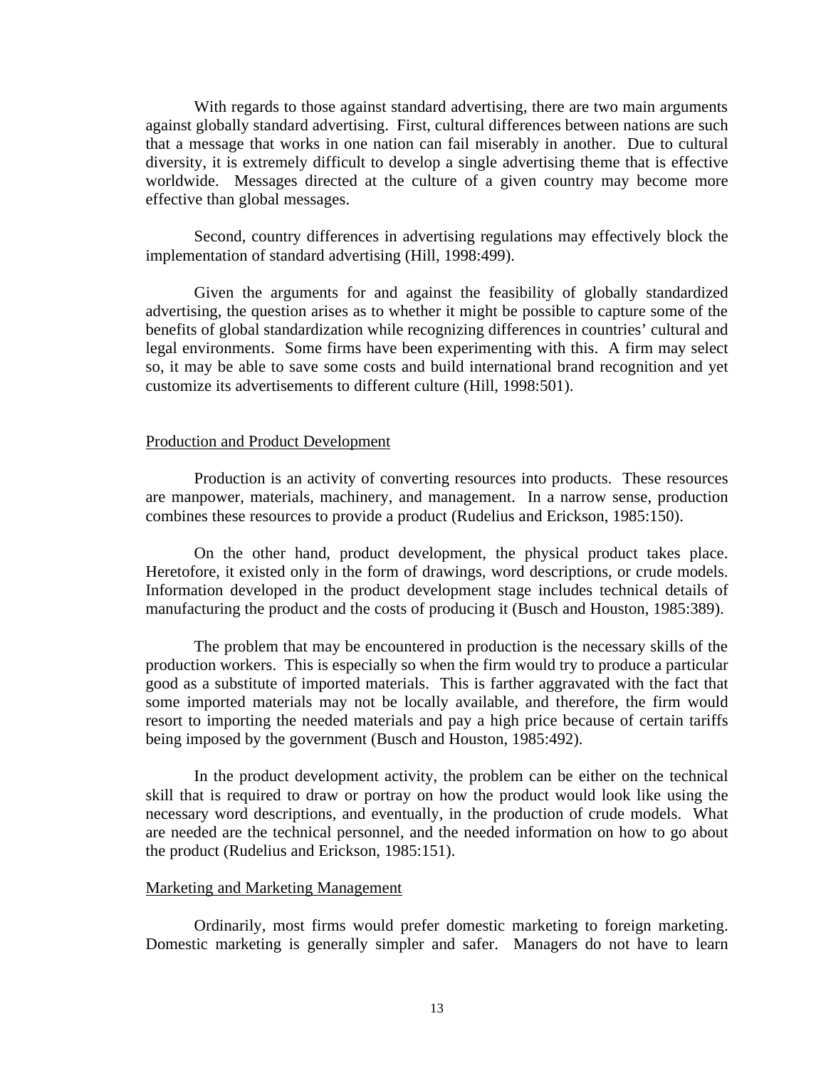With regards to those against standard advertising, there are two main arguments against globally standard advertising. First, cultural differences between nations are such that a message that works in one nation can fail miserably in another. Due to cultural diversity, it is extremely difficult to develop a single advertising theme that is effective worldwide. Messages directed at the culture of a given country may become more effective than global messages.

Second, country differences in advertising regulations may effectively block the implementation of standard advertising (Hill, 1998:499).

Given the arguments for and against the feasibility of globally standardized advertising, the question arises as to whether it might be possible to capture some of the benefits of global standardization while recognizing differences in countries' cultural and legal environments. Some firms have been experimenting with this. A firm may select so, it may be able to save some costs and build international brand recognition and yet customize its advertisements to different culture (Hill, 1998:501).

#### Production and Product Development

Production is an activity of converting resources into products. These resources are manpower, materials, machinery, and management. In a narrow sense, production combines these resources to provide a product (Rudelius and Erickson, 1985:150).

On the other hand, product development, the physical product takes place. Heretofore, it existed only in the form of drawings, word descriptions, or crude models. Information developed in the product development stage includes technical details of manufacturing the product and the costs of producing it (Busch and Houston, 1985:389).

The problem that may be encountered in production is the necessary skills of the production workers. This is especially so when the firm would try to produce a particular good as a substitute of imported materials. This is farther aggravated with the fact that some imported materials may not be locally available, and therefore, the firm would resort to importing the needed materials and pay a high price because of certain tariffs being imposed by the government (Busch and Houston, 1985:492).

In the product development activity, the problem can be either on the technical skill that is required to draw or portray on how the product would look like using the necessary word descriptions, and eventually, in the production of crude models. What are needed are the technical personnel, and the needed information on how to go about the product (Rudelius and Erickson, 1985:151).

#### Marketing and Marketing Management

Ordinarily, most firms would prefer domestic marketing to foreign marketing. Domestic marketing is generally simpler and safer. Managers do not have to learn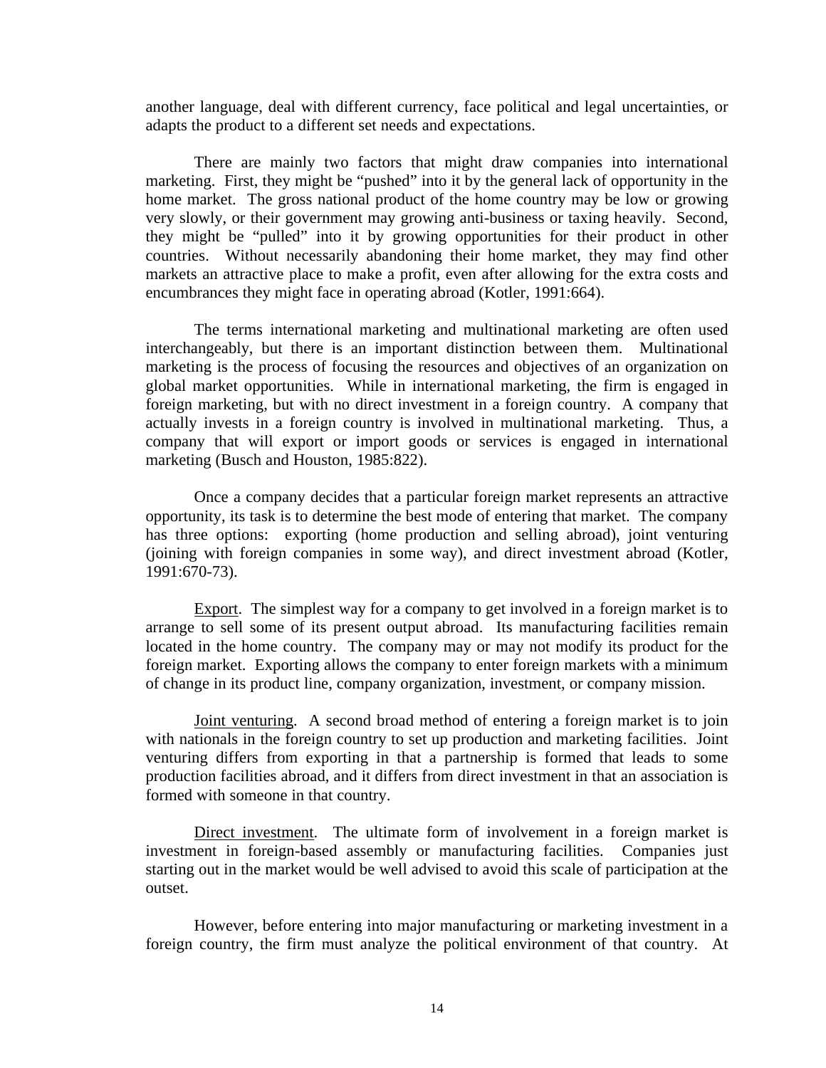another language, deal with different currency, face political and legal uncertainties, or adapts the product to a different set needs and expectations.

There are mainly two factors that might draw companies into international marketing. First, they might be "pushed" into it by the general lack of opportunity in the home market. The gross national product of the home country may be low or growing very slowly, or their government may growing anti-business or taxing heavily. Second, they might be "pulled" into it by growing opportunities for their product in other countries. Without necessarily abandoning their home market, they may find other markets an attractive place to make a profit, even after allowing for the extra costs and encumbrances they might face in operating abroad (Kotler, 1991:664).

The terms international marketing and multinational marketing are often used interchangeably, but there is an important distinction between them. Multinational marketing is the process of focusing the resources and objectives of an organization on global market opportunities. While in international marketing, the firm is engaged in foreign marketing, but with no direct investment in a foreign country. A company that actually invests in a foreign country is involved in multinational marketing. Thus, a company that will export or import goods or services is engaged in international marketing (Busch and Houston, 1985:822).

Once a company decides that a particular foreign market represents an attractive opportunity, its task is to determine the best mode of entering that market. The company has three options: exporting (home production and selling abroad), joint venturing (joining with foreign companies in some way), and direct investment abroad (Kotler, 1991:670-73).

Export. The simplest way for a company to get involved in a foreign market is to arrange to sell some of its present output abroad. Its manufacturing facilities remain located in the home country. The company may or may not modify its product for the foreign market. Exporting allows the company to enter foreign markets with a minimum of change in its product line, company organization, investment, or company mission.

Joint venturing. A second broad method of entering a foreign market is to join with nationals in the foreign country to set up production and marketing facilities. Joint venturing differs from exporting in that a partnership is formed that leads to some production facilities abroad, and it differs from direct investment in that an association is formed with someone in that country.

Direct investment. The ultimate form of involvement in a foreign market is investment in foreign-based assembly or manufacturing facilities. Companies just starting out in the market would be well advised to avoid this scale of participation at the outset.

However, before entering into major manufacturing or marketing investment in a foreign country, the firm must analyze the political environment of that country. At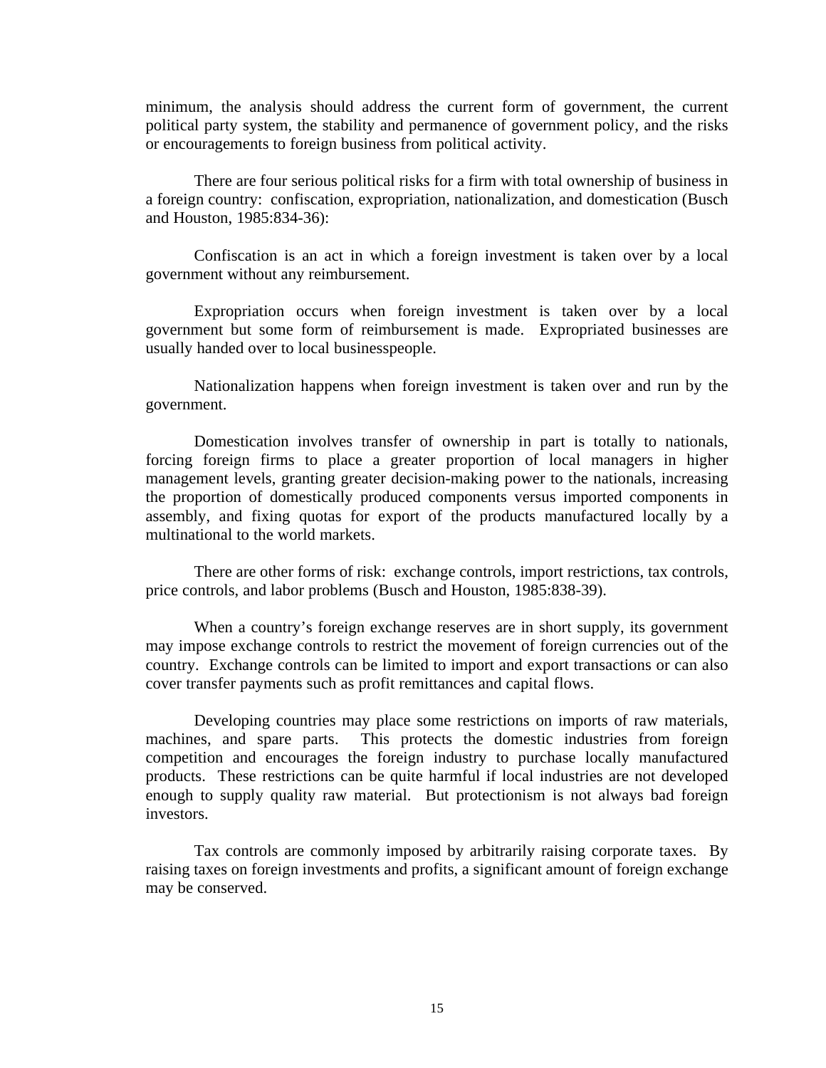minimum, the analysis should address the current form of government, the current political party system, the stability and permanence of government policy, and the risks or encouragements to foreign business from political activity.

There are four serious political risks for a firm with total ownership of business in a foreign country: confiscation, expropriation, nationalization, and domestication (Busch and Houston, 1985:834-36):

Confiscation is an act in which a foreign investment is taken over by a local government without any reimbursement.

Expropriation occurs when foreign investment is taken over by a local government but some form of reimbursement is made. Expropriated businesses are usually handed over to local businesspeople.

Nationalization happens when foreign investment is taken over and run by the government.

Domestication involves transfer of ownership in part is totally to nationals, forcing foreign firms to place a greater proportion of local managers in higher management levels, granting greater decision-making power to the nationals, increasing the proportion of domestically produced components versus imported components in assembly, and fixing quotas for export of the products manufactured locally by a multinational to the world markets.

There are other forms of risk: exchange controls, import restrictions, tax controls, price controls, and labor problems (Busch and Houston, 1985:838-39).

When a country's foreign exchange reserves are in short supply, its government may impose exchange controls to restrict the movement of foreign currencies out of the country. Exchange controls can be limited to import and export transactions or can also cover transfer payments such as profit remittances and capital flows.

Developing countries may place some restrictions on imports of raw materials, machines, and spare parts. This protects the domestic industries from foreign competition and encourages the foreign industry to purchase locally manufactured products. These restrictions can be quite harmful if local industries are not developed enough to supply quality raw material. But protectionism is not always bad foreign investors.

Tax controls are commonly imposed by arbitrarily raising corporate taxes. By raising taxes on foreign investments and profits, a significant amount of foreign exchange may be conserved.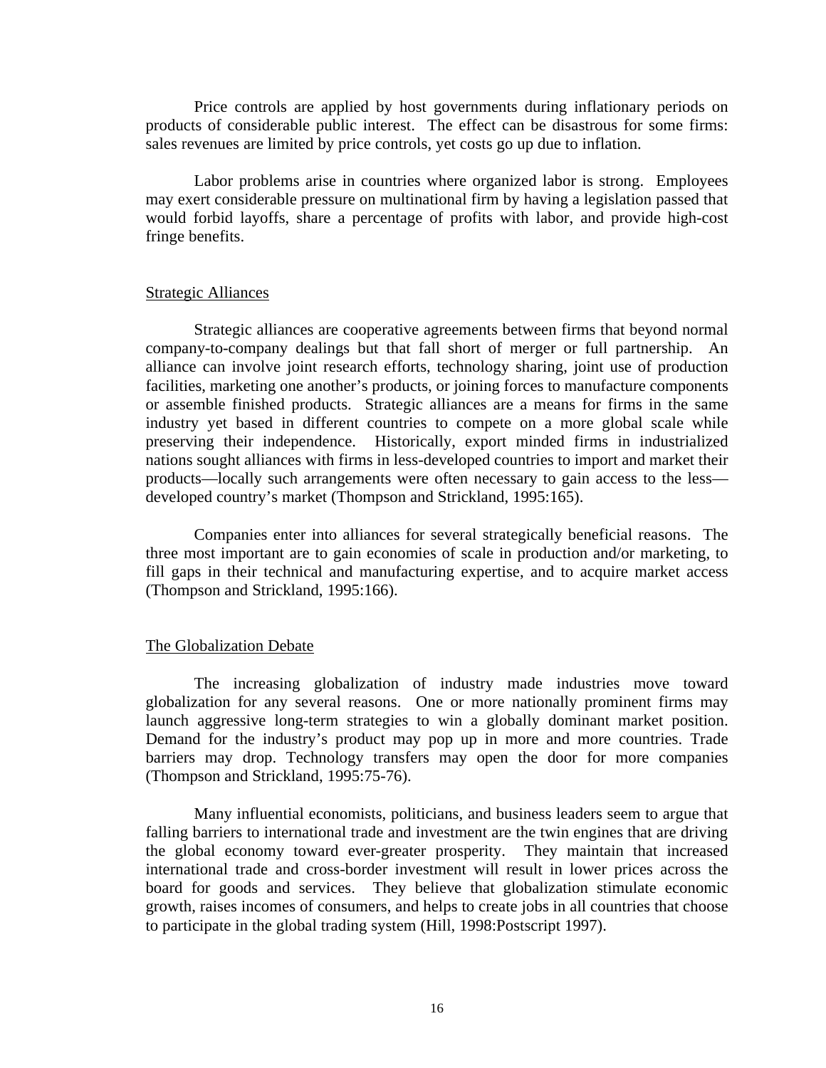Price controls are applied by host governments during inflationary periods on products of considerable public interest. The effect can be disastrous for some firms: sales revenues are limited by price controls, yet costs go up due to inflation.

Labor problems arise in countries where organized labor is strong. Employees may exert considerable pressure on multinational firm by having a legislation passed that would forbid layoffs, share a percentage of profits with labor, and provide high-cost fringe benefits.

#### Strategic Alliances

 Strategic alliances are cooperative agreements between firms that beyond normal company-to-company dealings but that fall short of merger or full partnership. An alliance can involve joint research efforts, technology sharing, joint use of production facilities, marketing one another's products, or joining forces to manufacture components or assemble finished products. Strategic alliances are a means for firms in the same industry yet based in different countries to compete on a more global scale while preserving their independence. Historically, export minded firms in industrialized nations sought alliances with firms in less-developed countries to import and market their products—locally such arrangements were often necessary to gain access to the less developed country's market (Thompson and Strickland, 1995:165).

Companies enter into alliances for several strategically beneficial reasons. The three most important are to gain economies of scale in production and/or marketing, to fill gaps in their technical and manufacturing expertise, and to acquire market access (Thompson and Strickland, 1995:166).

#### The Globalization Debate

The increasing globalization of industry made industries move toward globalization for any several reasons. One or more nationally prominent firms may launch aggressive long-term strategies to win a globally dominant market position. Demand for the industry's product may pop up in more and more countries. Trade barriers may drop. Technology transfers may open the door for more companies (Thompson and Strickland, 1995:75-76).

Many influential economists, politicians, and business leaders seem to argue that falling barriers to international trade and investment are the twin engines that are driving the global economy toward ever-greater prosperity. They maintain that increased international trade and cross-border investment will result in lower prices across the board for goods and services. They believe that globalization stimulate economic growth, raises incomes of consumers, and helps to create jobs in all countries that choose to participate in the global trading system (Hill, 1998:Postscript 1997).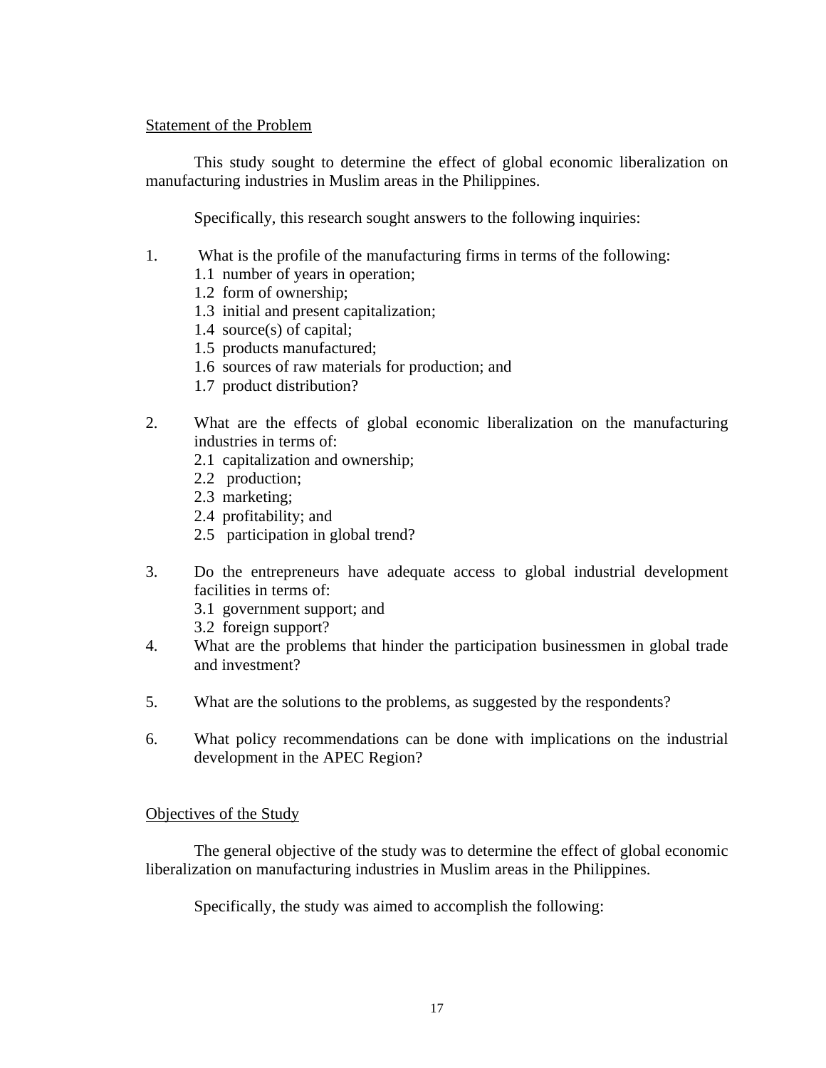## Statement of the Problem

This study sought to determine the effect of global economic liberalization on manufacturing industries in Muslim areas in the Philippines.

Specifically, this research sought answers to the following inquiries:

- 1. What is the profile of the manufacturing firms in terms of the following:
	- 1.1 number of years in operation;
	- 1.2 form of ownership;
	- 1.3 initial and present capitalization;
	- 1.4 source(s) of capital;
	- 1.5 products manufactured;
	- 1.6 sources of raw materials for production; and
	- 1.7 product distribution?
- 2. What are the effects of global economic liberalization on the manufacturing industries in terms of:
	- 2.1 capitalization and ownership;
	- 2.2 production;
	- 2.3 marketing;
	- 2.4 profitability; and
	- 2.5 participation in global trend?
- 3. Do the entrepreneurs have adequate access to global industrial development facilities in terms of:
	- 3.1 government support; and
	- 3.2 foreign support?
- 4. What are the problems that hinder the participation businessmen in global trade and investment?
- 5. What are the solutions to the problems, as suggested by the respondents?
- 6. What policy recommendations can be done with implications on the industrial development in the APEC Region?

## Objectives of the Study

 The general objective of the study was to determine the effect of global economic liberalization on manufacturing industries in Muslim areas in the Philippines.

Specifically, the study was aimed to accomplish the following: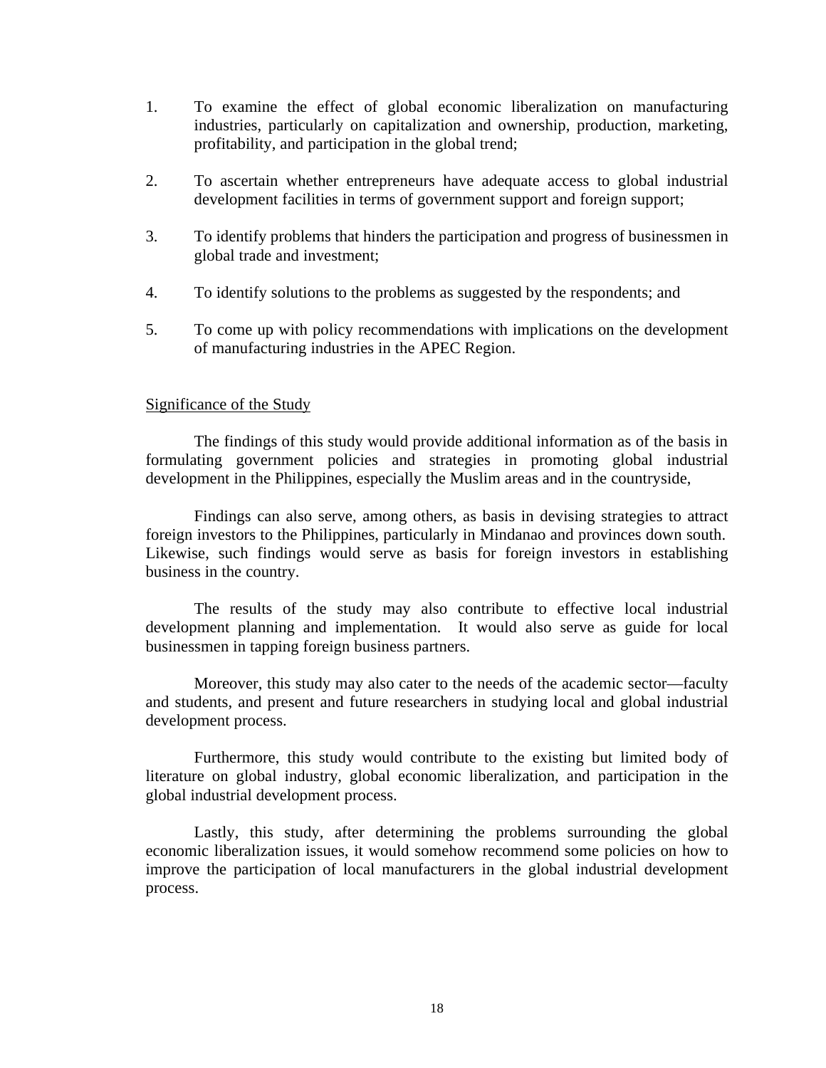- 1. To examine the effect of global economic liberalization on manufacturing industries, particularly on capitalization and ownership, production, marketing, profitability, and participation in the global trend;
- 2. To ascertain whether entrepreneurs have adequate access to global industrial development facilities in terms of government support and foreign support;
- 3. To identify problems that hinders the participation and progress of businessmen in global trade and investment;
- 4. To identify solutions to the problems as suggested by the respondents; and
- 5. To come up with policy recommendations with implications on the development of manufacturing industries in the APEC Region.

#### Significance of the Study

The findings of this study would provide additional information as of the basis in formulating government policies and strategies in promoting global industrial development in the Philippines, especially the Muslim areas and in the countryside,

Findings can also serve, among others, as basis in devising strategies to attract foreign investors to the Philippines, particularly in Mindanao and provinces down south. Likewise, such findings would serve as basis for foreign investors in establishing business in the country.

The results of the study may also contribute to effective local industrial development planning and implementation. It would also serve as guide for local businessmen in tapping foreign business partners.

Moreover, this study may also cater to the needs of the academic sector—faculty and students, and present and future researchers in studying local and global industrial development process.

Furthermore, this study would contribute to the existing but limited body of literature on global industry, global economic liberalization, and participation in the global industrial development process.

Lastly, this study, after determining the problems surrounding the global economic liberalization issues, it would somehow recommend some policies on how to improve the participation of local manufacturers in the global industrial development process.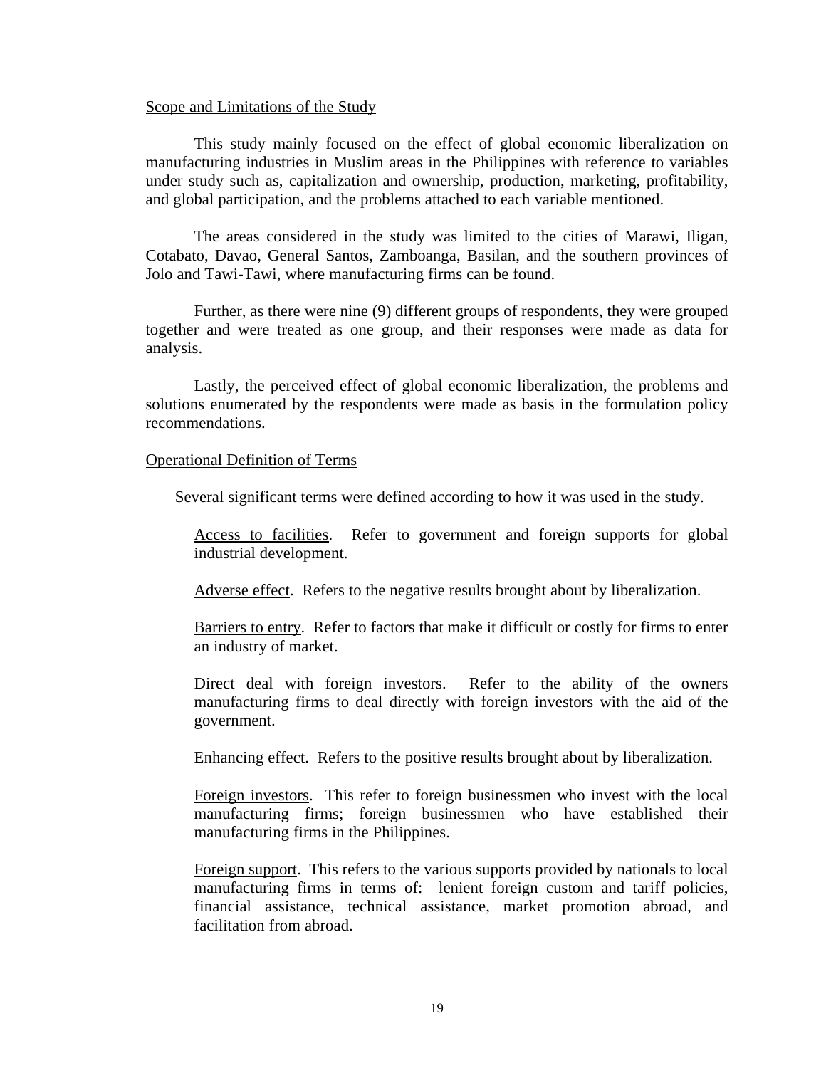#### Scope and Limitations of the Study

This study mainly focused on the effect of global economic liberalization on manufacturing industries in Muslim areas in the Philippines with reference to variables under study such as, capitalization and ownership, production, marketing, profitability, and global participation, and the problems attached to each variable mentioned.

The areas considered in the study was limited to the cities of Marawi, Iligan, Cotabato, Davao, General Santos, Zamboanga, Basilan, and the southern provinces of Jolo and Tawi-Tawi, where manufacturing firms can be found.

Further, as there were nine (9) different groups of respondents, they were grouped together and were treated as one group, and their responses were made as data for analysis.

Lastly, the perceived effect of global economic liberalization, the problems and solutions enumerated by the respondents were made as basis in the formulation policy recommendations.

#### Operational Definition of Terms

Several significant terms were defined according to how it was used in the study.

Access to facilities. Refer to government and foreign supports for global industrial development.

Adverse effect. Refers to the negative results brought about by liberalization.

Barriers to entry. Refer to factors that make it difficult or costly for firms to enter an industry of market.

Direct deal with foreign investors. Refer to the ability of the owners manufacturing firms to deal directly with foreign investors with the aid of the government.

Enhancing effect. Refers to the positive results brought about by liberalization.

Foreign investors. This refer to foreign businessmen who invest with the local manufacturing firms; foreign businessmen who have established their manufacturing firms in the Philippines.

Foreign support. This refers to the various supports provided by nationals to local manufacturing firms in terms of: lenient foreign custom and tariff policies, financial assistance, technical assistance, market promotion abroad, and facilitation from abroad.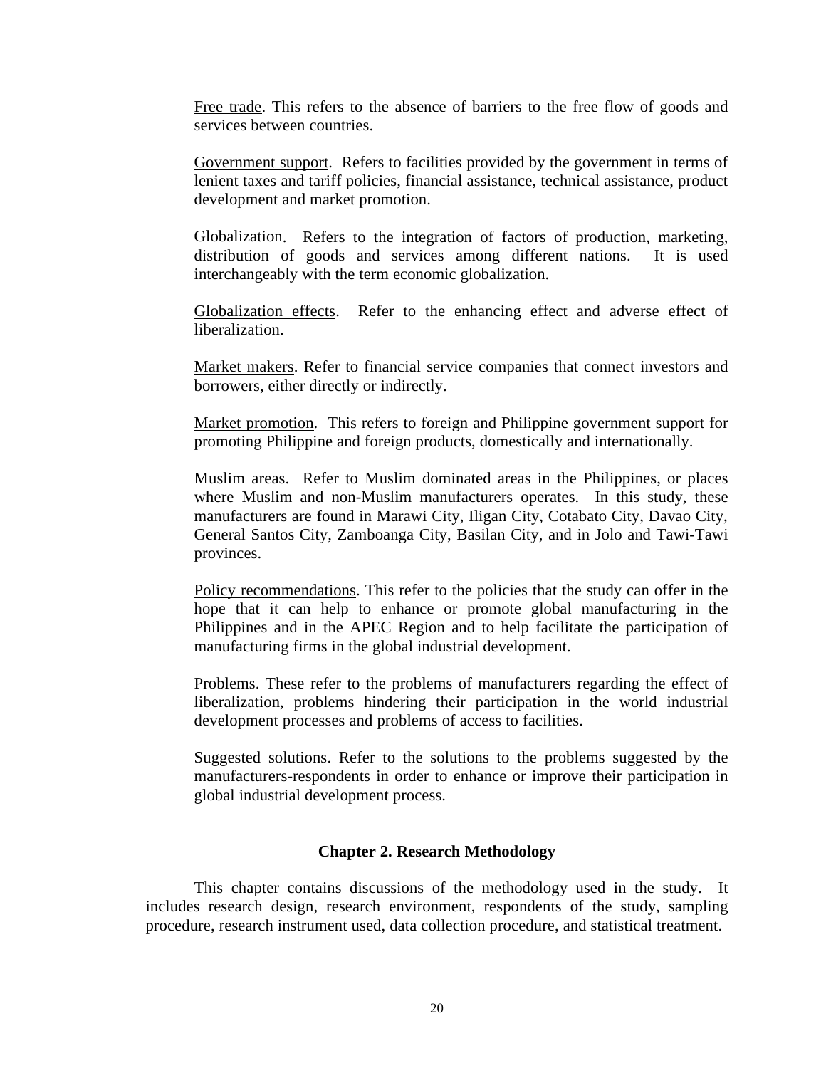Free trade. This refers to the absence of barriers to the free flow of goods and services between countries.

Government support. Refers to facilities provided by the government in terms of lenient taxes and tariff policies, financial assistance, technical assistance, product development and market promotion.

Globalization. Refers to the integration of factors of production, marketing, distribution of goods and services among different nations. It is used interchangeably with the term economic globalization.

Globalization effects. Refer to the enhancing effect and adverse effect of liberalization.

Market makers. Refer to financial service companies that connect investors and borrowers, either directly or indirectly.

Market promotion. This refers to foreign and Philippine government support for promoting Philippine and foreign products, domestically and internationally.

Muslim areas. Refer to Muslim dominated areas in the Philippines, or places where Muslim and non-Muslim manufacturers operates. In this study, these manufacturers are found in Marawi City, Iligan City, Cotabato City, Davao City, General Santos City, Zamboanga City, Basilan City, and in Jolo and Tawi-Tawi provinces.

Policy recommendations. This refer to the policies that the study can offer in the hope that it can help to enhance or promote global manufacturing in the Philippines and in the APEC Region and to help facilitate the participation of manufacturing firms in the global industrial development.

Problems. These refer to the problems of manufacturers regarding the effect of liberalization, problems hindering their participation in the world industrial development processes and problems of access to facilities.

Suggested solutions. Refer to the solutions to the problems suggested by the manufacturers-respondents in order to enhance or improve their participation in global industrial development process.

#### **Chapter 2. Research Methodology**

 This chapter contains discussions of the methodology used in the study. It includes research design, research environment, respondents of the study, sampling procedure, research instrument used, data collection procedure, and statistical treatment.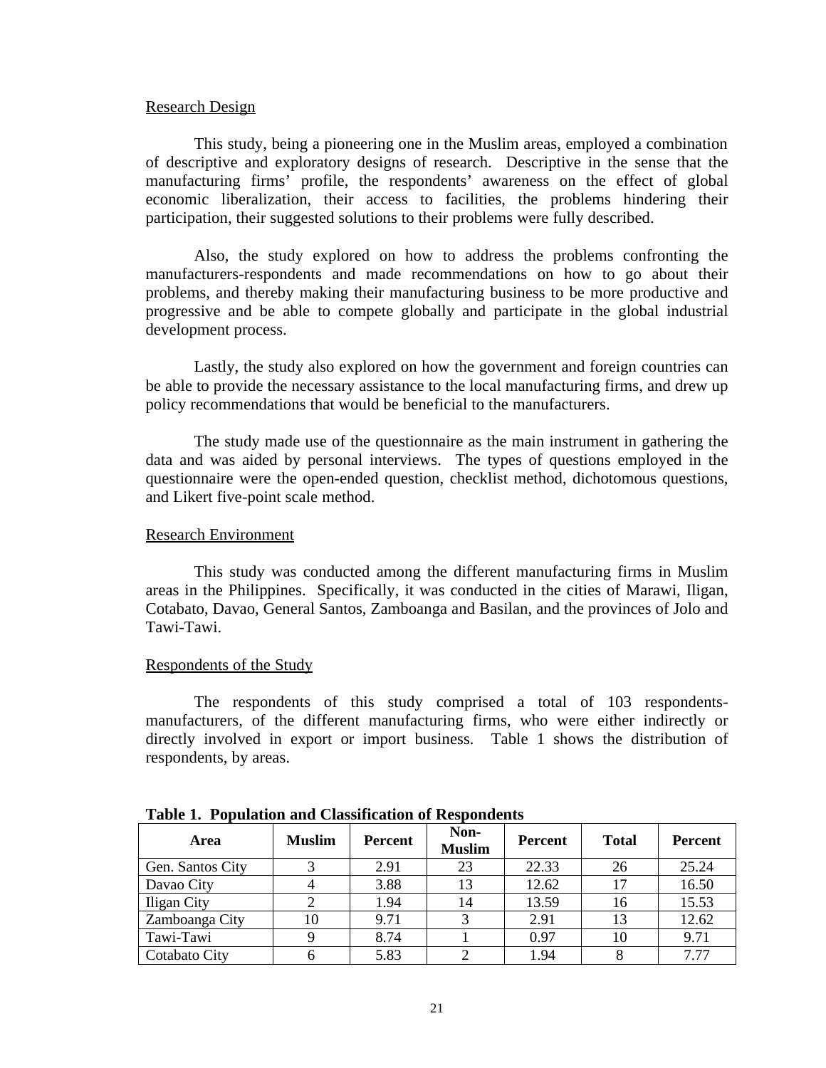#### Research Design

 This study, being a pioneering one in the Muslim areas, employed a combination of descriptive and exploratory designs of research. Descriptive in the sense that the manufacturing firms' profile, the respondents' awareness on the effect of global economic liberalization, their access to facilities, the problems hindering their participation, their suggested solutions to their problems were fully described.

Also, the study explored on how to address the problems confronting the manufacturers-respondents and made recommendations on how to go about their problems, and thereby making their manufacturing business to be more productive and progressive and be able to compete globally and participate in the global industrial development process.

Lastly, the study also explored on how the government and foreign countries can be able to provide the necessary assistance to the local manufacturing firms, and drew up policy recommendations that would be beneficial to the manufacturers.

The study made use of the questionnaire as the main instrument in gathering the data and was aided by personal interviews. The types of questions employed in the questionnaire were the open-ended question, checklist method, dichotomous questions, and Likert five-point scale method.

#### Research Environment

This study was conducted among the different manufacturing firms in Muslim areas in the Philippines. Specifically, it was conducted in the cities of Marawi, Iligan, Cotabato, Davao, General Santos, Zamboanga and Basilan, and the provinces of Jolo and Tawi-Tawi.

#### Respondents of the Study

The respondents of this study comprised a total of 103 respondentsmanufacturers, of the different manufacturing firms, who were either indirectly or directly involved in export or import business. Table 1 shows the distribution of respondents, by areas.

| ________________<br>. |               |                |                       |                |              |                |  |  |  |  |
|-----------------------|---------------|----------------|-----------------------|----------------|--------------|----------------|--|--|--|--|
| Area                  | <b>Muslim</b> | <b>Percent</b> | Non-<br><b>Muslim</b> | <b>Percent</b> | <b>Total</b> | <b>Percent</b> |  |  |  |  |
| Gen. Santos City      |               | 2.91           | 23                    | 22.33          | 26           | 25.24          |  |  |  |  |
| Davao City            |               | 3.88           | 13                    | 12.62          | 17           | 16.50          |  |  |  |  |
| Iligan City           |               | 1.94           | 14                    | 13.59          | 16           | 15.53          |  |  |  |  |
| Zamboanga City        | 10            | 9.71           |                       | 2.91           | 13           | 12.62          |  |  |  |  |
| Tawi-Tawi             |               | 8.74           |                       | 0.97           | 10           | 9.71           |  |  |  |  |
| Cotabato City         |               | 5.83           |                       | 1.94           |              | 7.77           |  |  |  |  |

**Table 1. Population and Classification of Respondents**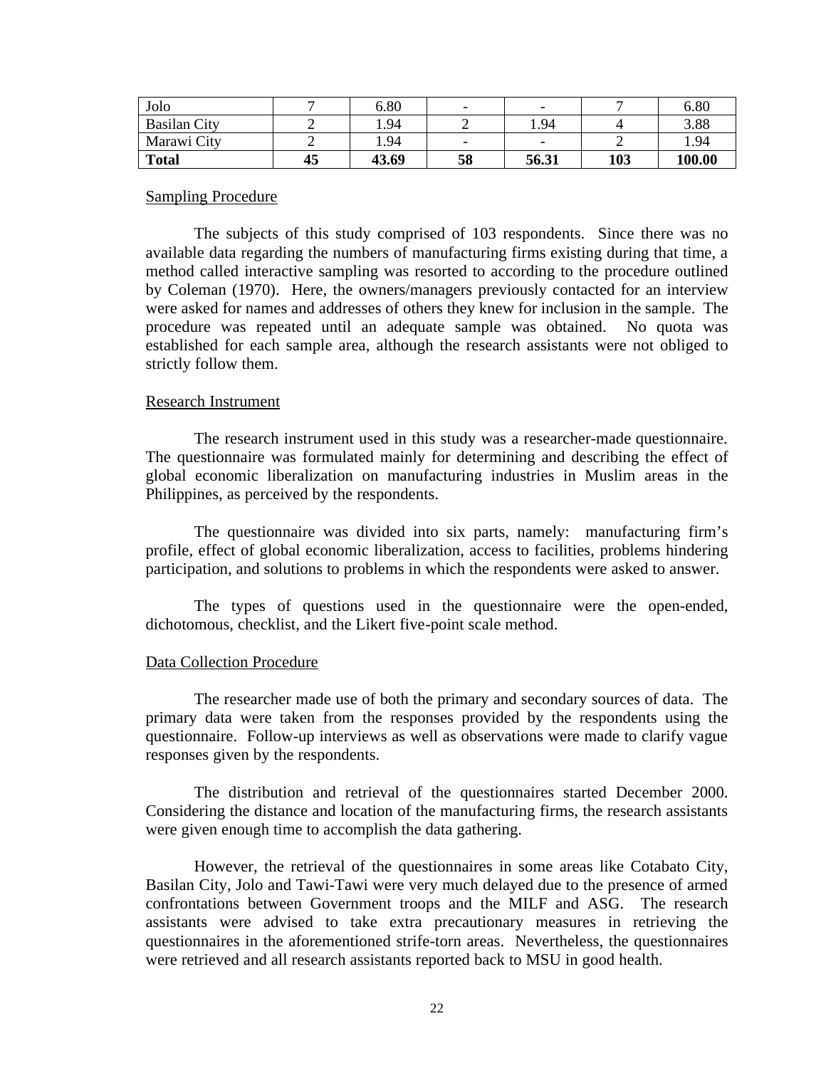| Jolo                |    | 6.80  |    | $\overline{\phantom{0}}$ |     | 6.80   |
|---------------------|----|-------|----|--------------------------|-----|--------|
| <b>Basilan City</b> |    | 1.94  |    | 1.94                     |     | 3.88   |
| Marawi City         |    | 1.94  | -  | $\overline{\phantom{0}}$ | -   | 1.94   |
| <b>Total</b>        | 45 | 43.69 | 58 | 56.31                    | 103 | 100.00 |

### Sampling Procedure

The subjects of this study comprised of 103 respondents. Since there was no available data regarding the numbers of manufacturing firms existing during that time, a method called interactive sampling was resorted to according to the procedure outlined by Coleman (1970). Here, the owners/managers previously contacted for an interview were asked for names and addresses of others they knew for inclusion in the sample. The procedure was repeated until an adequate sample was obtained. No quota was established for each sample area, although the research assistants were not obliged to strictly follow them.

## Research Instrument

The research instrument used in this study was a researcher-made questionnaire. The questionnaire was formulated mainly for determining and describing the effect of global economic liberalization on manufacturing industries in Muslim areas in the Philippines, as perceived by the respondents.

The questionnaire was divided into six parts, namely: manufacturing firm's profile, effect of global economic liberalization, access to facilities, problems hindering participation, and solutions to problems in which the respondents were asked to answer.

The types of questions used in the questionnaire were the open-ended, dichotomous, checklist, and the Likert five-point scale method.

## Data Collection Procedure

The researcher made use of both the primary and secondary sources of data. The primary data were taken from the responses provided by the respondents using the questionnaire. Follow-up interviews as well as observations were made to clarify vague responses given by the respondents.

The distribution and retrieval of the questionnaires started December 2000. Considering the distance and location of the manufacturing firms, the research assistants were given enough time to accomplish the data gathering.

However, the retrieval of the questionnaires in some areas like Cotabato City, Basilan City, Jolo and Tawi-Tawi were very much delayed due to the presence of armed confrontations between Government troops and the MILF and ASG. The research assistants were advised to take extra precautionary measures in retrieving the questionnaires in the aforementioned strife-torn areas. Nevertheless, the questionnaires were retrieved and all research assistants reported back to MSU in good health.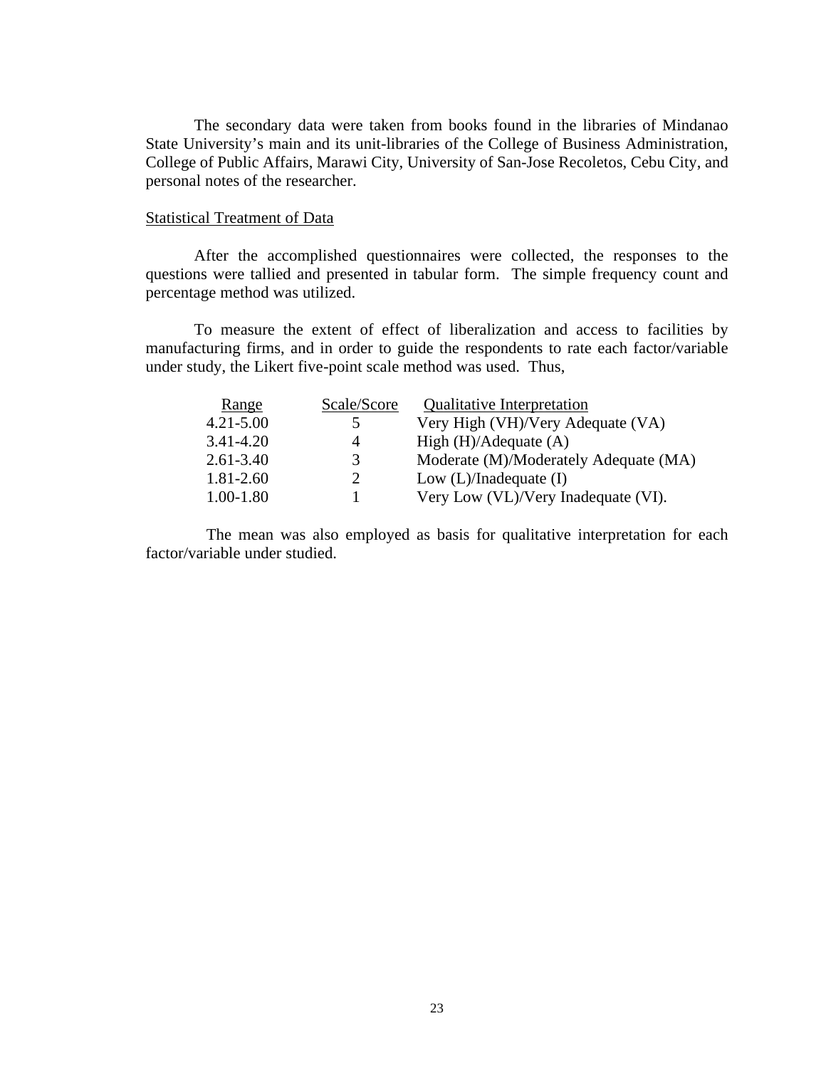The secondary data were taken from books found in the libraries of Mindanao State University's main and its unit-libraries of the College of Business Administration, College of Public Affairs, Marawi City, University of San-Jose Recoletos, Cebu City, and personal notes of the researcher.

#### Statistical Treatment of Data

After the accomplished questionnaires were collected, the responses to the questions were tallied and presented in tabular form. The simple frequency count and percentage method was utilized.

To measure the extent of effect of liberalization and access to facilities by manufacturing firms, and in order to guide the respondents to rate each factor/variable under study, the Likert five-point scale method was used. Thus,

| Range         | Scale/Score    | <b>Qualitative Interpretation</b>     |
|---------------|----------------|---------------------------------------|
| $4.21 - 5.00$ | 5              | Very High (VH)/Very Adequate (VA)     |
| $3.41 - 4.20$ | 4              | High $(H)/$ Adequate $(A)$            |
| $2.61 - 3.40$ | 3              | Moderate (M)/Moderately Adequate (MA) |
| 1.81-2.60     | $\overline{2}$ | Low $(L)/$ Inadequate $(I)$           |
| $1.00 - 1.80$ |                | Very Low (VL)/Very Inadequate (VI).   |

The mean was also employed as basis for qualitative interpretation for each factor/variable under studied.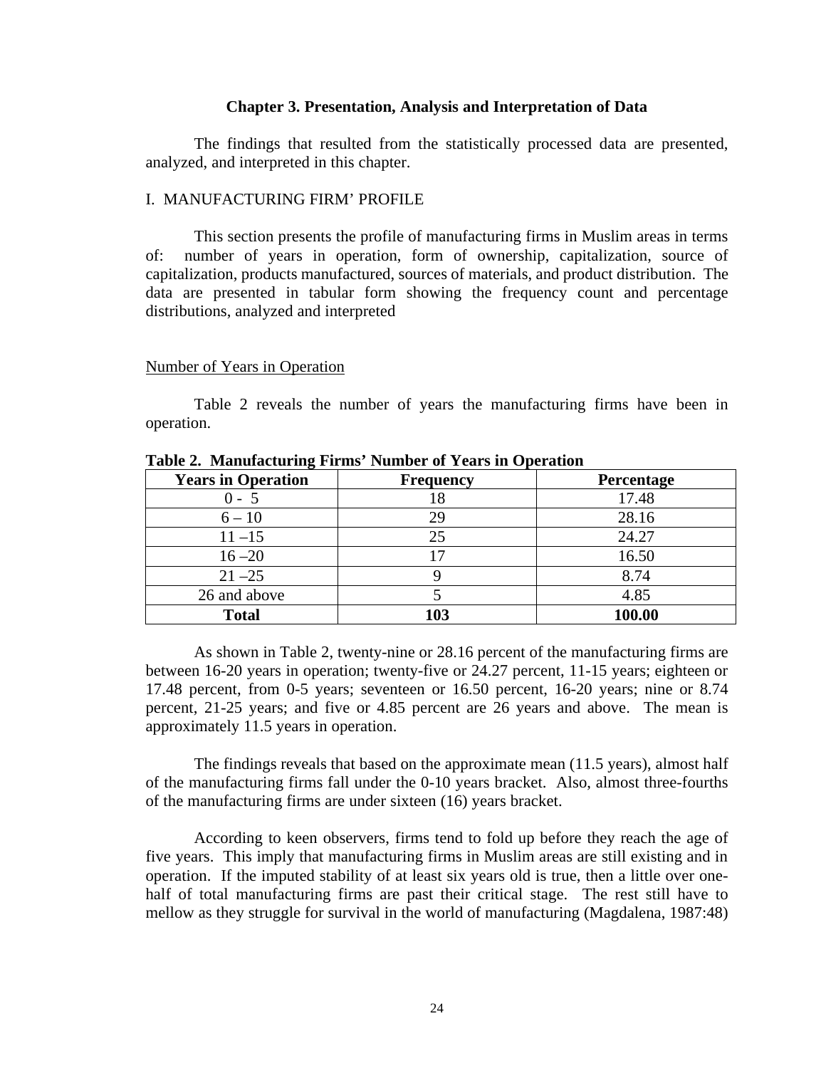### **Chapter 3. Presentation, Analysis and Interpretation of Data**

 The findings that resulted from the statistically processed data are presented, analyzed, and interpreted in this chapter.

# I. MANUFACTURING FIRM' PROFILE

This section presents the profile of manufacturing firms in Muslim areas in terms of: number of years in operation, form of ownership, capitalization, source of capitalization, products manufactured, sources of materials, and product distribution. The data are presented in tabular form showing the frequency count and percentage distributions, analyzed and interpreted

#### Number of Years in Operation

 Table 2 reveals the number of years the manufacturing firms have been in operation.

| <b>Years in Operation</b> | <b>Frequency</b> | Percentage |
|---------------------------|------------------|------------|
| $0 - 5$                   |                  | 17.48      |
| $6 - 10$                  | 29               | 28.16      |
| $11 - 15$                 | 25               | 24.27      |
| $16 - 20$                 |                  | 16.50      |
| $21 - 25$                 |                  | 8.74       |
| 26 and above              |                  | 4.85       |
| <b>Total</b>              | 103              | 100.00     |

**Table 2. Manufacturing Firms' Number of Years in Operation**

 As shown in Table 2, twenty-nine or 28.16 percent of the manufacturing firms are between 16-20 years in operation; twenty-five or 24.27 percent, 11-15 years; eighteen or 17.48 percent, from 0-5 years; seventeen or 16.50 percent, 16-20 years; nine or 8.74 percent, 21-25 years; and five or 4.85 percent are 26 years and above. The mean is approximately 11.5 years in operation.

The findings reveals that based on the approximate mean (11.5 years), almost half of the manufacturing firms fall under the 0-10 years bracket. Also, almost three-fourths of the manufacturing firms are under sixteen (16) years bracket.

According to keen observers, firms tend to fold up before they reach the age of five years. This imply that manufacturing firms in Muslim areas are still existing and in operation. If the imputed stability of at least six years old is true, then a little over onehalf of total manufacturing firms are past their critical stage. The rest still have to mellow as they struggle for survival in the world of manufacturing (Magdalena, 1987:48)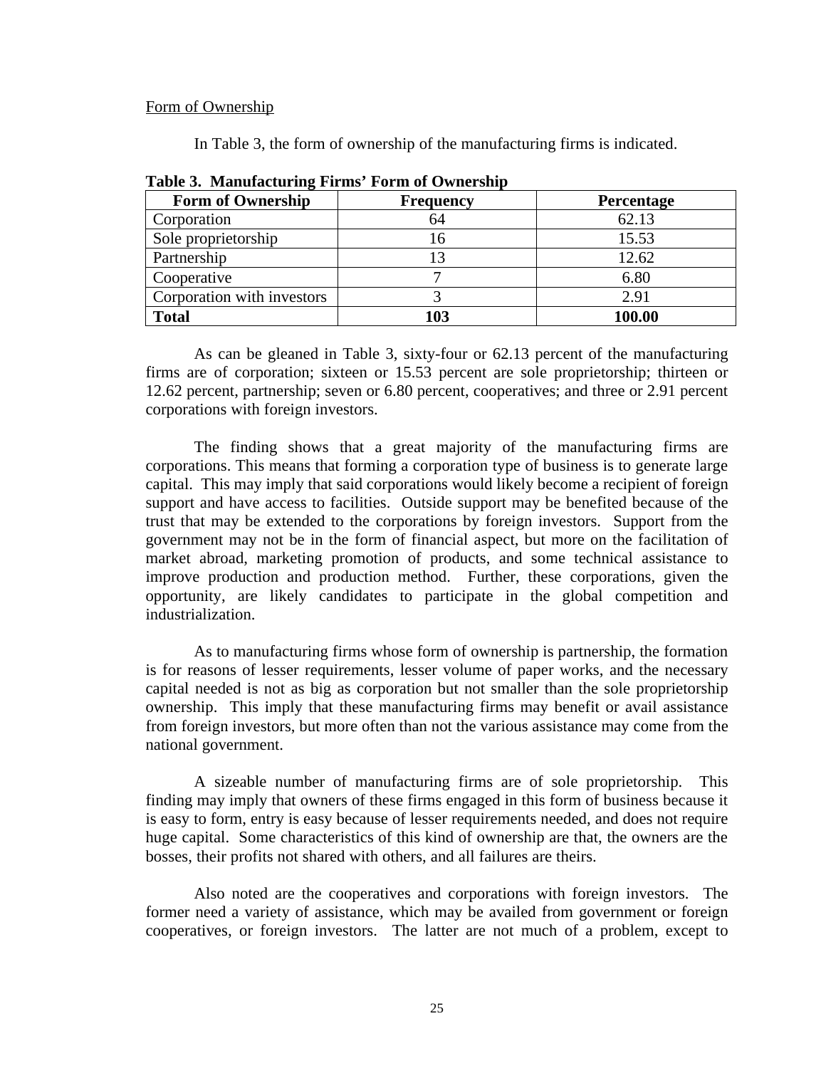### Form of Ownership

In Table 3, the form of ownership of the manufacturing firms is indicated.

| <b>Form of Ownership</b>   | <b>Frequency</b> | <b>Percentage</b> |
|----------------------------|------------------|-------------------|
| Corporation                | 64               | 62.13             |
| Sole proprietorship        | 16               | 15.53             |
| Partnership                |                  | 12.62             |
| Cooperative                |                  | 6.80              |
| Corporation with investors |                  | 2.91              |
| <b>Total</b>               | 103              | 100.00            |

**Table 3. Manufacturing Firms' Form of Ownership**

 As can be gleaned in Table 3, sixty-four or 62.13 percent of the manufacturing firms are of corporation; sixteen or 15.53 percent are sole proprietorship; thirteen or 12.62 percent, partnership; seven or 6.80 percent, cooperatives; and three or 2.91 percent corporations with foreign investors.

The finding shows that a great majority of the manufacturing firms are corporations. This means that forming a corporation type of business is to generate large capital. This may imply that said corporations would likely become a recipient of foreign support and have access to facilities. Outside support may be benefited because of the trust that may be extended to the corporations by foreign investors. Support from the government may not be in the form of financial aspect, but more on the facilitation of market abroad, marketing promotion of products, and some technical assistance to improve production and production method. Further, these corporations, given the opportunity, are likely candidates to participate in the global competition and industrialization.

As to manufacturing firms whose form of ownership is partnership, the formation is for reasons of lesser requirements, lesser volume of paper works, and the necessary capital needed is not as big as corporation but not smaller than the sole proprietorship ownership. This imply that these manufacturing firms may benefit or avail assistance from foreign investors, but more often than not the various assistance may come from the national government.

A sizeable number of manufacturing firms are of sole proprietorship. This finding may imply that owners of these firms engaged in this form of business because it is easy to form, entry is easy because of lesser requirements needed, and does not require huge capital. Some characteristics of this kind of ownership are that, the owners are the bosses, their profits not shared with others, and all failures are theirs.

Also noted are the cooperatives and corporations with foreign investors. The former need a variety of assistance, which may be availed from government or foreign cooperatives, or foreign investors. The latter are not much of a problem, except to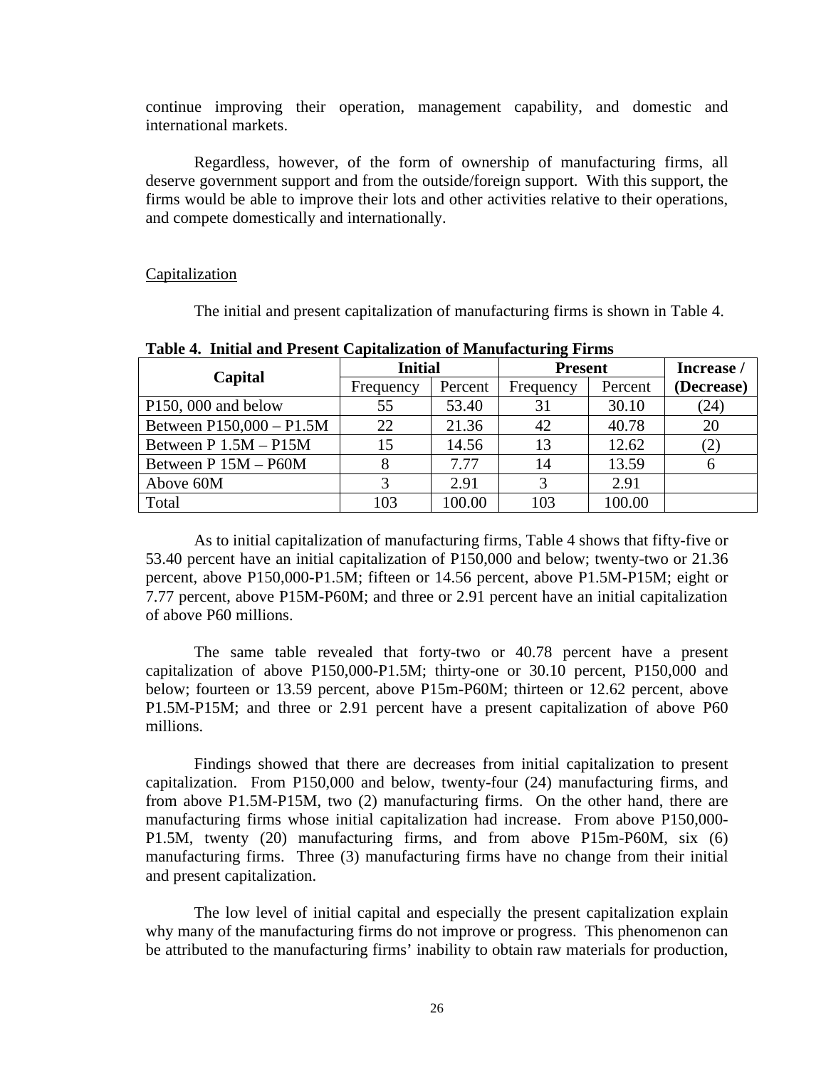continue improving their operation, management capability, and domestic and international markets.

Regardless, however, of the form of ownership of manufacturing firms, all deserve government support and from the outside/foreign support. With this support, the firms would be able to improve their lots and other activities relative to their operations, and compete domestically and internationally.

### **Capitalization**

The initial and present capitalization of manufacturing firms is shown in Table 4.

| Capital                   | <b>Initial</b> |         | <b>Present</b> | Increase / |            |
|---------------------------|----------------|---------|----------------|------------|------------|
|                           | Frequency      | Percent | Frequency      | Percent    | (Decrease) |
| $P150$ , 000 and below    | 55             | 53.40   | 31             | 30.10      | (24)       |
| Between P150,000 - P1.5M  | 22             | 21.36   | 42             | 40.78      | 20         |
| Between $P$ 1.5M – $P15M$ | 15             | 14.56   | 13             | 12.62      | (2)        |
| Between P 15M - P60M      |                | 7.77    | 14             | 13.59      |            |
| Above 60M                 |                | 2.91    | $\mathbf 3$    | 2.91       |            |
| Total                     | 103            | 100.00  | 103            | 100.00     |            |

**Table 4. Initial and Present Capitalization of Manufacturing Firms**

 As to initial capitalization of manufacturing firms, Table 4 shows that fifty-five or 53.40 percent have an initial capitalization of P150,000 and below; twenty-two or 21.36 percent, above P150,000-P1.5M; fifteen or 14.56 percent, above P1.5M-P15M; eight or 7.77 percent, above P15M-P60M; and three or 2.91 percent have an initial capitalization of above P60 millions.

The same table revealed that forty-two or 40.78 percent have a present capitalization of above P150,000-P1.5M; thirty-one or 30.10 percent, P150,000 and below; fourteen or 13.59 percent, above P15m-P60M; thirteen or 12.62 percent, above P1.5M-P15M; and three or 2.91 percent have a present capitalization of above P60 millions.

Findings showed that there are decreases from initial capitalization to present capitalization. From P150,000 and below, twenty-four (24) manufacturing firms, and from above P1.5M-P15M, two (2) manufacturing firms. On the other hand, there are manufacturing firms whose initial capitalization had increase. From above P150,000- P1.5M, twenty (20) manufacturing firms, and from above P15m-P60M, six (6) manufacturing firms. Three (3) manufacturing firms have no change from their initial and present capitalization.

The low level of initial capital and especially the present capitalization explain why many of the manufacturing firms do not improve or progress. This phenomenon can be attributed to the manufacturing firms' inability to obtain raw materials for production,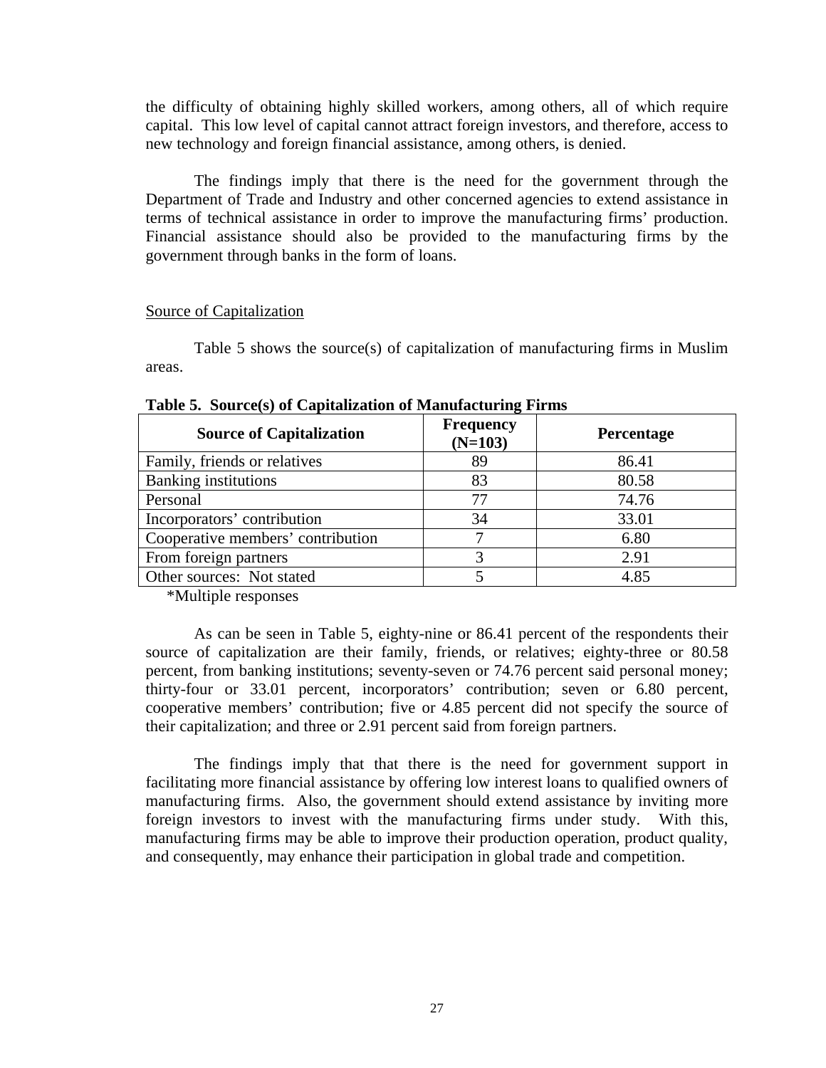the difficulty of obtaining highly skilled workers, among others, all of which require capital. This low level of capital cannot attract foreign investors, and therefore, access to new technology and foreign financial assistance, among others, is denied.

The findings imply that there is the need for the government through the Department of Trade and Industry and other concerned agencies to extend assistance in terms of technical assistance in order to improve the manufacturing firms' production. Financial assistance should also be provided to the manufacturing firms by the government through banks in the form of loans.

#### Source of Capitalization

 Table 5 shows the source(s) of capitalization of manufacturing firms in Muslim areas.

| <b>Source of Capitalization</b>   | Frequency<br>$(N=103)$ | <b>Percentage</b> |
|-----------------------------------|------------------------|-------------------|
| Family, friends or relatives      | 89                     | 86.41             |
| <b>Banking institutions</b>       | 83                     | 80.58             |
| Personal                          | 77                     | 74.76             |
| Incorporators' contribution       | 34                     | 33.01             |
| Cooperative members' contribution |                        | 6.80              |
| From foreign partners             |                        | 2.91              |
| Other sources: Not stated         |                        | 4.85              |

**Table 5. Source(s) of Capitalization of Manufacturing Firms**

\*Multiple responses

As can be seen in Table 5, eighty-nine or 86.41 percent of the respondents their source of capitalization are their family, friends, or relatives; eighty-three or 80.58 percent, from banking institutions; seventy-seven or 74.76 percent said personal money; thirty-four or 33.01 percent, incorporators' contribution; seven or 6.80 percent, cooperative members' contribution; five or 4.85 percent did not specify the source of their capitalization; and three or 2.91 percent said from foreign partners.

The findings imply that that there is the need for government support in facilitating more financial assistance by offering low interest loans to qualified owners of manufacturing firms. Also, the government should extend assistance by inviting more foreign investors to invest with the manufacturing firms under study. With this, manufacturing firms may be able to improve their production operation, product quality, and consequently, may enhance their participation in global trade and competition.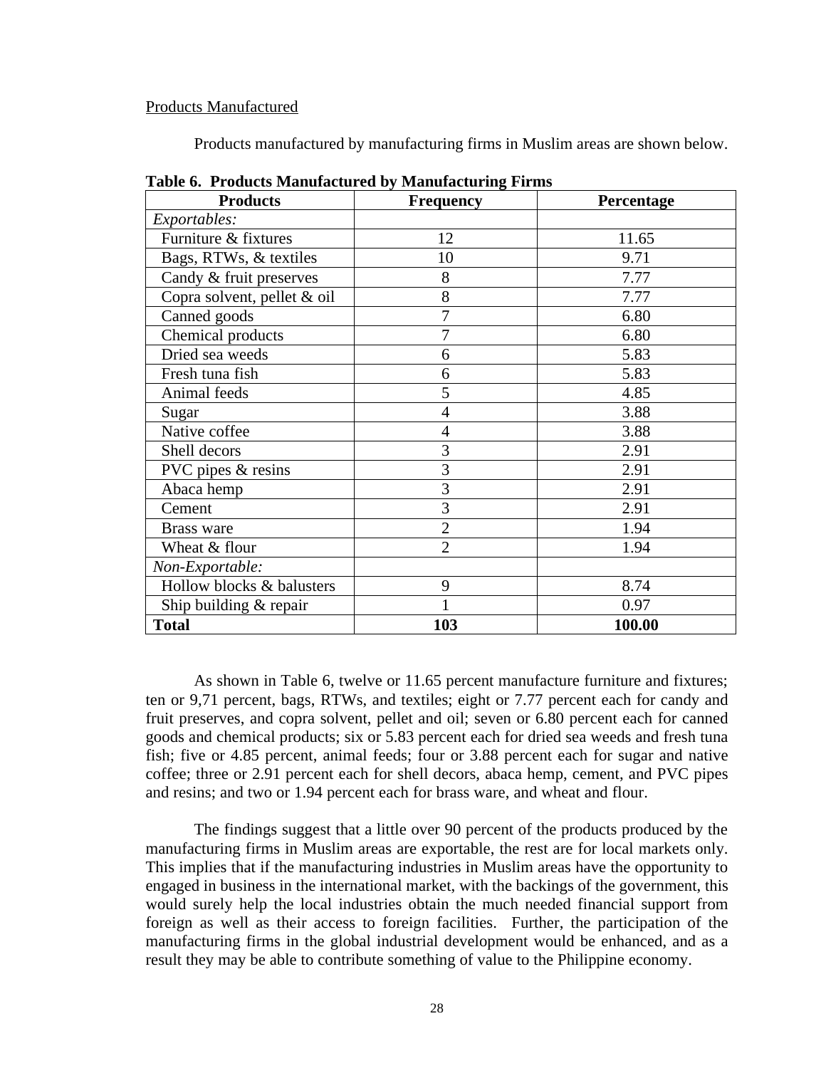### Products Manufactured

Products manufactured by manufacturing firms in Muslim areas are shown below.

| <b>Products</b>             | <b>Frequency</b> | Percentage |
|-----------------------------|------------------|------------|
| Exportables:                |                  |            |
| Furniture & fixtures        | 12               | 11.65      |
| Bags, RTWs, & textiles      | 10               | 9.71       |
| Candy & fruit preserves     | 8                | 7.77       |
| Copra solvent, pellet & oil | 8                | 7.77       |
| Canned goods                | 7                | 6.80       |
| Chemical products           | 7                | 6.80       |
| Dried sea weeds             | 6                | 5.83       |
| Fresh tuna fish             | 6                | 5.83       |
| Animal feeds                | 5                | 4.85       |
| Sugar                       | 4                | 3.88       |
| Native coffee               | 4                | 3.88       |
| Shell decors                | 3                | 2.91       |
| PVC pipes & resins          | 3                | 2.91       |
| Abaca hemp                  | 3                | 2.91       |
| Cement                      | 3                | 2.91       |
| Brass ware                  | $\overline{2}$   | 1.94       |
| Wheat & flour               | $\overline{2}$   | 1.94       |
| Non-Exportable:             |                  |            |
| Hollow blocks & balusters   | 9                | 8.74       |
| Ship building & repair      |                  | 0.97       |
| <b>Total</b>                | 103              | 100.00     |

**Table 6. Products Manufactured by Manufacturing Firms**

As shown in Table 6, twelve or 11.65 percent manufacture furniture and fixtures; ten or 9,71 percent, bags, RTWs, and textiles; eight or 7.77 percent each for candy and fruit preserves, and copra solvent, pellet and oil; seven or 6.80 percent each for canned goods and chemical products; six or 5.83 percent each for dried sea weeds and fresh tuna fish; five or 4.85 percent, animal feeds; four or 3.88 percent each for sugar and native coffee; three or 2.91 percent each for shell decors, abaca hemp, cement, and PVC pipes and resins; and two or 1.94 percent each for brass ware, and wheat and flour.

The findings suggest that a little over 90 percent of the products produced by the manufacturing firms in Muslim areas are exportable, the rest are for local markets only. This implies that if the manufacturing industries in Muslim areas have the opportunity to engaged in business in the international market, with the backings of the government, this would surely help the local industries obtain the much needed financial support from foreign as well as their access to foreign facilities. Further, the participation of the manufacturing firms in the global industrial development would be enhanced, and as a result they may be able to contribute something of value to the Philippine economy.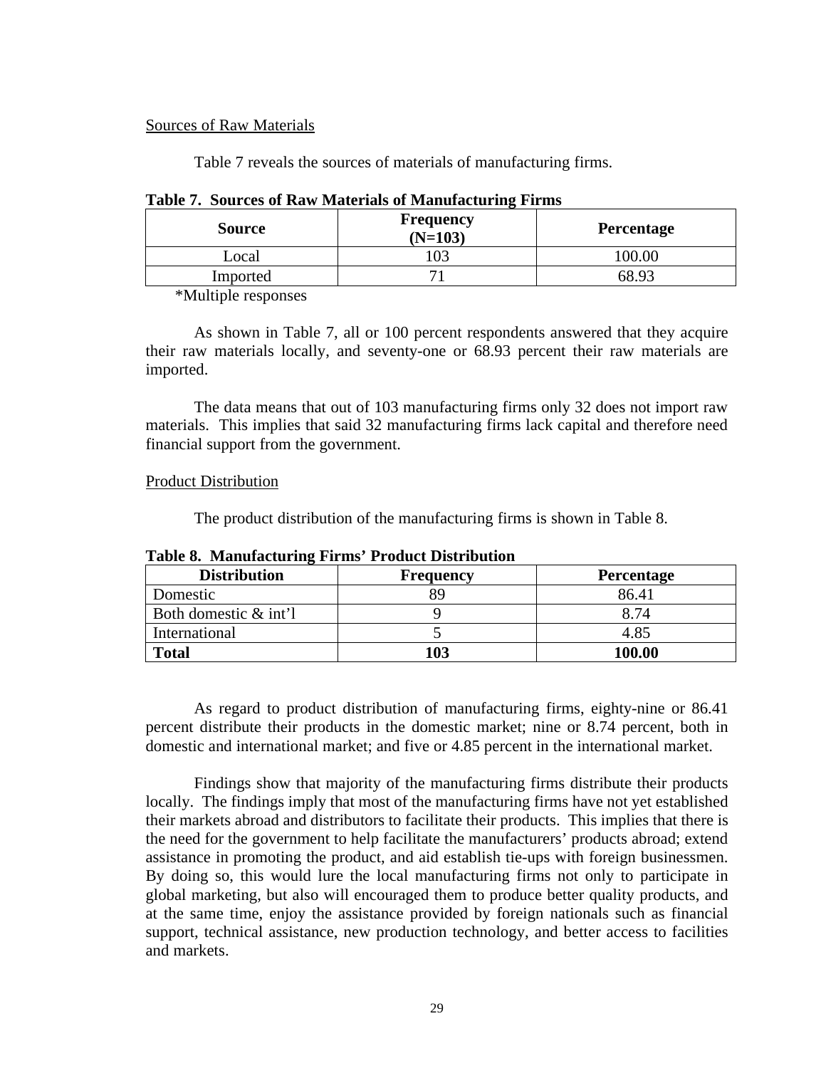## Sources of Raw Materials

Table 7 reveals the sources of materials of manufacturing firms.

| <b>Source</b> | <b>Frequency</b><br>$(N=103)$ | <b>Percentage</b> |
|---------------|-------------------------------|-------------------|
| ∟ocal         |                               |                   |
| Imported      |                               | 68.9 <sup>2</sup> |

### **Table 7. Sources of Raw Materials of Manufacturing Firms**

\*Multiple responses

As shown in Table 7, all or 100 percent respondents answered that they acquire their raw materials locally, and seventy-one or 68.93 percent their raw materials are imported.

The data means that out of 103 manufacturing firms only 32 does not import raw materials. This implies that said 32 manufacturing firms lack capital and therefore need financial support from the government.

# Product Distribution

The product distribution of the manufacturing firms is shown in Table 8.

| <b>Distribution</b>      | <b>Frequency</b> | <b>Percentage</b> |  |  |  |  |  |  |  |
|--------------------------|------------------|-------------------|--|--|--|--|--|--|--|
| Domestic                 |                  | 86.41             |  |  |  |  |  |  |  |
| Both domestic $\&$ int'l |                  | 8.74              |  |  |  |  |  |  |  |
| International            |                  | 4.85              |  |  |  |  |  |  |  |
| <b>Total</b>             | 103              | 100.00            |  |  |  |  |  |  |  |

**Table 8. Manufacturing Firms' Product Distribution**

As regard to product distribution of manufacturing firms, eighty-nine or 86.41 percent distribute their products in the domestic market; nine or 8.74 percent, both in domestic and international market; and five or 4.85 percent in the international market.

Findings show that majority of the manufacturing firms distribute their products locally. The findings imply that most of the manufacturing firms have not yet established their markets abroad and distributors to facilitate their products. This implies that there is the need for the government to help facilitate the manufacturers' products abroad; extend assistance in promoting the product, and aid establish tie-ups with foreign businessmen. By doing so, this would lure the local manufacturing firms not only to participate in global marketing, but also will encouraged them to produce better quality products, and at the same time, enjoy the assistance provided by foreign nationals such as financial support, technical assistance, new production technology, and better access to facilities and markets.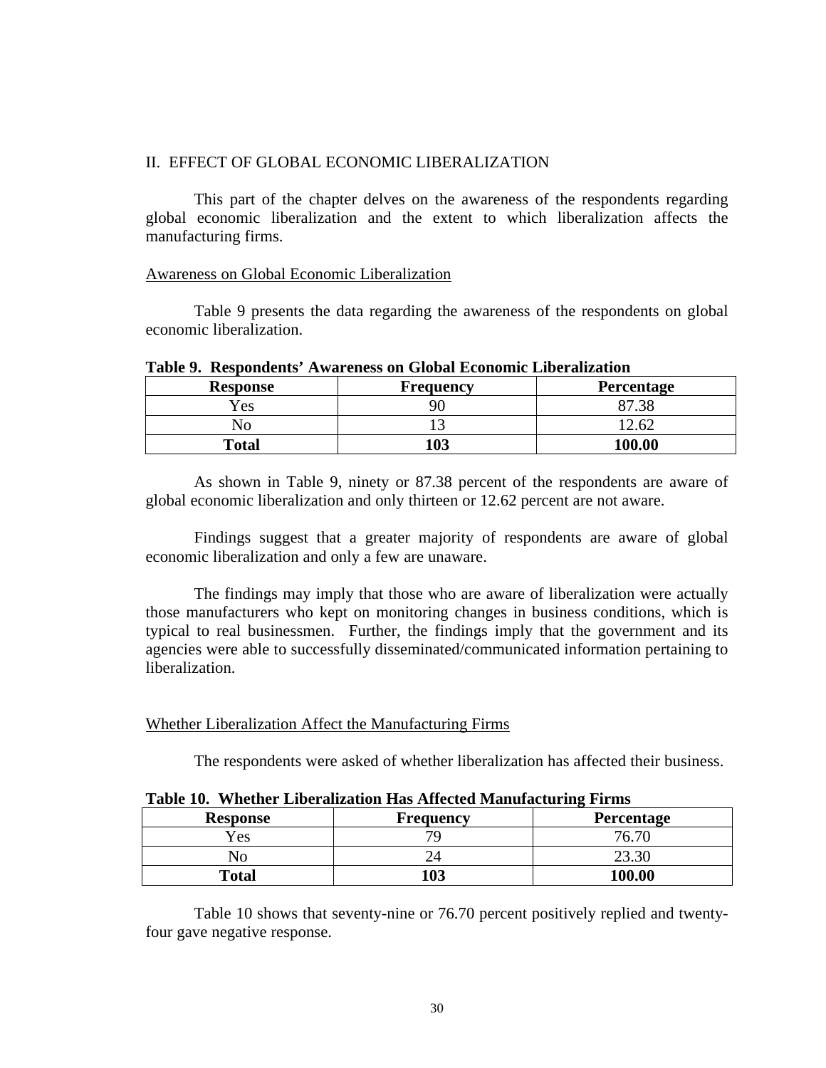# II. EFFECT OF GLOBAL ECONOMIC LIBERALIZATION

 This part of the chapter delves on the awareness of the respondents regarding global economic liberalization and the extent to which liberalization affects the manufacturing firms.

## Awareness on Global Economic Liberalization

Table 9 presents the data regarding the awareness of the respondents on global economic liberalization.

| TROIG 21 INDICATED ITIMPEDD ON OTODAN DECIMINATION MINUMENT |                  |                   |  |  |  |  |  |  |  |  |
|-------------------------------------------------------------|------------------|-------------------|--|--|--|--|--|--|--|--|
| <b>Response</b>                                             | <b>Frequency</b> | <b>Percentage</b> |  |  |  |  |  |  |  |  |
| Yes                                                         |                  |                   |  |  |  |  |  |  |  |  |
|                                                             |                  |                   |  |  |  |  |  |  |  |  |
| Total                                                       | 1 N 2            | 100.00            |  |  |  |  |  |  |  |  |

# **Table 9. Respondents' Awareness on Global Economic Liberalization**

 As shown in Table 9, ninety or 87.38 percent of the respondents are aware of global economic liberalization and only thirteen or 12.62 percent are not aware.

Findings suggest that a greater majority of respondents are aware of global economic liberalization and only a few are unaware.

The findings may imply that those who are aware of liberalization were actually those manufacturers who kept on monitoring changes in business conditions, which is typical to real businessmen. Further, the findings imply that the government and its agencies were able to successfully disseminated/communicated information pertaining to liberalization.

## Whether Liberalization Affect the Manufacturing Firms

The respondents were asked of whether liberalization has affected their business.

| <b>Response</b> | Frequency | <b>Percentage</b> |
|-----------------|-----------|-------------------|
| Yes             |           | 76.70             |
| NO              |           |                   |
| Total           | 103       | 100.00            |

## **Table 10. Whether Liberalization Has Affected Manufacturing Firms**

 Table 10 shows that seventy-nine or 76.70 percent positively replied and twentyfour gave negative response.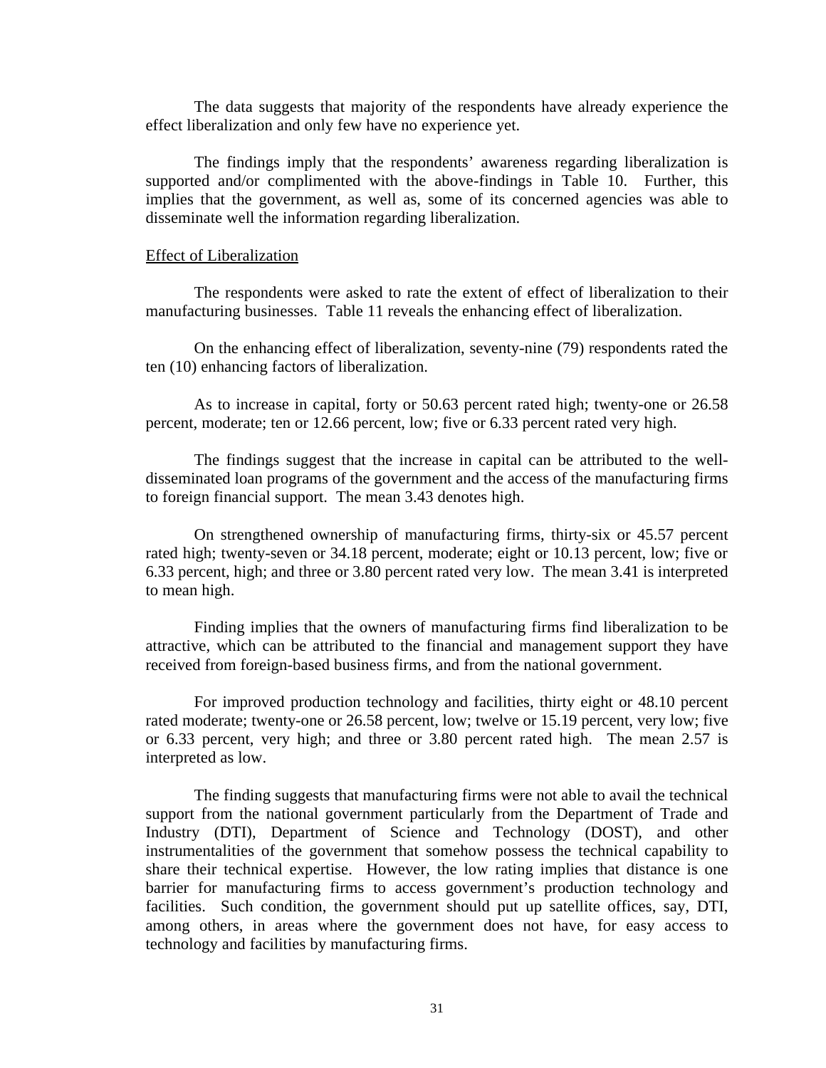The data suggests that majority of the respondents have already experience the effect liberalization and only few have no experience yet.

The findings imply that the respondents' awareness regarding liberalization is supported and/or complimented with the above-findings in Table 10. Further, this implies that the government, as well as, some of its concerned agencies was able to disseminate well the information regarding liberalization.

#### Effect of Liberalization

 The respondents were asked to rate the extent of effect of liberalization to their manufacturing businesses. Table 11 reveals the enhancing effect of liberalization.

On the enhancing effect of liberalization, seventy-nine (79) respondents rated the ten (10) enhancing factors of liberalization.

As to increase in capital, forty or 50.63 percent rated high; twenty-one or 26.58 percent, moderate; ten or 12.66 percent, low; five or 6.33 percent rated very high.

The findings suggest that the increase in capital can be attributed to the welldisseminated loan programs of the government and the access of the manufacturing firms to foreign financial support. The mean 3.43 denotes high.

On strengthened ownership of manufacturing firms, thirty-six or 45.57 percent rated high; twenty-seven or 34.18 percent, moderate; eight or 10.13 percent, low; five or 6.33 percent, high; and three or 3.80 percent rated very low. The mean 3.41 is interpreted to mean high.

Finding implies that the owners of manufacturing firms find liberalization to be attractive, which can be attributed to the financial and management support they have received from foreign-based business firms, and from the national government.

For improved production technology and facilities, thirty eight or 48.10 percent rated moderate; twenty-one or 26.58 percent, low; twelve or 15.19 percent, very low; five or 6.33 percent, very high; and three or 3.80 percent rated high. The mean 2.57 is interpreted as low.

The finding suggests that manufacturing firms were not able to avail the technical support from the national government particularly from the Department of Trade and Industry (DTI), Department of Science and Technology (DOST), and other instrumentalities of the government that somehow possess the technical capability to share their technical expertise. However, the low rating implies that distance is one barrier for manufacturing firms to access government's production technology and facilities. Such condition, the government should put up satellite offices, say, DTI, among others, in areas where the government does not have, for easy access to technology and facilities by manufacturing firms.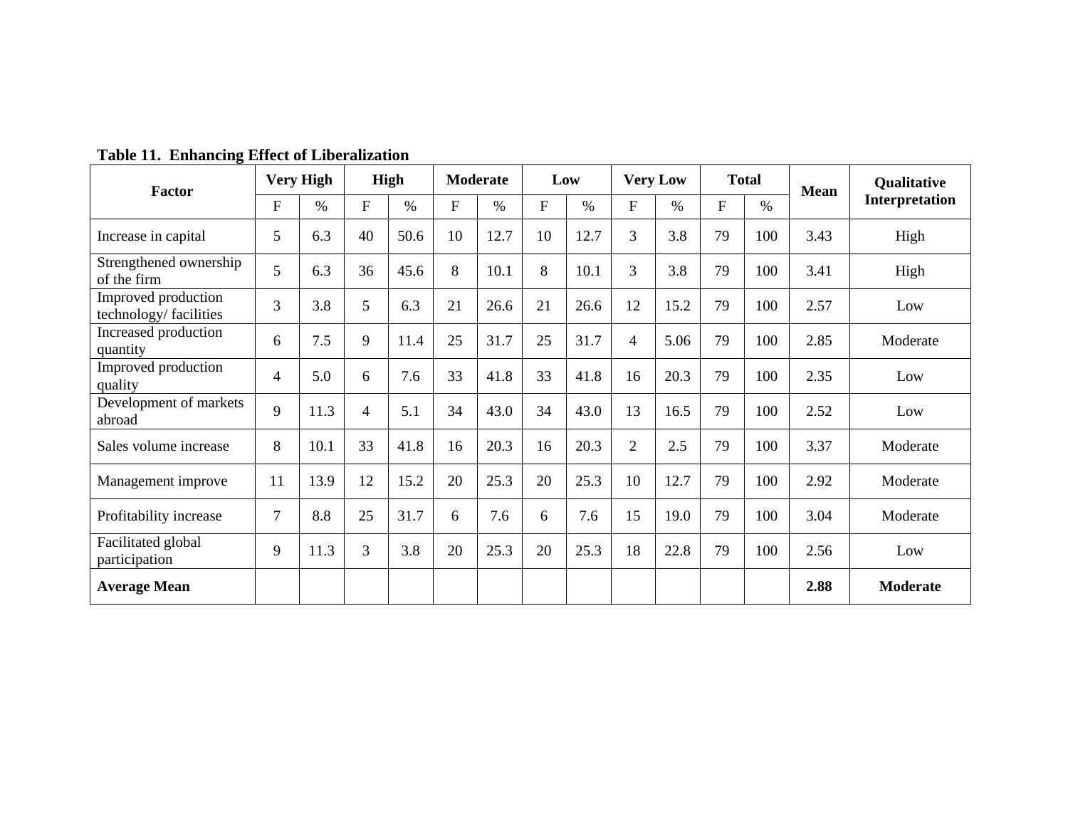| Factor                                        |                | <b>Very High</b> |                | <b>High</b> |              | <b>Moderate</b> |    | Low  |                | <b>Very Low</b> |              | <b>Total</b> | <b>Mean</b> | <b>Qualitative</b> |
|-----------------------------------------------|----------------|------------------|----------------|-------------|--------------|-----------------|----|------|----------------|-----------------|--------------|--------------|-------------|--------------------|
|                                               | $\mathbf{F}$   | $\%$             | $\mathbf{F}$   | $\%$        | $\mathbf{F}$ | $\%$            | F  | $\%$ | F              | $\%$            | $\mathbf{F}$ | $\%$         |             | Interpretation     |
| Increase in capital                           | 5              | 6.3              | 40             | 50.6        | 10           | 12.7            | 10 | 12.7 | 3              | 3.8             | 79           | 100          | 3.43        | High               |
| Strengthened ownership<br>of the firm         | 5              | 6.3              | 36             | 45.6        | 8            | 10.1            | 8  | 10.1 | 3              | 3.8             | 79           | 100          | 3.41        | High               |
| Improved production<br>technology/ facilities | 3              | 3.8              | 5              | 6.3         | 21           | 26.6            | 21 | 26.6 | 12             | 15.2            | 79           | 100          | 2.57        | Low                |
| Increased production<br>quantity              | 6              | 7.5              | 9              | 11.4        | 25           | 31.7            | 25 | 31.7 | 4              | 5.06            | 79           | 100          | 2.85        | Moderate           |
| Improved production<br>quality                | $\overline{4}$ | 5.0              | 6              | 7.6         | 33           | 41.8            | 33 | 41.8 | 16             | 20.3            | 79           | 100          | 2.35        | Low                |
| Development of markets<br>abroad              | 9              | 11.3             | $\overline{4}$ | 5.1         | 34           | 43.0            | 34 | 43.0 | 13             | 16.5            | 79           | 100          | 2.52        | Low                |
| Sales volume increase                         | 8              | 10.1             | 33             | 41.8        | 16           | 20.3            | 16 | 20.3 | $\overline{2}$ | 2.5             | 79           | 100          | 3.37        | Moderate           |
| Management improve                            | 11             | 13.9             | 12             | 15.2        | 20           | 25.3            | 20 | 25.3 | 10             | 12.7            | 79           | 100          | 2.92        | Moderate           |
| Profitability increase                        | $\overline{7}$ | 8.8              | 25             | 31.7        | 6            | 7.6             | 6  | 7.6  | 15             | 19.0            | 79           | 100          | 3.04        | Moderate           |
| Facilitated global<br>participation           | 9              | 11.3             | $\overline{3}$ | 3.8         | 20           | 25.3            | 20 | 25.3 | 18             | 22.8            | 79           | 100          | 2.56        | Low                |
| <b>Average Mean</b>                           |                |                  |                |             |              |                 |    |      |                |                 |              |              | 2.88        | Moderate           |

**Table 11. Enhancing Effect of Liberalization**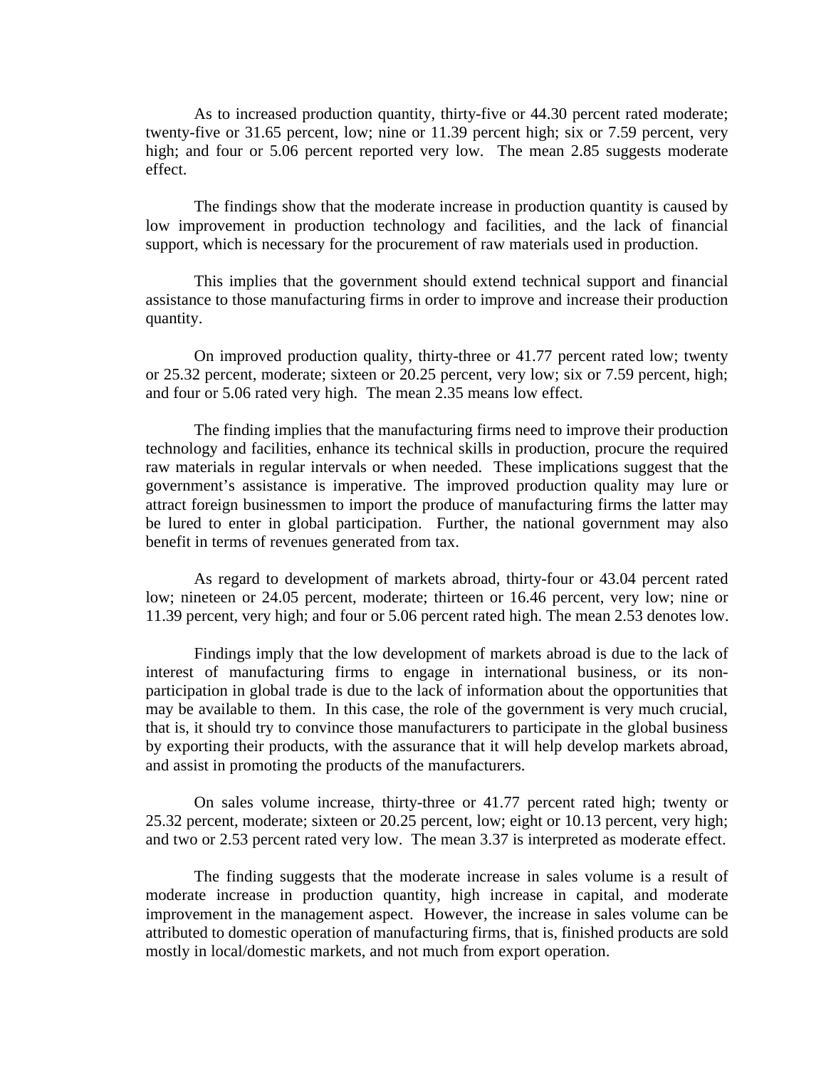As to increased production quantity, thirty-five or 44.30 percent rated moderate; twenty-five or 31.65 percent, low; nine or 11.39 percent high; six or 7.59 percent, very high; and four or 5.06 percent reported very low. The mean 2.85 suggests moderate effect.

The findings show that the moderate increase in production quantity is caused by low improvement in production technology and facilities, and the lack of financial support, which is necessary for the procurement of raw materials used in production.

This implies that the government should extend technical support and financial assistance to those manufacturing firms in order to improve and increase their production quantity.

On improved production quality, thirty-three or 41.77 percent rated low; twenty or 25.32 percent, moderate; sixteen or 20.25 percent, very low; six or 7.59 percent, high; and four or 5.06 rated very high. The mean 2.35 means low effect.

The finding implies that the manufacturing firms need to improve their production technology and facilities, enhance its technical skills in production, procure the required raw materials in regular intervals or when needed. These implications suggest that the government's assistance is imperative. The improved production quality may lure or attract foreign businessmen to import the produce of manufacturing firms the latter may be lured to enter in global participation. Further, the national government may also benefit in terms of revenues generated from tax.

As regard to development of markets abroad, thirty-four or 43.04 percent rated low; nineteen or 24.05 percent, moderate; thirteen or 16.46 percent, very low; nine or 11.39 percent, very high; and four or 5.06 percent rated high. The mean 2.53 denotes low.

Findings imply that the low development of markets abroad is due to the lack of interest of manufacturing firms to engage in international business, or its nonparticipation in global trade is due to the lack of information about the opportunities that may be available to them. In this case, the role of the government is very much crucial, that is, it should try to convince those manufacturers to participate in the global business by exporting their products, with the assurance that it will help develop markets abroad, and assist in promoting the products of the manufacturers.

On sales volume increase, thirty-three or 41.77 percent rated high; twenty or 25.32 percent, moderate; sixteen or 20.25 percent, low; eight or 10.13 percent, very high; and two or 2.53 percent rated very low. The mean 3.37 is interpreted as moderate effect.

The finding suggests that the moderate increase in sales volume is a result of moderate increase in production quantity, high increase in capital, and moderate improvement in the management aspect. However, the increase in sales volume can be attributed to domestic operation of manufacturing firms, that is, finished products are sold mostly in local/domestic markets, and not much from export operation.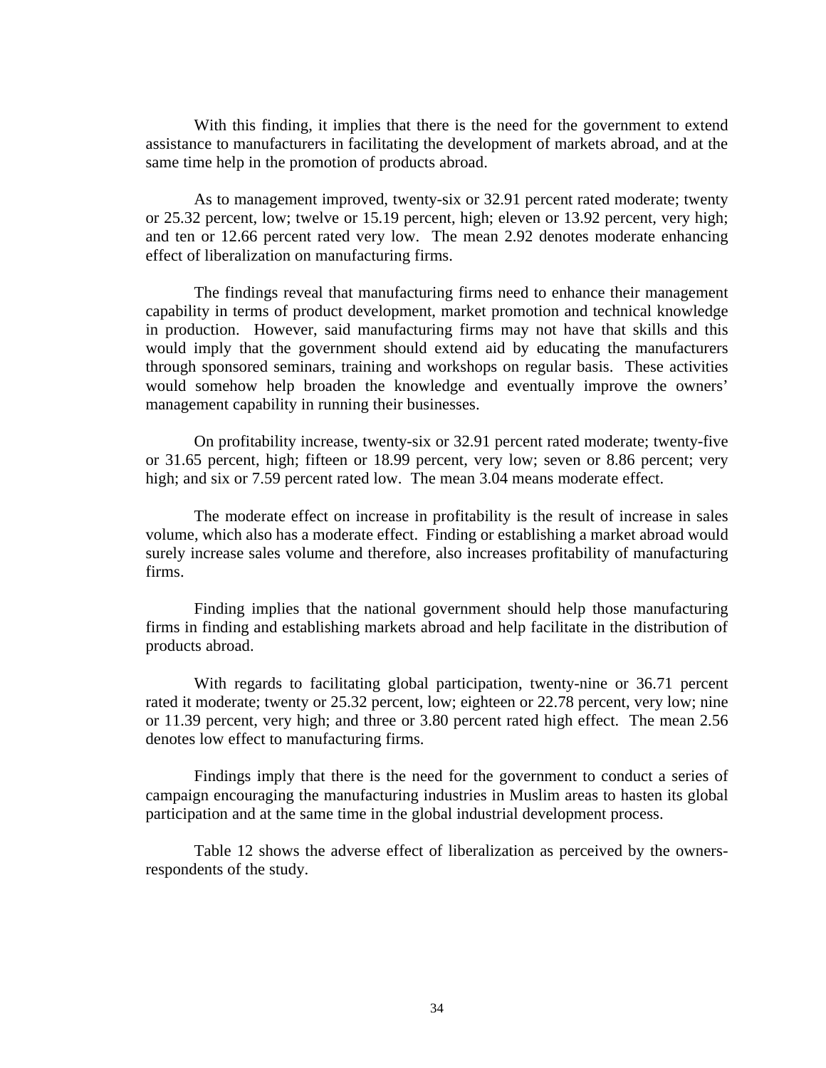With this finding, it implies that there is the need for the government to extend assistance to manufacturers in facilitating the development of markets abroad, and at the same time help in the promotion of products abroad.

As to management improved, twenty-six or 32.91 percent rated moderate; twenty or 25.32 percent, low; twelve or 15.19 percent, high; eleven or 13.92 percent, very high; and ten or 12.66 percent rated very low. The mean 2.92 denotes moderate enhancing effect of liberalization on manufacturing firms.

 The findings reveal that manufacturing firms need to enhance their management capability in terms of product development, market promotion and technical knowledge in production. However, said manufacturing firms may not have that skills and this would imply that the government should extend aid by educating the manufacturers through sponsored seminars, training and workshops on regular basis. These activities would somehow help broaden the knowledge and eventually improve the owners' management capability in running their businesses.

On profitability increase, twenty-six or 32.91 percent rated moderate; twenty-five or 31.65 percent, high; fifteen or 18.99 percent, very low; seven or 8.86 percent; very high; and six or 7.59 percent rated low. The mean 3.04 means moderate effect.

The moderate effect on increase in profitability is the result of increase in sales volume, which also has a moderate effect. Finding or establishing a market abroad would surely increase sales volume and therefore, also increases profitability of manufacturing firms.

Finding implies that the national government should help those manufacturing firms in finding and establishing markets abroad and help facilitate in the distribution of products abroad.

With regards to facilitating global participation, twenty-nine or 36.71 percent rated it moderate; twenty or 25.32 percent, low; eighteen or 22.78 percent, very low; nine or 11.39 percent, very high; and three or 3.80 percent rated high effect. The mean 2.56 denotes low effect to manufacturing firms.

Findings imply that there is the need for the government to conduct a series of campaign encouraging the manufacturing industries in Muslim areas to hasten its global participation and at the same time in the global industrial development process.

Table 12 shows the adverse effect of liberalization as perceived by the ownersrespondents of the study.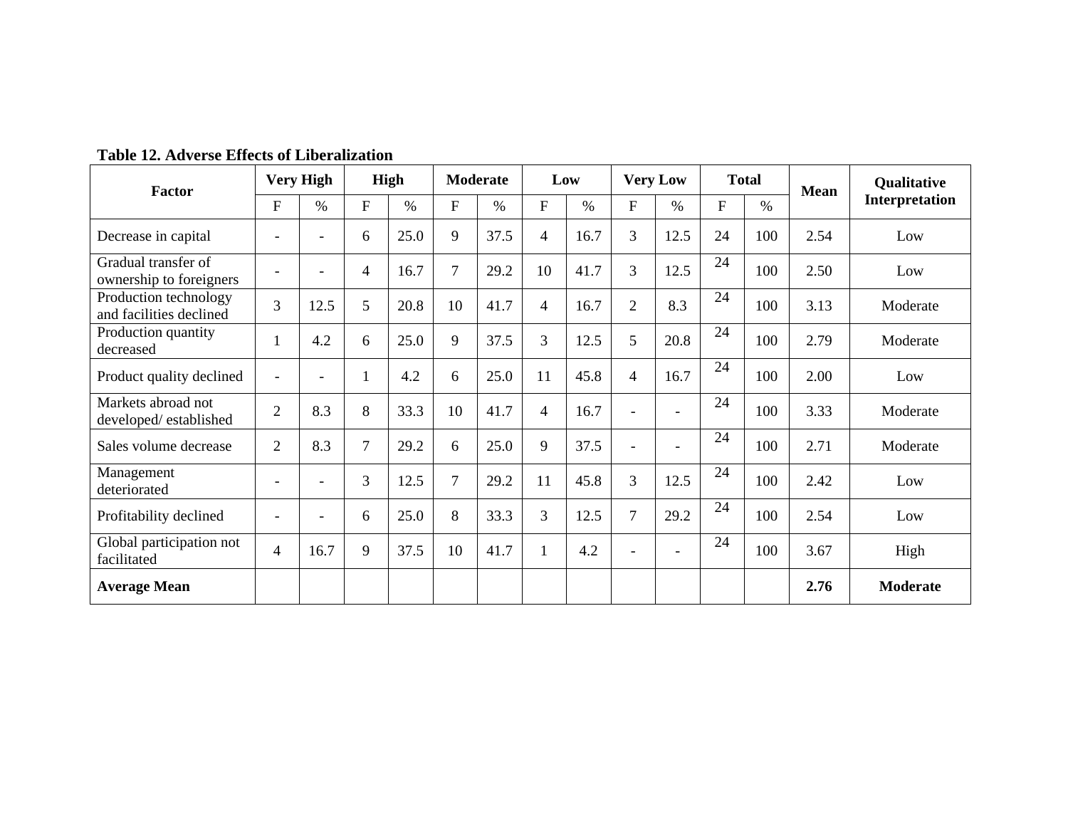| Factor                                           | <b>Very High</b> |                          | High |      | Moderate |      | Low            |      | <b>Very Low</b>          |                          | <b>Total</b> |      | <b>Mean</b> | <b>Qualitative</b> |
|--------------------------------------------------|------------------|--------------------------|------|------|----------|------|----------------|------|--------------------------|--------------------------|--------------|------|-------------|--------------------|
|                                                  | F                | $\%$                     | F    | $\%$ | F        | $\%$ | F              | $\%$ | ${\bf F}$                | $\%$                     | F            | $\%$ |             | Interpretation     |
| Decrease in capital                              |                  |                          | 6    | 25.0 | 9        | 37.5 | $\overline{4}$ | 16.7 | 3                        | 12.5                     | 24           | 100  | 2.54        | Low                |
| Gradual transfer of<br>ownership to foreigners   |                  | $\overline{\phantom{0}}$ | 4    | 16.7 | 7        | 29.2 | 10             | 41.7 | 3                        | 12.5                     | 24           | 100  | 2.50        | Low                |
| Production technology<br>and facilities declined | $\overline{3}$   | 12.5                     | 5    | 20.8 | 10       | 41.7 | $\overline{4}$ | 16.7 | $\overline{2}$           | 8.3                      | 24           | 100  | 3.13        | Moderate           |
| Production quantity<br>decreased                 |                  | 4.2                      | 6    | 25.0 | 9        | 37.5 | $\overline{3}$ | 12.5 | 5                        | 20.8                     | 24           | 100  | 2.79        | Moderate           |
| Product quality declined                         |                  | $\overline{\phantom{a}}$ | 1    | 4.2  | 6        | 25.0 | 11             | 45.8 | $\overline{4}$           | 16.7                     | 24           | 100  | 2.00        | Low                |
| Markets abroad not<br>developed/established      | $\overline{2}$   | 8.3                      | 8    | 33.3 | 10       | 41.7 | $\overline{4}$ | 16.7 | $\overline{\phantom{a}}$ |                          | 24           | 100  | 3.33        | Moderate           |
| Sales volume decrease                            | $\overline{2}$   | 8.3                      | 7    | 29.2 | 6        | 25.0 | 9              | 37.5 | $\overline{\phantom{a}}$ | $\overline{\phantom{a}}$ | 24           | 100  | 2.71        | Moderate           |
| Management<br>deteriorated                       |                  | $\overline{\phantom{a}}$ | 3    | 12.5 | 7        | 29.2 | 11             | 45.8 | 3                        | 12.5                     | 24           | 100  | 2.42        | Low                |
| Profitability declined                           |                  | $\overline{\phantom{a}}$ | 6    | 25.0 | 8        | 33.3 | $\overline{3}$ | 12.5 | $\overline{7}$           | 29.2                     | 24           | 100  | 2.54        | Low                |
| Global participation not<br>facilitated          | 4                | 16.7                     | 9    | 37.5 | 10       | 41.7 | $\mathbf{1}$   | 4.2  | $\overline{\phantom{a}}$ | $\overline{\phantom{0}}$ | 24           | 100  | 3.67        | High               |
| <b>Average Mean</b>                              |                  |                          |      |      |          |      |                |      |                          |                          |              |      | 2.76        | <b>Moderate</b>    |

**Table 12. Adverse Effects of Liberalization**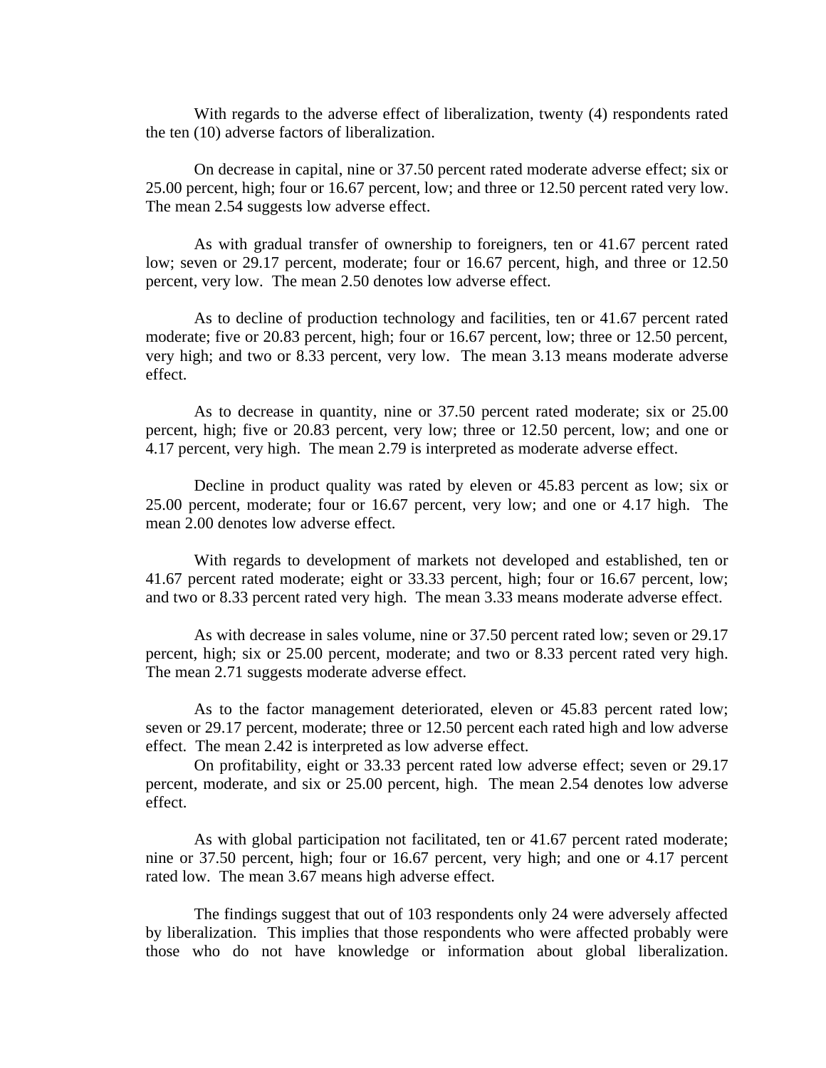With regards to the adverse effect of liberalization, twenty (4) respondents rated the ten (10) adverse factors of liberalization.

 On decrease in capital, nine or 37.50 percent rated moderate adverse effect; six or 25.00 percent, high; four or 16.67 percent, low; and three or 12.50 percent rated very low. The mean 2.54 suggests low adverse effect.

 As with gradual transfer of ownership to foreigners, ten or 41.67 percent rated low; seven or 29.17 percent, moderate; four or 16.67 percent, high, and three or 12.50 percent, very low. The mean 2.50 denotes low adverse effect.

 As to decline of production technology and facilities, ten or 41.67 percent rated moderate; five or 20.83 percent, high; four or 16.67 percent, low; three or 12.50 percent, very high; and two or 8.33 percent, very low. The mean 3.13 means moderate adverse effect.

 As to decrease in quantity, nine or 37.50 percent rated moderate; six or 25.00 percent, high; five or 20.83 percent, very low; three or 12.50 percent, low; and one or 4.17 percent, very high. The mean 2.79 is interpreted as moderate adverse effect.

 Decline in product quality was rated by eleven or 45.83 percent as low; six or 25.00 percent, moderate; four or 16.67 percent, very low; and one or 4.17 high. The mean 2.00 denotes low adverse effect.

 With regards to development of markets not developed and established, ten or 41.67 percent rated moderate; eight or 33.33 percent, high; four or 16.67 percent, low; and two or 8.33 percent rated very high. The mean 3.33 means moderate adverse effect.

 As with decrease in sales volume, nine or 37.50 percent rated low; seven or 29.17 percent, high; six or 25.00 percent, moderate; and two or 8.33 percent rated very high. The mean 2.71 suggests moderate adverse effect.

 As to the factor management deteriorated, eleven or 45.83 percent rated low; seven or 29.17 percent, moderate; three or 12.50 percent each rated high and low adverse effect. The mean 2.42 is interpreted as low adverse effect.

 On profitability, eight or 33.33 percent rated low adverse effect; seven or 29.17 percent, moderate, and six or 25.00 percent, high. The mean 2.54 denotes low adverse effect.

 As with global participation not facilitated, ten or 41.67 percent rated moderate; nine or 37.50 percent, high; four or 16.67 percent, very high; and one or 4.17 percent rated low. The mean 3.67 means high adverse effect.

 The findings suggest that out of 103 respondents only 24 were adversely affected by liberalization. This implies that those respondents who were affected probably were those who do not have knowledge or information about global liberalization.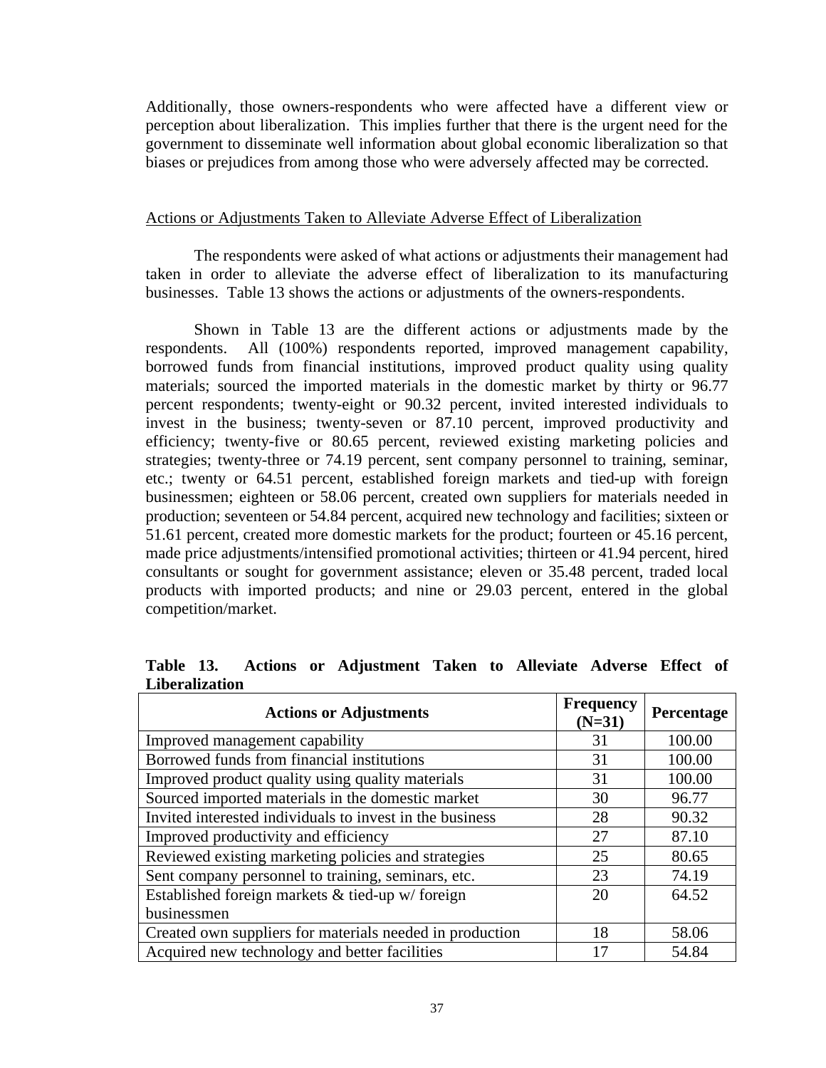Additionally, those owners-respondents who were affected have a different view or perception about liberalization. This implies further that there is the urgent need for the government to disseminate well information about global economic liberalization so that biases or prejudices from among those who were adversely affected may be corrected.

### Actions or Adjustments Taken to Alleviate Adverse Effect of Liberalization

The respondents were asked of what actions or adjustments their management had taken in order to alleviate the adverse effect of liberalization to its manufacturing businesses. Table 13 shows the actions or adjustments of the owners-respondents.

Shown in Table 13 are the different actions or adjustments made by the respondents. All (100%) respondents reported, improved management capability, borrowed funds from financial institutions, improved product quality using quality materials; sourced the imported materials in the domestic market by thirty or 96.77 percent respondents; twenty-eight or 90.32 percent, invited interested individuals to invest in the business; twenty-seven or 87.10 percent, improved productivity and efficiency; twenty-five or 80.65 percent, reviewed existing marketing policies and strategies; twenty-three or 74.19 percent, sent company personnel to training, seminar, etc.; twenty or 64.51 percent, established foreign markets and tied-up with foreign businessmen; eighteen or 58.06 percent, created own suppliers for materials needed in production; seventeen or 54.84 percent, acquired new technology and facilities; sixteen or 51.61 percent, created more domestic markets for the product; fourteen or 45.16 percent, made price adjustments/intensified promotional activities; thirteen or 41.94 percent, hired consultants or sought for government assistance; eleven or 35.48 percent, traded local products with imported products; and nine or 29.03 percent, entered in the global competition/market.

| <b>Actions or Adjustments</b>                            | <b>Frequency</b><br>$(N=31)$ | Percentage |
|----------------------------------------------------------|------------------------------|------------|
| Improved management capability                           | 31                           | 100.00     |
| Borrowed funds from financial institutions               | 31                           | 100.00     |
| Improved product quality using quality materials         | 31                           | 100.00     |
| Sourced imported materials in the domestic market        | 30                           | 96.77      |
| Invited interested individuals to invest in the business | 28                           | 90.32      |
| Improved productivity and efficiency                     | 27                           | 87.10      |
| Reviewed existing marketing policies and strategies      | 25                           | 80.65      |
| Sent company personnel to training, seminars, etc.       | 23                           | 74.19      |
| Established foreign markets & tied-up w/foreign          | 20                           | 64.52      |
| businessmen                                              |                              |            |
| Created own suppliers for materials needed in production | 18                           | 58.06      |
| Acquired new technology and better facilities            | 17                           | 54.84      |

**Table 13. Actions or Adjustment Taken to Alleviate Adverse Effect of Liberalization**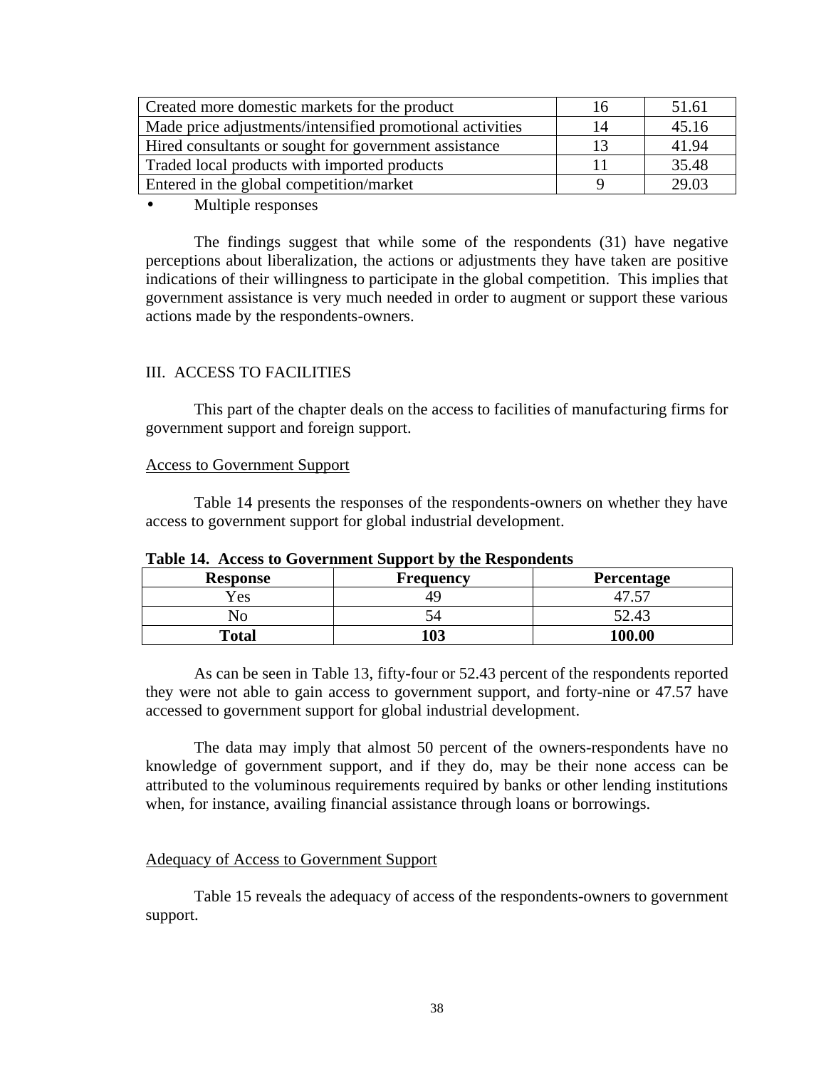| Created more domestic markets for the product             | 16 | 51.61 |
|-----------------------------------------------------------|----|-------|
| Made price adjustments/intensified promotional activities | 14 | 45.16 |
| Hired consultants or sought for government assistance     | 13 | 41.94 |
| Traded local products with imported products              | 11 | 35.48 |
| Entered in the global competition/market                  |    | 29.03 |

• Multiple responses

The findings suggest that while some of the respondents (31) have negative perceptions about liberalization, the actions or adjustments they have taken are positive indications of their willingness to participate in the global competition. This implies that government assistance is very much needed in order to augment or support these various actions made by the respondents-owners.

# III. ACCESS TO FACILITIES

This part of the chapter deals on the access to facilities of manufacturing firms for government support and foreign support.

#### Access to Government Support

Table 14 presents the responses of the respondents-owners on whether they have access to government support for global industrial development.

| <b>Response</b> | <b>Frequency</b> | <b>Percentage</b> |
|-----------------|------------------|-------------------|
| Yes             |                  |                   |
| NС              |                  | 52.43             |
| <b>Total</b>    | 103              | 100.00            |

**Table 14. Access to Government Support by the Respondents**

As can be seen in Table 13, fifty-four or 52.43 percent of the respondents reported they were not able to gain access to government support, and forty-nine or 47.57 have accessed to government support for global industrial development.

The data may imply that almost 50 percent of the owners-respondents have no knowledge of government support, and if they do, may be their none access can be attributed to the voluminous requirements required by banks or other lending institutions when, for instance, availing financial assistance through loans or borrowings.

### Adequacy of Access to Government Support

Table 15 reveals the adequacy of access of the respondents-owners to government support.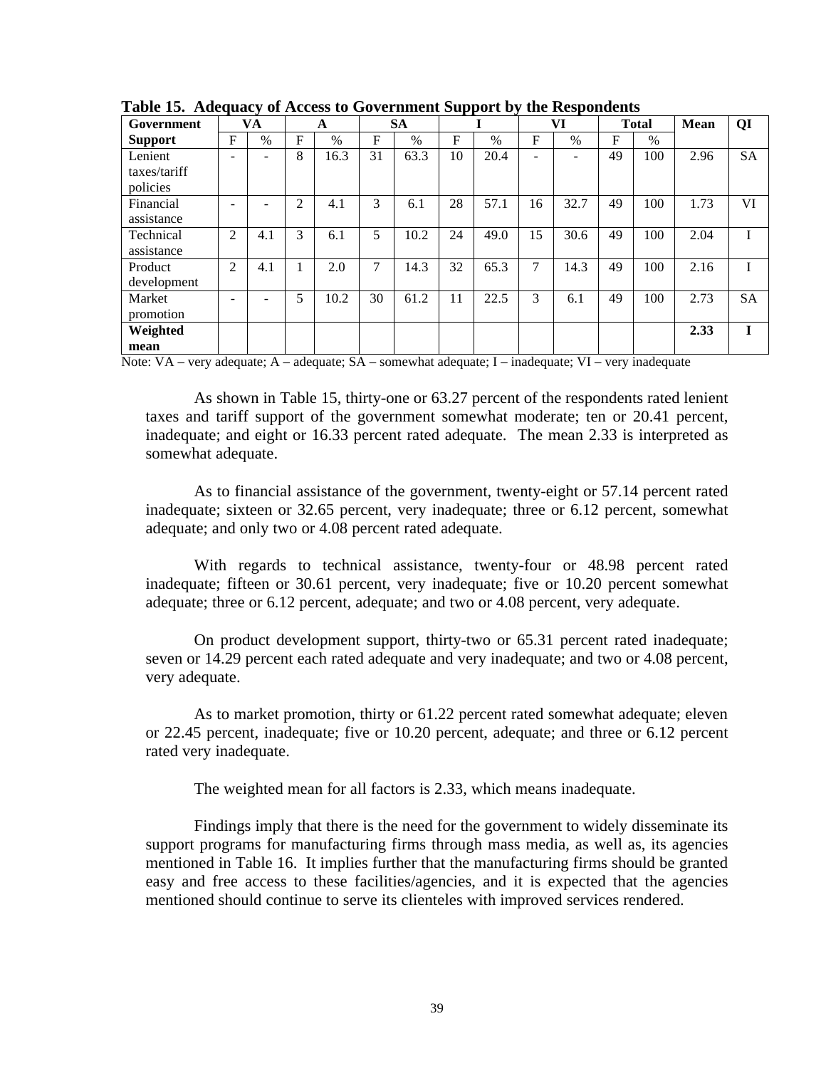| Tuble Ict Huequacy of Heech to Government Dupport by |   |     |             |      |    |           | the Respondence |               |    |                          |    |              |      |           |
|------------------------------------------------------|---|-----|-------------|------|----|-----------|-----------------|---------------|----|--------------------------|----|--------------|------|-----------|
| Government                                           |   | VA  |             | A    |    | <b>SA</b> |                 |               |    | VI                       |    | <b>Total</b> | Mean | QI        |
| <b>Support</b>                                       | F | %   | $\mathbf F$ | $\%$ | F  | $\%$      | F               | $\frac{0}{0}$ | F  | $\frac{0}{0}$            | F  | $\%$         |      |           |
| Lenient                                              |   |     | 8           | 16.3 | 31 | 63.3      | 10              | 20.4          | ۰  | $\overline{\phantom{0}}$ | 49 | 100          | 2.96 | <b>SA</b> |
| taxes/tariff<br>policies                             |   |     |             |      |    |           |                 |               |    |                          |    |              |      |           |
| Financial<br>assistance                              |   |     | 2           | 4.1  | 3  | 6.1       | 28              | 57.1          | 16 | 32.7                     | 49 | 100          | 1.73 | VI        |
| Technical                                            | 2 | 4.1 | 3           | 6.1  | 5  | 10.2      | 24              | 49.0          | 15 | 30.6                     | 49 | 100          | 2.04 |           |
| assistance                                           |   |     |             |      |    |           |                 |               |    |                          |    |              |      |           |
| Product<br>development                               | 2 | 4.1 |             | 2.0  | 7  | 14.3      | 32              | 65.3          | 7  | 14.3                     | 49 | 100          | 2.16 |           |
| Market<br>promotion                                  |   |     | 5           | 10.2 | 30 | 61.2      | 11              | 22.5          | 3  | 6.1                      | 49 | 100          | 2.73 | <b>SA</b> |
| Weighted                                             |   |     |             |      |    |           |                 |               |    |                          |    |              | 2.33 | T         |
| mean                                                 |   |     |             |      |    |           |                 |               |    |                          |    |              |      |           |

**Table 15. Adequacy of Access to Government Support by the Respondents**

Note: VA – very adequate; A – adequate; SA – somewhat adequate; I – inadequate; VI – very inadequate

As shown in Table 15, thirty-one or 63.27 percent of the respondents rated lenient taxes and tariff support of the government somewhat moderate; ten or 20.41 percent, inadequate; and eight or 16.33 percent rated adequate. The mean 2.33 is interpreted as somewhat adequate.

As to financial assistance of the government, twenty-eight or 57.14 percent rated inadequate; sixteen or 32.65 percent, very inadequate; three or 6.12 percent, somewhat adequate; and only two or 4.08 percent rated adequate.

With regards to technical assistance, twenty-four or 48.98 percent rated inadequate; fifteen or 30.61 percent, very inadequate; five or 10.20 percent somewhat adequate; three or 6.12 percent, adequate; and two or 4.08 percent, very adequate.

On product development support, thirty-two or 65.31 percent rated inadequate; seven or 14.29 percent each rated adequate and very inadequate; and two or 4.08 percent, very adequate.

As to market promotion, thirty or 61.22 percent rated somewhat adequate; eleven or 22.45 percent, inadequate; five or 10.20 percent, adequate; and three or 6.12 percent rated very inadequate.

The weighted mean for all factors is 2.33, which means inadequate.

Findings imply that there is the need for the government to widely disseminate its support programs for manufacturing firms through mass media, as well as, its agencies mentioned in Table 16. It implies further that the manufacturing firms should be granted easy and free access to these facilities/agencies, and it is expected that the agencies mentioned should continue to serve its clienteles with improved services rendered.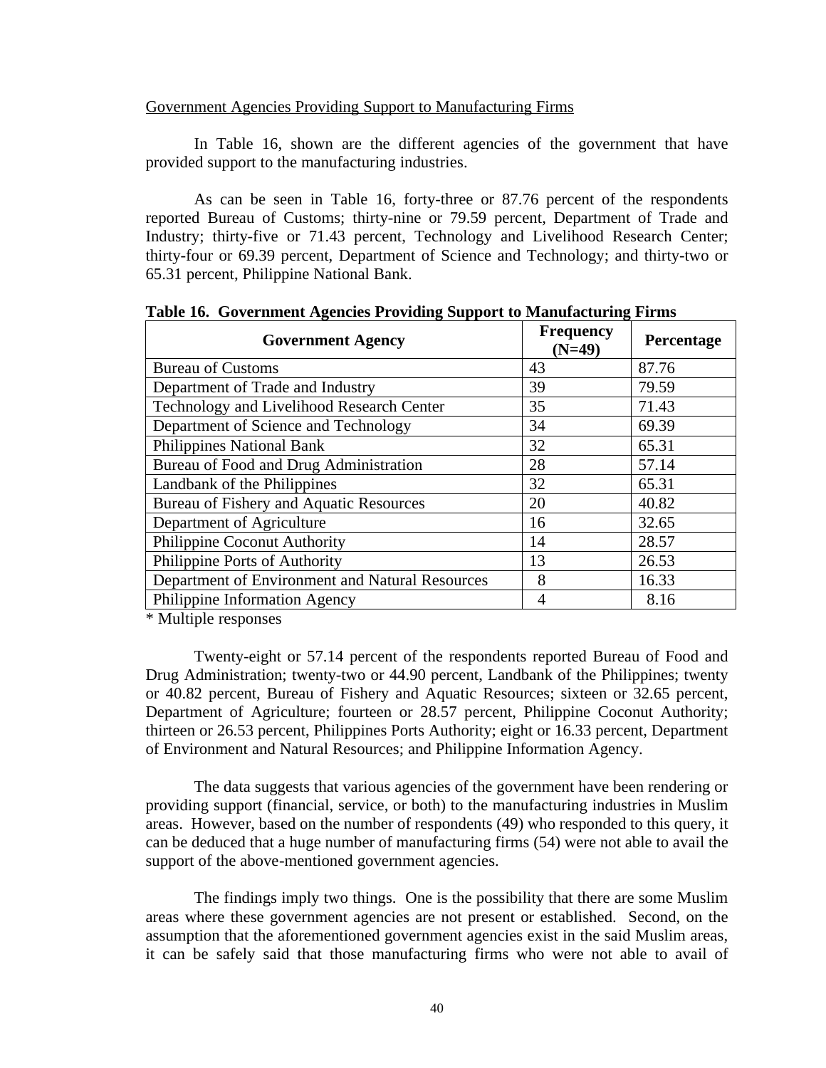## Government Agencies Providing Support to Manufacturing Firms

In Table 16, shown are the different agencies of the government that have provided support to the manufacturing industries.

As can be seen in Table 16, forty-three or 87.76 percent of the respondents reported Bureau of Customs; thirty-nine or 79.59 percent, Department of Trade and Industry; thirty-five or 71.43 percent, Technology and Livelihood Research Center; thirty-four or 69.39 percent, Department of Science and Technology; and thirty-two or 65.31 percent, Philippine National Bank.

| <b>Government Agency</b>                        | <b>Frequency</b><br>$(N=49)$ | Percentage |
|-------------------------------------------------|------------------------------|------------|
| <b>Bureau of Customs</b>                        | 43                           | 87.76      |
| Department of Trade and Industry                | 39                           | 79.59      |
| Technology and Livelihood Research Center       | 35                           | 71.43      |
| Department of Science and Technology            | 34                           | 69.39      |
| <b>Philippines National Bank</b>                | 32                           | 65.31      |
| Bureau of Food and Drug Administration          | 28                           | 57.14      |
| Landbank of the Philippines                     | 32                           | 65.31      |
| Bureau of Fishery and Aquatic Resources         | 20                           | 40.82      |
| Department of Agriculture                       | 16                           | 32.65      |
| Philippine Coconut Authority                    | 14                           | 28.57      |
| Philippine Ports of Authority                   | 13                           | 26.53      |
| Department of Environment and Natural Resources | 8                            | 16.33      |
| Philippine Information Agency                   | 4                            | 8.16       |

**Table 16. Government Agencies Providing Support to Manufacturing Firms**

\* Multiple responses

 Twenty-eight or 57.14 percent of the respondents reported Bureau of Food and Drug Administration; twenty-two or 44.90 percent, Landbank of the Philippines; twenty or 40.82 percent, Bureau of Fishery and Aquatic Resources; sixteen or 32.65 percent, Department of Agriculture; fourteen or 28.57 percent, Philippine Coconut Authority; thirteen or 26.53 percent, Philippines Ports Authority; eight or 16.33 percent, Department of Environment and Natural Resources; and Philippine Information Agency.

The data suggests that various agencies of the government have been rendering or providing support (financial, service, or both) to the manufacturing industries in Muslim areas. However, based on the number of respondents (49) who responded to this query, it can be deduced that a huge number of manufacturing firms (54) were not able to avail the support of the above-mentioned government agencies.

The findings imply two things. One is the possibility that there are some Muslim areas where these government agencies are not present or established. Second, on the assumption that the aforementioned government agencies exist in the said Muslim areas, it can be safely said that those manufacturing firms who were not able to avail of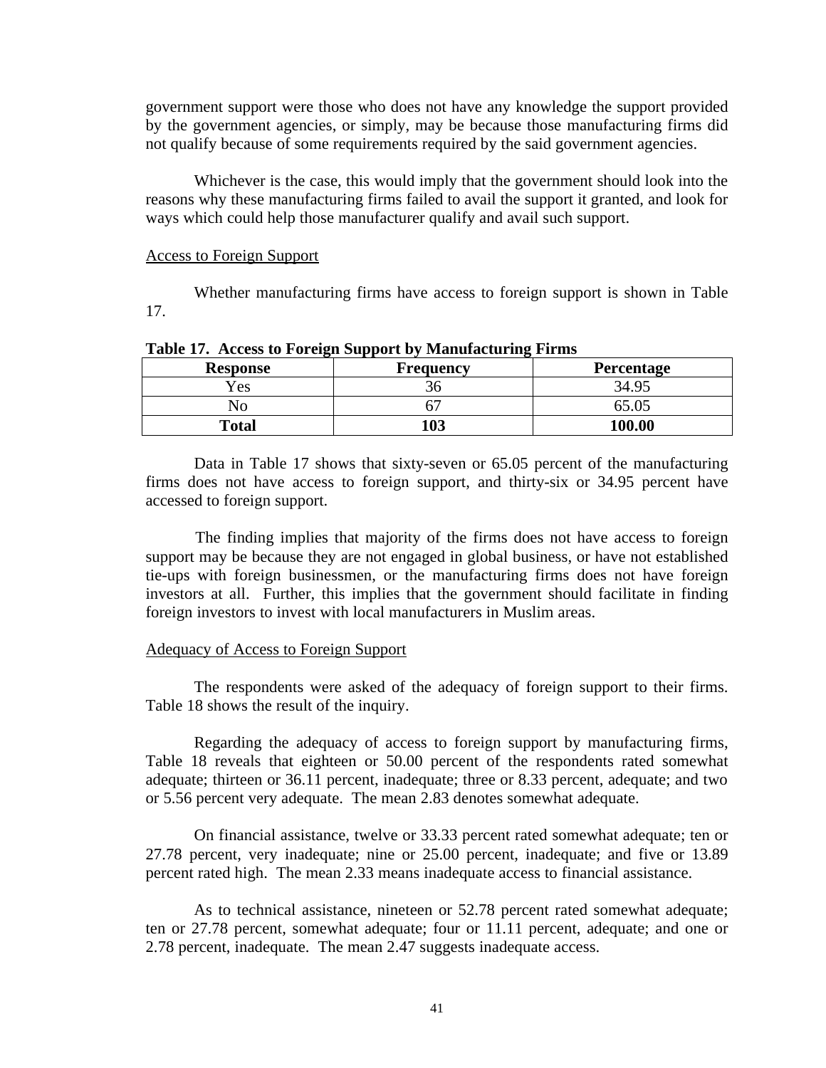government support were those who does not have any knowledge the support provided by the government agencies, or simply, may be because those manufacturing firms did not qualify because of some requirements required by the said government agencies.

Whichever is the case, this would imply that the government should look into the reasons why these manufacturing firms failed to avail the support it granted, and look for ways which could help those manufacturer qualify and avail such support.

#### Access to Foreign Support

Whether manufacturing firms have access to foreign support is shown in Table 17.

| <b>Response</b> | <b>Frequency</b> | <b>Percentage</b> |
|-----------------|------------------|-------------------|
| Yes             | ახ               | 34.95             |
| NО              |                  |                   |
| <b>Total</b>    | 103              | 100.00            |

**Table 17. Access to Foreign Support by Manufacturing Firms**

 Data in Table 17 shows that sixty-seven or 65.05 percent of the manufacturing firms does not have access to foreign support, and thirty-six or 34.95 percent have accessed to foreign support.

The finding implies that majority of the firms does not have access to foreign support may be because they are not engaged in global business, or have not established tie-ups with foreign businessmen, or the manufacturing firms does not have foreign investors at all. Further, this implies that the government should facilitate in finding foreign investors to invest with local manufacturers in Muslim areas.

#### Adequacy of Access to Foreign Support

The respondents were asked of the adequacy of foreign support to their firms. Table 18 shows the result of the inquiry.

 Regarding the adequacy of access to foreign support by manufacturing firms, Table 18 reveals that eighteen or 50.00 percent of the respondents rated somewhat adequate; thirteen or 36.11 percent, inadequate; three or 8.33 percent, adequate; and two or 5.56 percent very adequate. The mean 2.83 denotes somewhat adequate.

 On financial assistance, twelve or 33.33 percent rated somewhat adequate; ten or 27.78 percent, very inadequate; nine or 25.00 percent, inadequate; and five or 13.89 percent rated high. The mean 2.33 means inadequate access to financial assistance.

 As to technical assistance, nineteen or 52.78 percent rated somewhat adequate; ten or 27.78 percent, somewhat adequate; four or 11.11 percent, adequate; and one or 2.78 percent, inadequate. The mean 2.47 suggests inadequate access.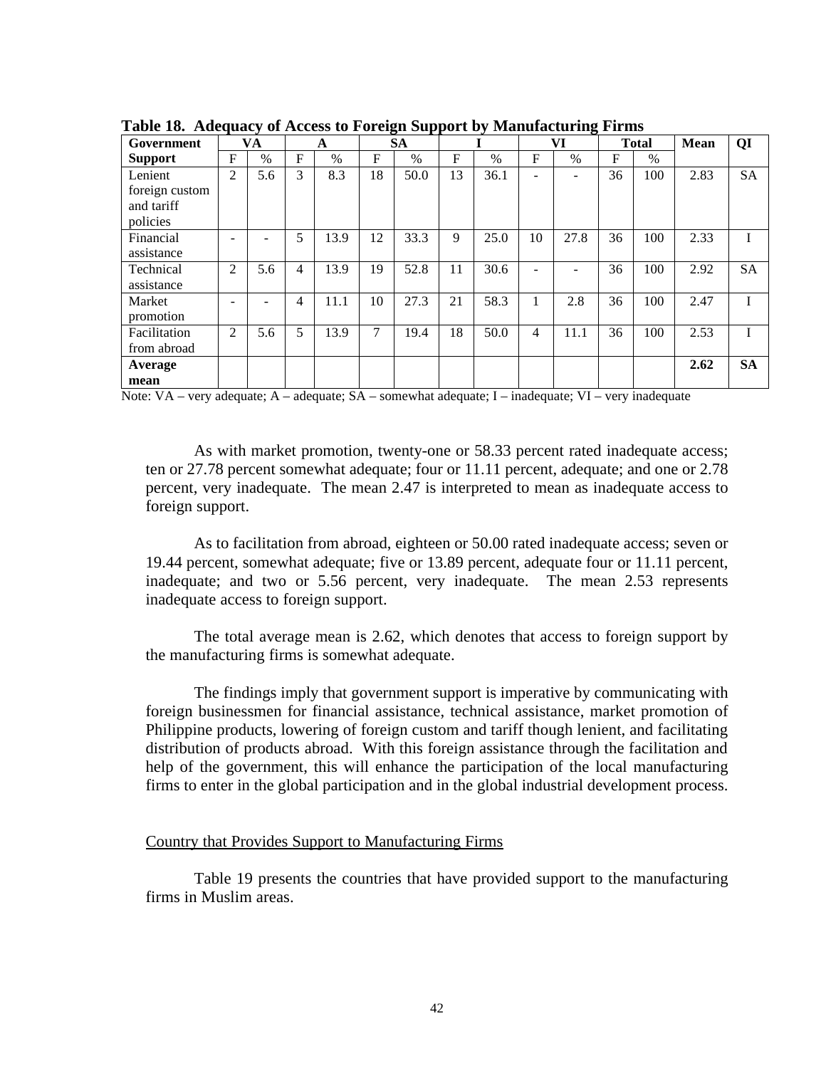| $1200$ and $12000$ $1200$<br>$\mathbf{v}$<br>TAXABLE CAR<br>$\rightarrow$ |                |      |              |      |              |           |              |      |    |                          |    |              |             |           |
|---------------------------------------------------------------------------|----------------|------|--------------|------|--------------|-----------|--------------|------|----|--------------------------|----|--------------|-------------|-----------|
| Government                                                                |                | VA   |              | A    |              | <b>SA</b> |              |      |    | VI                       |    | <b>Total</b> | <b>Mean</b> | QI        |
| <b>Support</b>                                                            | F              | $\%$ | $\mathbf{F}$ | $\%$ | $\mathbf{F}$ | $\%$      | $\mathbf{F}$ | $\%$ | F  | $\%$                     | F  | $\%$         |             |           |
| Lenient                                                                   | $\overline{2}$ | 5.6  | 3            | 8.3  | 18           | 50.0      | 13           | 36.1 |    | $\overline{\phantom{0}}$ | 36 | 100          | 2.83        | <b>SA</b> |
| foreign custom                                                            |                |      |              |      |              |           |              |      |    |                          |    |              |             |           |
| and tariff                                                                |                |      |              |      |              |           |              |      |    |                          |    |              |             |           |
| policies                                                                  |                |      |              |      |              |           |              |      |    |                          |    |              |             |           |
| Financial                                                                 |                |      | 5            | 13.9 | 12           | 33.3      | 9            | 25.0 | 10 | 27.8                     | 36 | 100          | 2.33        |           |
| assistance                                                                |                |      |              |      |              |           |              |      |    |                          |    |              |             |           |
| Technical                                                                 | 2              | 5.6  | 4            | 13.9 | 19           | 52.8      | 11           | 30.6 |    | $\equiv$                 | 36 | 100          | 2.92        | <b>SA</b> |
| assistance                                                                |                |      |              |      |              |           |              |      |    |                          |    |              |             |           |
| Market                                                                    |                |      | 4            | 11.1 | 10           | 27.3      | 21           | 58.3 |    | 2.8                      | 36 | 100          | 2.47        |           |
| promotion                                                                 |                |      |              |      |              |           |              |      |    |                          |    |              |             |           |
| Facilitation                                                              | 2              | 5.6  | 5            | 13.9 | 7            | 19.4      | 18           | 50.0 | 4  | 11.1                     | 36 | 100          | 2.53        | I         |
| from abroad                                                               |                |      |              |      |              |           |              |      |    |                          |    |              |             |           |
| Average                                                                   |                |      |              |      |              |           |              |      |    |                          |    |              | 2.62        | <b>SA</b> |
| mean                                                                      |                |      |              |      |              |           |              |      |    |                          |    |              |             |           |

**Table 18. Adequacy of Access to Foreign Support by Manufacturing Firms**

Note: VA – very adequate; A – adequate; SA – somewhat adequate; I – inadequate; VI – very inadequate

As with market promotion, twenty-one or 58.33 percent rated inadequate access; ten or 27.78 percent somewhat adequate; four or 11.11 percent, adequate; and one or 2.78 percent, very inadequate. The mean 2.47 is interpreted to mean as inadequate access to foreign support.

 As to facilitation from abroad, eighteen or 50.00 rated inadequate access; seven or 19.44 percent, somewhat adequate; five or 13.89 percent, adequate four or 11.11 percent, inadequate; and two or 5.56 percent, very inadequate. The mean 2.53 represents inadequate access to foreign support.

 The total average mean is 2.62, which denotes that access to foreign support by the manufacturing firms is somewhat adequate.

 The findings imply that government support is imperative by communicating with foreign businessmen for financial assistance, technical assistance, market promotion of Philippine products, lowering of foreign custom and tariff though lenient, and facilitating distribution of products abroad. With this foreign assistance through the facilitation and help of the government, this will enhance the participation of the local manufacturing firms to enter in the global participation and in the global industrial development process.

## Country that Provides Support to Manufacturing Firms

Table 19 presents the countries that have provided support to the manufacturing firms in Muslim areas.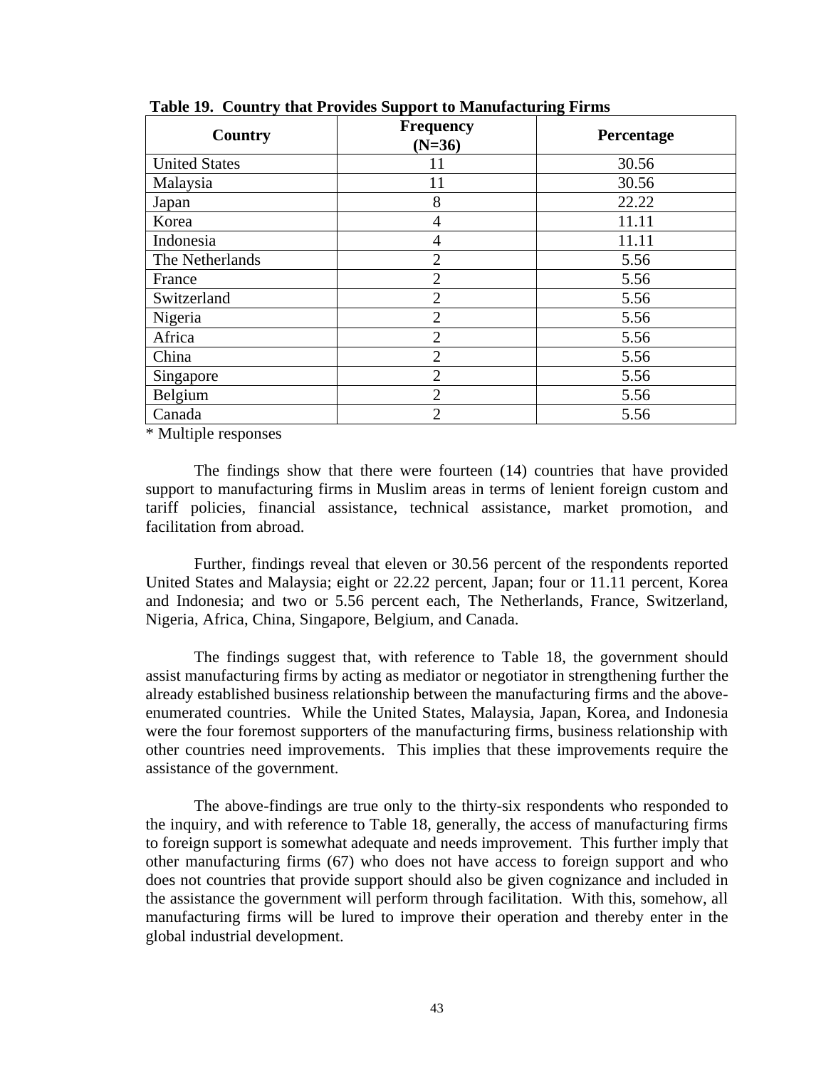| Country              | <b>Frequency</b><br>$(N=36)$ | Percentage |
|----------------------|------------------------------|------------|
| <b>United States</b> |                              | 30.56      |
| Malaysia             | 11                           | 30.56      |
| Japan                | 8                            | 22.22      |
| Korea                | $\overline{4}$               | 11.11      |
| Indonesia            | $\overline{4}$               | 11.11      |
| The Netherlands      | $\overline{2}$               | 5.56       |
| France               | $\overline{2}$               | 5.56       |
| Switzerland          | $\overline{2}$               | 5.56       |
| Nigeria              | $\overline{2}$               | 5.56       |
| Africa               | $\overline{2}$               | 5.56       |
| China                | $\overline{2}$               | 5.56       |
| Singapore            | $\overline{2}$               | 5.56       |
| Belgium              | $\overline{2}$               | 5.56       |
| Canada               | $\overline{2}$               | 5.56       |

 **Table 19. Country that Provides Support to Manufacturing Firms**

\* Multiple responses

The findings show that there were fourteen (14) countries that have provided support to manufacturing firms in Muslim areas in terms of lenient foreign custom and tariff policies, financial assistance, technical assistance, market promotion, and facilitation from abroad.

Further, findings reveal that eleven or 30.56 percent of the respondents reported United States and Malaysia; eight or 22.22 percent, Japan; four or 11.11 percent, Korea and Indonesia; and two or 5.56 percent each, The Netherlands, France, Switzerland, Nigeria, Africa, China, Singapore, Belgium, and Canada.

The findings suggest that, with reference to Table 18, the government should assist manufacturing firms by acting as mediator or negotiator in strengthening further the already established business relationship between the manufacturing firms and the aboveenumerated countries. While the United States, Malaysia, Japan, Korea, and Indonesia were the four foremost supporters of the manufacturing firms, business relationship with other countries need improvements. This implies that these improvements require the assistance of the government.

The above-findings are true only to the thirty-six respondents who responded to the inquiry, and with reference to Table 18, generally, the access of manufacturing firms to foreign support is somewhat adequate and needs improvement. This further imply that other manufacturing firms (67) who does not have access to foreign support and who does not countries that provide support should also be given cognizance and included in the assistance the government will perform through facilitation. With this, somehow, all manufacturing firms will be lured to improve their operation and thereby enter in the global industrial development.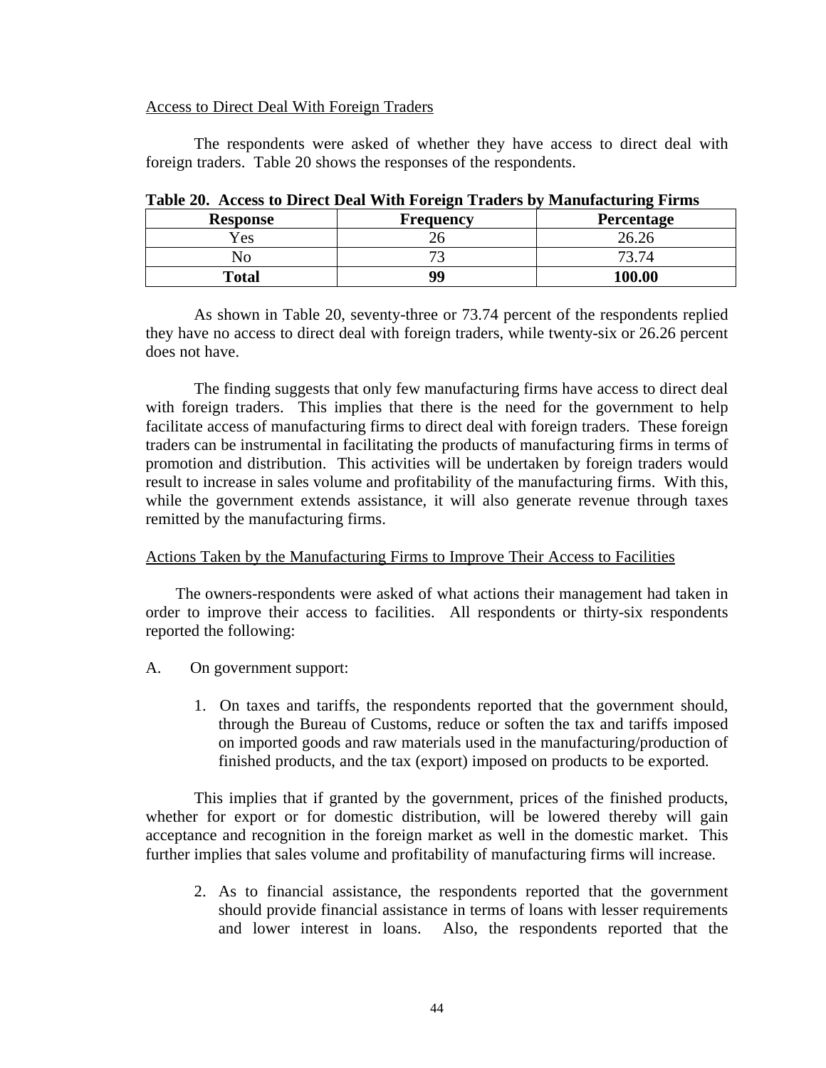## Access to Direct Deal With Foreign Traders

 The respondents were asked of whether they have access to direct deal with foreign traders. Table 20 shows the responses of the respondents.

| <b>Response</b> | <b>Frequency</b>         | Percentage |
|-----------------|--------------------------|------------|
| <i>Y</i> es     | $\overline{\phantom{0}}$ |            |
| NО              | $\overline{\phantom{a}}$ | 73.74      |
| <b>Total</b>    | 99                       | 100.00     |

**Table 20. Access to Direct Deal With Foreign Traders by Manufacturing Firms**

As shown in Table 20, seventy-three or 73.74 percent of the respondents replied they have no access to direct deal with foreign traders, while twenty-six or 26.26 percent does not have.

The finding suggests that only few manufacturing firms have access to direct deal with foreign traders. This implies that there is the need for the government to help facilitate access of manufacturing firms to direct deal with foreign traders. These foreign traders can be instrumental in facilitating the products of manufacturing firms in terms of promotion and distribution. This activities will be undertaken by foreign traders would result to increase in sales volume and profitability of the manufacturing firms. With this, while the government extends assistance, it will also generate revenue through taxes remitted by the manufacturing firms.

# Actions Taken by the Manufacturing Firms to Improve Their Access to Facilities

 The owners-respondents were asked of what actions their management had taken in order to improve their access to facilities. All respondents or thirty-six respondents reported the following:

- A. On government support:
	- 1. On taxes and tariffs, the respondents reported that the government should, through the Bureau of Customs, reduce or soften the tax and tariffs imposed on imported goods and raw materials used in the manufacturing/production of finished products, and the tax (export) imposed on products to be exported.

This implies that if granted by the government, prices of the finished products, whether for export or for domestic distribution, will be lowered thereby will gain acceptance and recognition in the foreign market as well in the domestic market. This further implies that sales volume and profitability of manufacturing firms will increase.

2. As to financial assistance, the respondents reported that the government should provide financial assistance in terms of loans with lesser requirements and lower interest in loans. Also, the respondents reported that the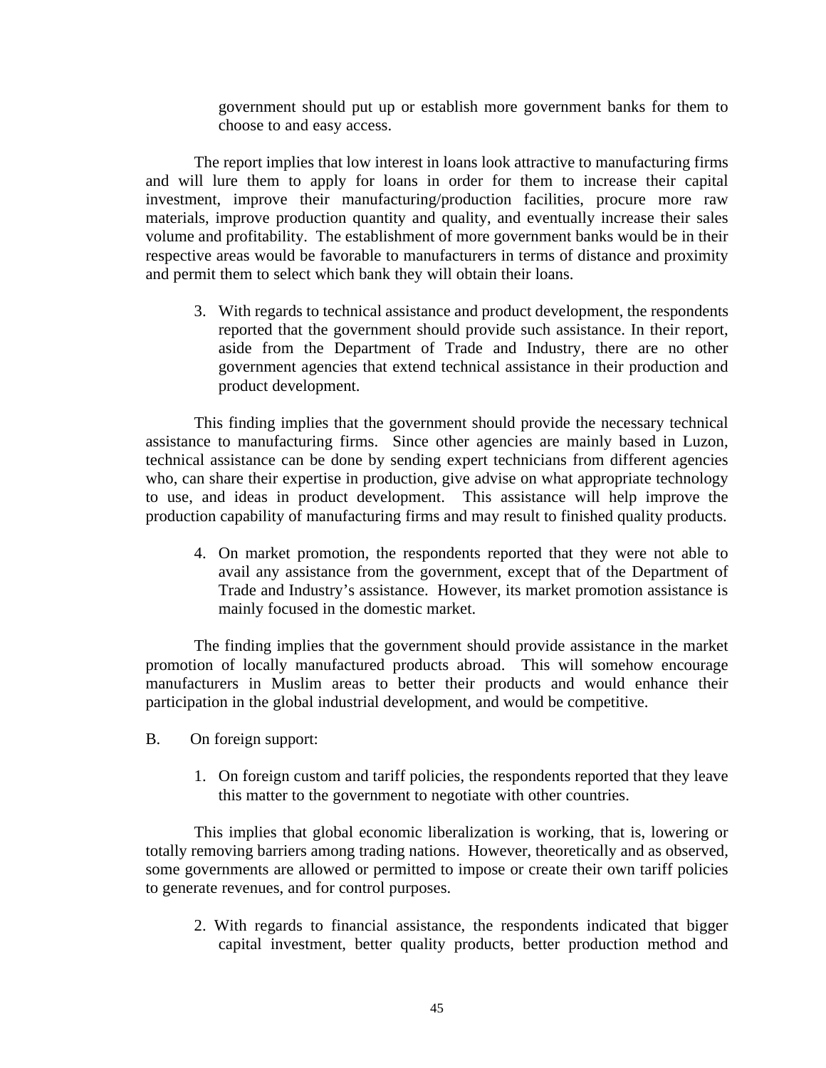government should put up or establish more government banks for them to choose to and easy access.

 The report implies that low interest in loans look attractive to manufacturing firms and will lure them to apply for loans in order for them to increase their capital investment, improve their manufacturing/production facilities, procure more raw materials, improve production quantity and quality, and eventually increase their sales volume and profitability. The establishment of more government banks would be in their respective areas would be favorable to manufacturers in terms of distance and proximity and permit them to select which bank they will obtain their loans.

3. With regards to technical assistance and product development, the respondents reported that the government should provide such assistance. In their report, aside from the Department of Trade and Industry, there are no other government agencies that extend technical assistance in their production and product development.

This finding implies that the government should provide the necessary technical assistance to manufacturing firms. Since other agencies are mainly based in Luzon, technical assistance can be done by sending expert technicians from different agencies who, can share their expertise in production, give advise on what appropriate technology to use, and ideas in product development. This assistance will help improve the production capability of manufacturing firms and may result to finished quality products.

4. On market promotion, the respondents reported that they were not able to avail any assistance from the government, except that of the Department of Trade and Industry's assistance. However, its market promotion assistance is mainly focused in the domestic market.

 The finding implies that the government should provide assistance in the market promotion of locally manufactured products abroad. This will somehow encourage manufacturers in Muslim areas to better their products and would enhance their participation in the global industrial development, and would be competitive.

- B. On foreign support:
	- 1. On foreign custom and tariff policies, the respondents reported that they leave this matter to the government to negotiate with other countries.

 This implies that global economic liberalization is working, that is, lowering or totally removing barriers among trading nations. However, theoretically and as observed, some governments are allowed or permitted to impose or create their own tariff policies to generate revenues, and for control purposes.

2. With regards to financial assistance, the respondents indicated that bigger capital investment, better quality products, better production method and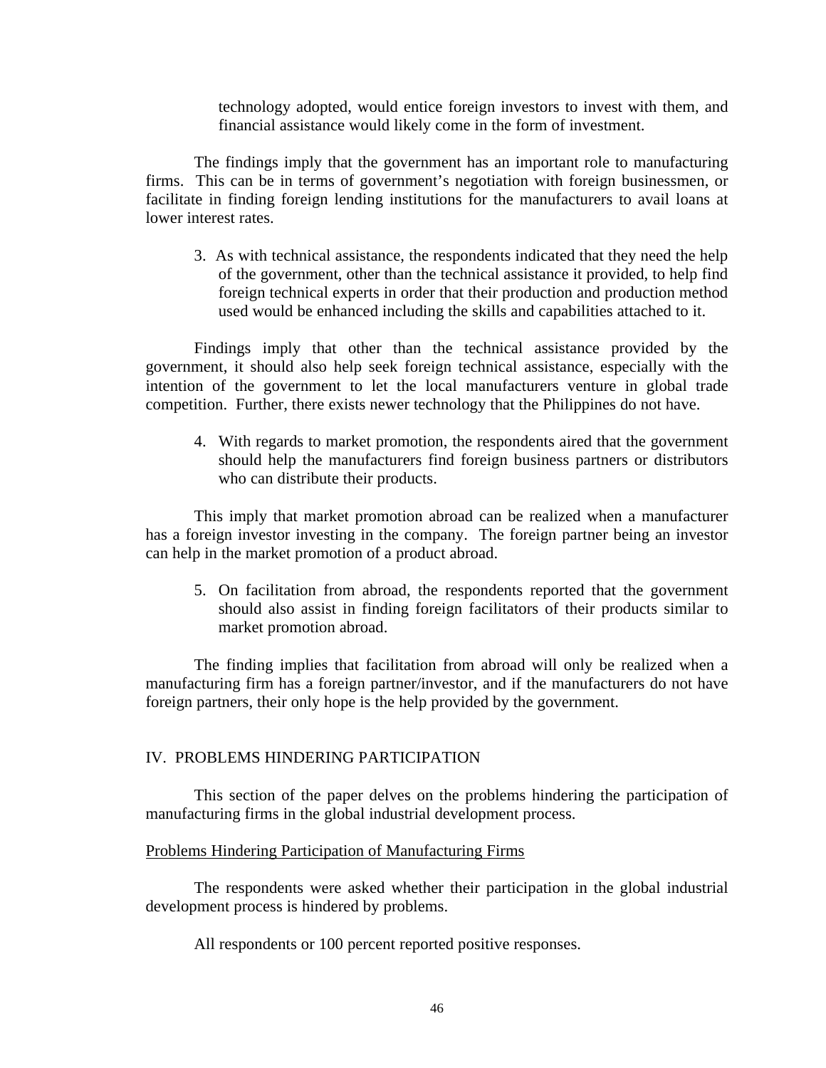technology adopted, would entice foreign investors to invest with them, and financial assistance would likely come in the form of investment.

The findings imply that the government has an important role to manufacturing firms. This can be in terms of government's negotiation with foreign businessmen, or facilitate in finding foreign lending institutions for the manufacturers to avail loans at lower interest rates.

3. As with technical assistance, the respondents indicated that they need the help of the government, other than the technical assistance it provided, to help find foreign technical experts in order that their production and production method used would be enhanced including the skills and capabilities attached to it.

 Findings imply that other than the technical assistance provided by the government, it should also help seek foreign technical assistance, especially with the intention of the government to let the local manufacturers venture in global trade competition. Further, there exists newer technology that the Philippines do not have.

4. With regards to market promotion, the respondents aired that the government should help the manufacturers find foreign business partners or distributors who can distribute their products.

 This imply that market promotion abroad can be realized when a manufacturer has a foreign investor investing in the company. The foreign partner being an investor can help in the market promotion of a product abroad.

5. On facilitation from abroad, the respondents reported that the government should also assist in finding foreign facilitators of their products similar to market promotion abroad.

 The finding implies that facilitation from abroad will only be realized when a manufacturing firm has a foreign partner/investor, and if the manufacturers do not have foreign partners, their only hope is the help provided by the government.

# IV. PROBLEMS HINDERING PARTICIPATION

 This section of the paper delves on the problems hindering the participation of manufacturing firms in the global industrial development process.

#### Problems Hindering Participation of Manufacturing Firms

The respondents were asked whether their participation in the global industrial development process is hindered by problems.

All respondents or 100 percent reported positive responses.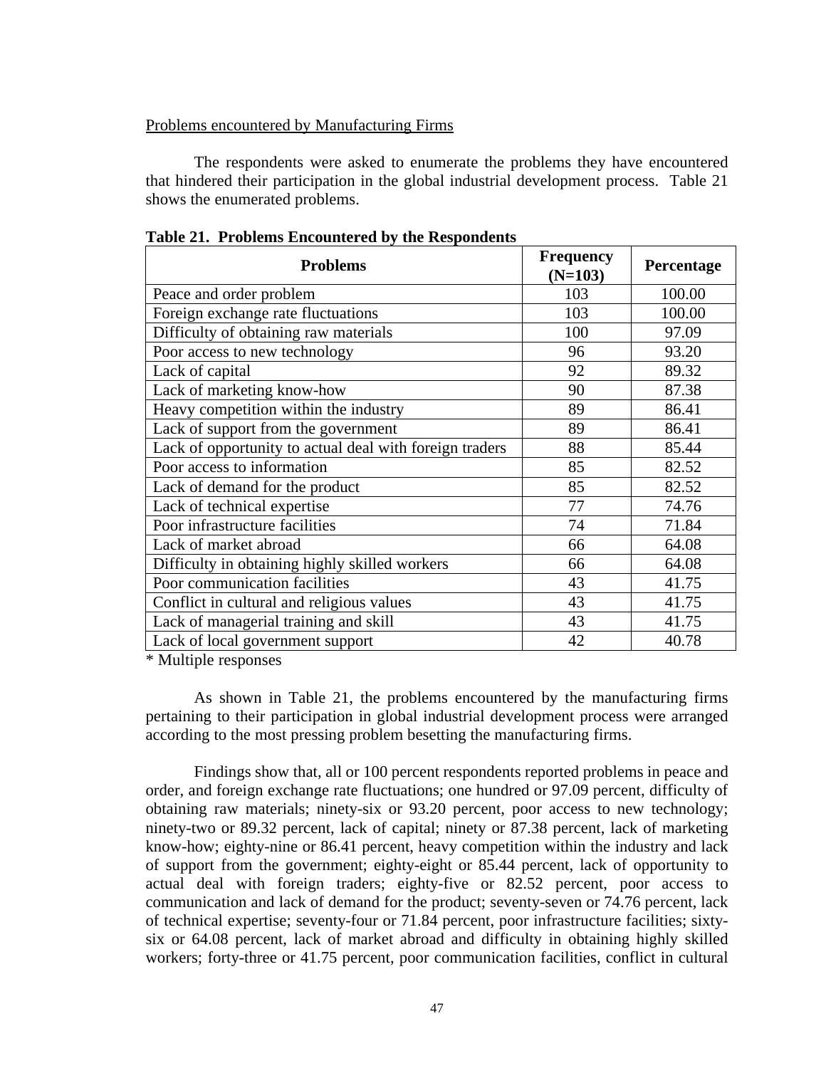# Problems encountered by Manufacturing Firms

 The respondents were asked to enumerate the problems they have encountered that hindered their participation in the global industrial development process. Table 21 shows the enumerated problems.

| <b>Problems</b>                                         | <b>Frequency</b><br>$(N=103)$ | Percentage |
|---------------------------------------------------------|-------------------------------|------------|
| Peace and order problem                                 | 103                           | 100.00     |
| Foreign exchange rate fluctuations                      | 103                           | 100.00     |
| Difficulty of obtaining raw materials                   | 100                           | 97.09      |
| Poor access to new technology                           | 96                            | 93.20      |
| Lack of capital                                         | 92                            | 89.32      |
| Lack of marketing know-how                              | 90                            | 87.38      |
| Heavy competition within the industry                   | 89                            | 86.41      |
| Lack of support from the government                     | 89                            | 86.41      |
| Lack of opportunity to actual deal with foreign traders | 88                            | 85.44      |
| Poor access to information                              | 85                            | 82.52      |
| Lack of demand for the product                          | 85                            | 82.52      |
| Lack of technical expertise                             | 77                            | 74.76      |
| Poor infrastructure facilities                          | 74                            | 71.84      |
| Lack of market abroad                                   | 66                            | 64.08      |
| Difficulty in obtaining highly skilled workers          | 66                            | 64.08      |
| Poor communication facilities                           | 43                            | 41.75      |
| Conflict in cultural and religious values               | 43                            | 41.75      |
| Lack of managerial training and skill                   | 43                            | 41.75      |
| Lack of local government support                        | 42                            | 40.78      |

**Table 21. Problems Encountered by the Respondents**

\* Multiple responses

As shown in Table 21, the problems encountered by the manufacturing firms pertaining to their participation in global industrial development process were arranged according to the most pressing problem besetting the manufacturing firms.

Findings show that, all or 100 percent respondents reported problems in peace and order, and foreign exchange rate fluctuations; one hundred or 97.09 percent, difficulty of obtaining raw materials; ninety-six or 93.20 percent, poor access to new technology; ninety-two or 89.32 percent, lack of capital; ninety or 87.38 percent, lack of marketing know-how; eighty-nine or 86.41 percent, heavy competition within the industry and lack of support from the government; eighty-eight or 85.44 percent, lack of opportunity to actual deal with foreign traders; eighty-five or 82.52 percent, poor access to communication and lack of demand for the product; seventy-seven or 74.76 percent, lack of technical expertise; seventy-four or 71.84 percent, poor infrastructure facilities; sixtysix or 64.08 percent, lack of market abroad and difficulty in obtaining highly skilled workers; forty-three or 41.75 percent, poor communication facilities, conflict in cultural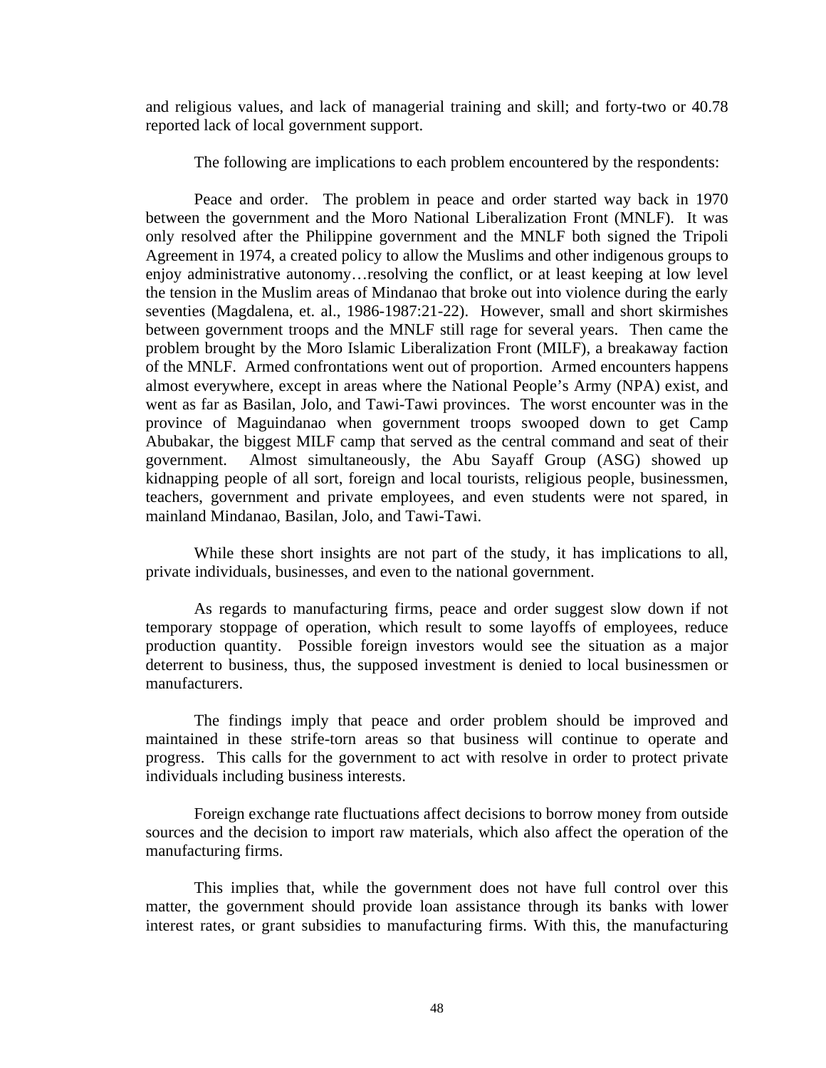and religious values, and lack of managerial training and skill; and forty-two or 40.78 reported lack of local government support.

The following are implications to each problem encountered by the respondents:

Peace and order. The problem in peace and order started way back in 1970 between the government and the Moro National Liberalization Front (MNLF). It was only resolved after the Philippine government and the MNLF both signed the Tripoli Agreement in 1974, a created policy to allow the Muslims and other indigenous groups to enjoy administrative autonomy…resolving the conflict, or at least keeping at low level the tension in the Muslim areas of Mindanao that broke out into violence during the early seventies (Magdalena, et. al., 1986-1987:21-22). However, small and short skirmishes between government troops and the MNLF still rage for several years. Then came the problem brought by the Moro Islamic Liberalization Front (MILF), a breakaway faction of the MNLF. Armed confrontations went out of proportion. Armed encounters happens almost everywhere, except in areas where the National People's Army (NPA) exist, and went as far as Basilan, Jolo, and Tawi-Tawi provinces. The worst encounter was in the province of Maguindanao when government troops swooped down to get Camp Abubakar, the biggest MILF camp that served as the central command and seat of their government. Almost simultaneously, the Abu Sayaff Group (ASG) showed up kidnapping people of all sort, foreign and local tourists, religious people, businessmen, teachers, government and private employees, and even students were not spared, in mainland Mindanao, Basilan, Jolo, and Tawi-Tawi.

While these short insights are not part of the study, it has implications to all, private individuals, businesses, and even to the national government.

As regards to manufacturing firms, peace and order suggest slow down if not temporary stoppage of operation, which result to some layoffs of employees, reduce production quantity. Possible foreign investors would see the situation as a major deterrent to business, thus, the supposed investment is denied to local businessmen or manufacturers.

The findings imply that peace and order problem should be improved and maintained in these strife-torn areas so that business will continue to operate and progress. This calls for the government to act with resolve in order to protect private individuals including business interests.

Foreign exchange rate fluctuations affect decisions to borrow money from outside sources and the decision to import raw materials, which also affect the operation of the manufacturing firms.

This implies that, while the government does not have full control over this matter, the government should provide loan assistance through its banks with lower interest rates, or grant subsidies to manufacturing firms. With this, the manufacturing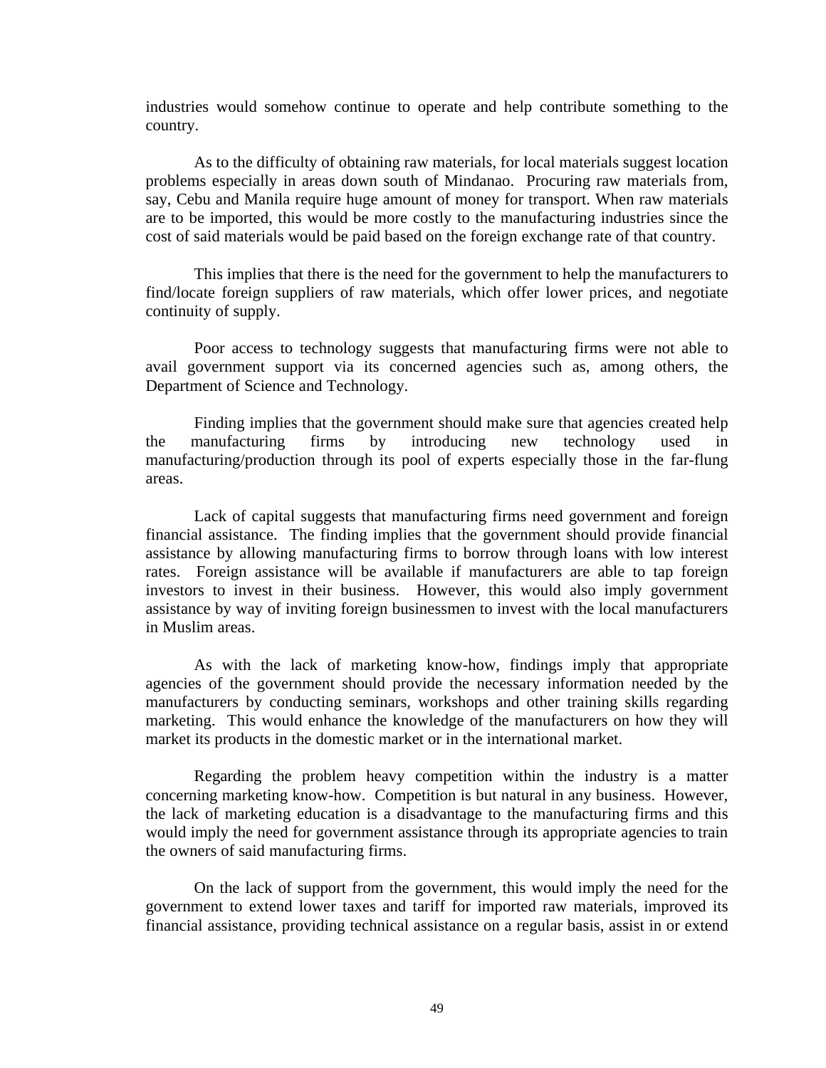industries would somehow continue to operate and help contribute something to the country.

As to the difficulty of obtaining raw materials, for local materials suggest location problems especially in areas down south of Mindanao. Procuring raw materials from, say, Cebu and Manila require huge amount of money for transport. When raw materials are to be imported, this would be more costly to the manufacturing industries since the cost of said materials would be paid based on the foreign exchange rate of that country.

This implies that there is the need for the government to help the manufacturers to find/locate foreign suppliers of raw materials, which offer lower prices, and negotiate continuity of supply.

Poor access to technology suggests that manufacturing firms were not able to avail government support via its concerned agencies such as, among others, the Department of Science and Technology.

Finding implies that the government should make sure that agencies created help the manufacturing firms by introducing new technology used in manufacturing/production through its pool of experts especially those in the far-flung areas.

Lack of capital suggests that manufacturing firms need government and foreign financial assistance. The finding implies that the government should provide financial assistance by allowing manufacturing firms to borrow through loans with low interest rates. Foreign assistance will be available if manufacturers are able to tap foreign investors to invest in their business. However, this would also imply government assistance by way of inviting foreign businessmen to invest with the local manufacturers in Muslim areas.

As with the lack of marketing know-how, findings imply that appropriate agencies of the government should provide the necessary information needed by the manufacturers by conducting seminars, workshops and other training skills regarding marketing. This would enhance the knowledge of the manufacturers on how they will market its products in the domestic market or in the international market.

Regarding the problem heavy competition within the industry is a matter concerning marketing know-how. Competition is but natural in any business. However, the lack of marketing education is a disadvantage to the manufacturing firms and this would imply the need for government assistance through its appropriate agencies to train the owners of said manufacturing firms.

On the lack of support from the government, this would imply the need for the government to extend lower taxes and tariff for imported raw materials, improved its financial assistance, providing technical assistance on a regular basis, assist in or extend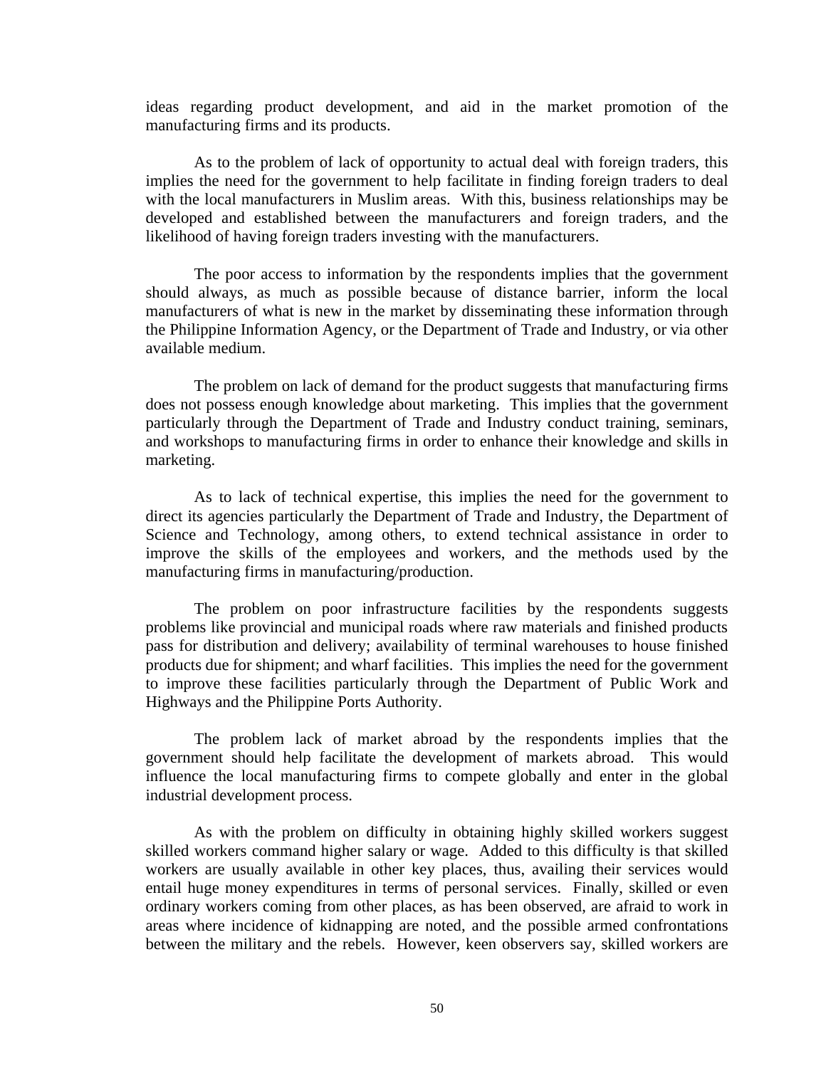ideas regarding product development, and aid in the market promotion of the manufacturing firms and its products.

As to the problem of lack of opportunity to actual deal with foreign traders, this implies the need for the government to help facilitate in finding foreign traders to deal with the local manufacturers in Muslim areas. With this, business relationships may be developed and established between the manufacturers and foreign traders, and the likelihood of having foreign traders investing with the manufacturers.

The poor access to information by the respondents implies that the government should always, as much as possible because of distance barrier, inform the local manufacturers of what is new in the market by disseminating these information through the Philippine Information Agency, or the Department of Trade and Industry, or via other available medium.

The problem on lack of demand for the product suggests that manufacturing firms does not possess enough knowledge about marketing. This implies that the government particularly through the Department of Trade and Industry conduct training, seminars, and workshops to manufacturing firms in order to enhance their knowledge and skills in marketing.

As to lack of technical expertise, this implies the need for the government to direct its agencies particularly the Department of Trade and Industry, the Department of Science and Technology, among others, to extend technical assistance in order to improve the skills of the employees and workers, and the methods used by the manufacturing firms in manufacturing/production.

The problem on poor infrastructure facilities by the respondents suggests problems like provincial and municipal roads where raw materials and finished products pass for distribution and delivery; availability of terminal warehouses to house finished products due for shipment; and wharf facilities. This implies the need for the government to improve these facilities particularly through the Department of Public Work and Highways and the Philippine Ports Authority.

The problem lack of market abroad by the respondents implies that the government should help facilitate the development of markets abroad. This would influence the local manufacturing firms to compete globally and enter in the global industrial development process.

As with the problem on difficulty in obtaining highly skilled workers suggest skilled workers command higher salary or wage. Added to this difficulty is that skilled workers are usually available in other key places, thus, availing their services would entail huge money expenditures in terms of personal services. Finally, skilled or even ordinary workers coming from other places, as has been observed, are afraid to work in areas where incidence of kidnapping are noted, and the possible armed confrontations between the military and the rebels. However, keen observers say, skilled workers are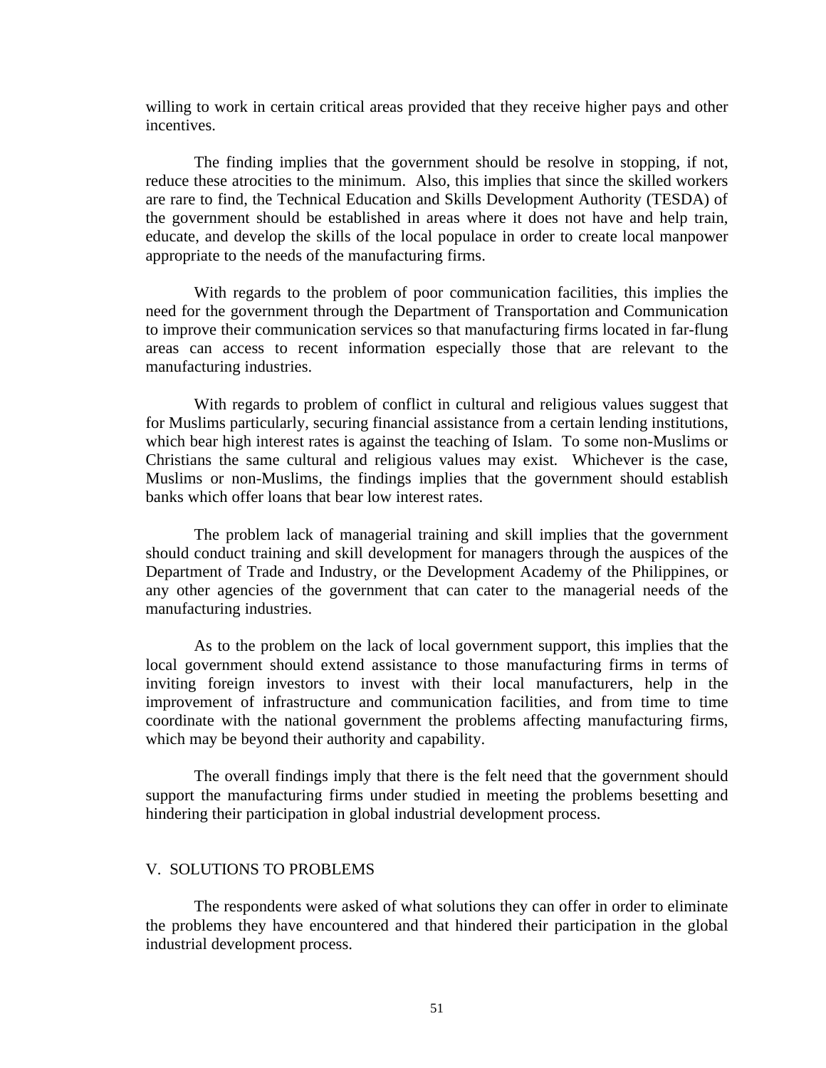willing to work in certain critical areas provided that they receive higher pays and other incentives.

The finding implies that the government should be resolve in stopping, if not, reduce these atrocities to the minimum. Also, this implies that since the skilled workers are rare to find, the Technical Education and Skills Development Authority (TESDA) of the government should be established in areas where it does not have and help train, educate, and develop the skills of the local populace in order to create local manpower appropriate to the needs of the manufacturing firms.

With regards to the problem of poor communication facilities, this implies the need for the government through the Department of Transportation and Communication to improve their communication services so that manufacturing firms located in far-flung areas can access to recent information especially those that are relevant to the manufacturing industries.

With regards to problem of conflict in cultural and religious values suggest that for Muslims particularly, securing financial assistance from a certain lending institutions, which bear high interest rates is against the teaching of Islam. To some non-Muslims or Christians the same cultural and religious values may exist. Whichever is the case, Muslims or non-Muslims, the findings implies that the government should establish banks which offer loans that bear low interest rates.

The problem lack of managerial training and skill implies that the government should conduct training and skill development for managers through the auspices of the Department of Trade and Industry, or the Development Academy of the Philippines, or any other agencies of the government that can cater to the managerial needs of the manufacturing industries.

As to the problem on the lack of local government support, this implies that the local government should extend assistance to those manufacturing firms in terms of inviting foreign investors to invest with their local manufacturers, help in the improvement of infrastructure and communication facilities, and from time to time coordinate with the national government the problems affecting manufacturing firms, which may be beyond their authority and capability.

The overall findings imply that there is the felt need that the government should support the manufacturing firms under studied in meeting the problems besetting and hindering their participation in global industrial development process.

### V. SOLUTIONS TO PROBLEMS

The respondents were asked of what solutions they can offer in order to eliminate the problems they have encountered and that hindered their participation in the global industrial development process.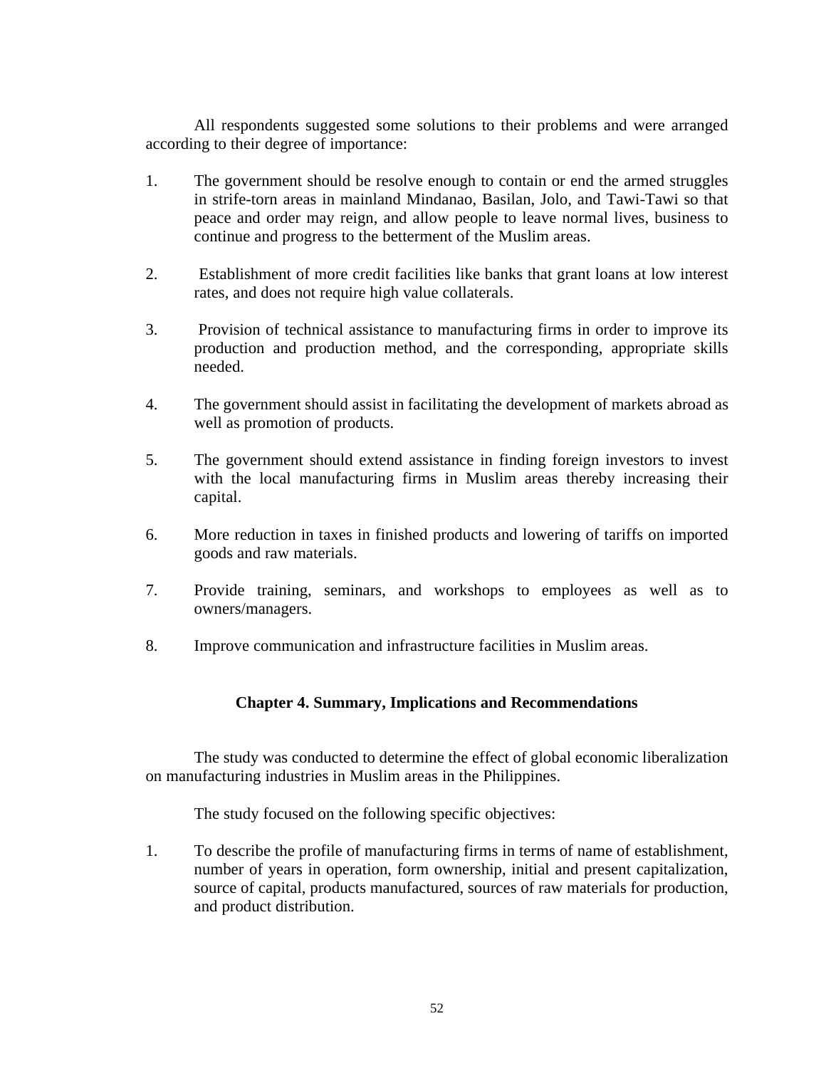All respondents suggested some solutions to their problems and were arranged according to their degree of importance:

- 1. The government should be resolve enough to contain or end the armed struggles in strife-torn areas in mainland Mindanao, Basilan, Jolo, and Tawi-Tawi so that peace and order may reign, and allow people to leave normal lives, business to continue and progress to the betterment of the Muslim areas.
- 2. Establishment of more credit facilities like banks that grant loans at low interest rates, and does not require high value collaterals.
- 3. Provision of technical assistance to manufacturing firms in order to improve its production and production method, and the corresponding, appropriate skills needed.
- 4. The government should assist in facilitating the development of markets abroad as well as promotion of products.
- 5. The government should extend assistance in finding foreign investors to invest with the local manufacturing firms in Muslim areas thereby increasing their capital.
- 6. More reduction in taxes in finished products and lowering of tariffs on imported goods and raw materials.
- 7. Provide training, seminars, and workshops to employees as well as to owners/managers.
- 8. Improve communication and infrastructure facilities in Muslim areas.

# **Chapter 4. Summary, Implications and Recommendations**

The study was conducted to determine the effect of global economic liberalization on manufacturing industries in Muslim areas in the Philippines.

The study focused on the following specific objectives:

1. To describe the profile of manufacturing firms in terms of name of establishment, number of years in operation, form ownership, initial and present capitalization, source of capital, products manufactured, sources of raw materials for production, and product distribution.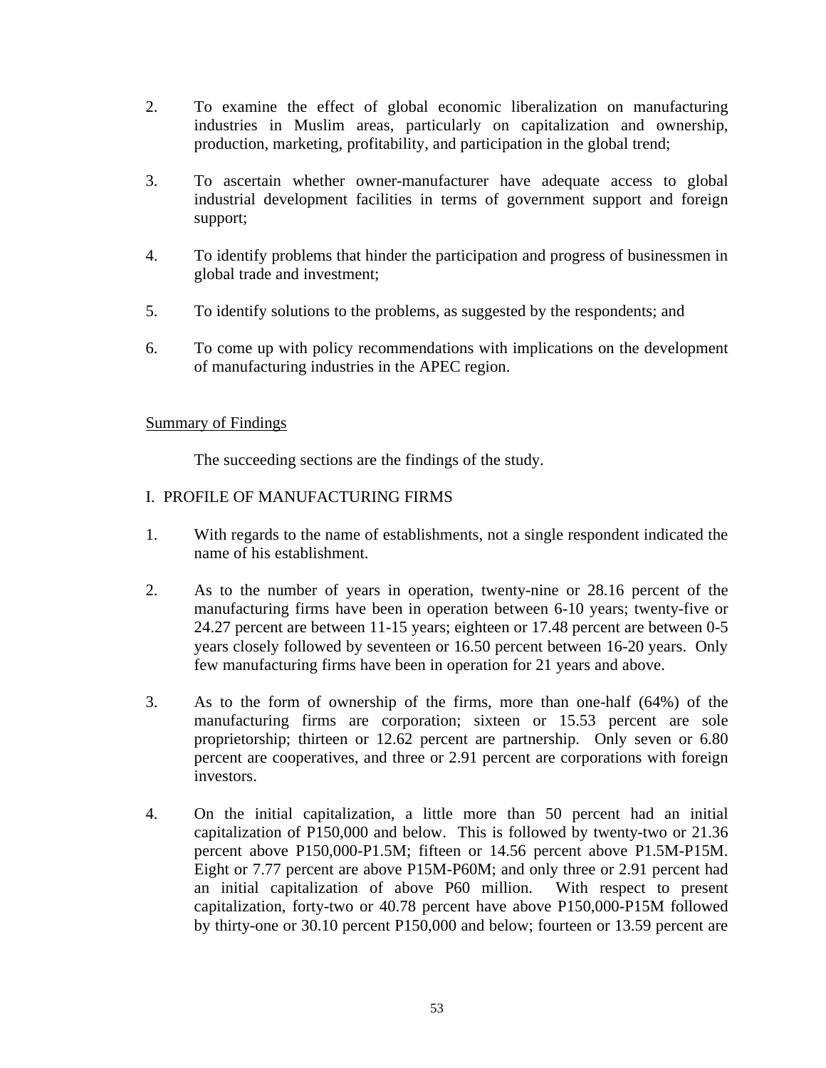- 2. To examine the effect of global economic liberalization on manufacturing industries in Muslim areas, particularly on capitalization and ownership, production, marketing, profitability, and participation in the global trend;
- 3. To ascertain whether owner-manufacturer have adequate access to global industrial development facilities in terms of government support and foreign support;
- 4. To identify problems that hinder the participation and progress of businessmen in global trade and investment;
- 5. To identify solutions to the problems, as suggested by the respondents; and
- 6. To come up with policy recommendations with implications on the development of manufacturing industries in the APEC region.

# Summary of Findings

The succeeding sections are the findings of the study.

# I. PROFILE OF MANUFACTURING FIRMS

- 1. With regards to the name of establishments, not a single respondent indicated the name of his establishment.
- 2. As to the number of years in operation, twenty-nine or 28.16 percent of the manufacturing firms have been in operation between 6-10 years; twenty-five or 24.27 percent are between 11-15 years; eighteen or 17.48 percent are between 0-5 years closely followed by seventeen or 16.50 percent between 16-20 years. Only few manufacturing firms have been in operation for 21 years and above.
- 3. As to the form of ownership of the firms, more than one-half (64%) of the manufacturing firms are corporation; sixteen or 15.53 percent are sole proprietorship; thirteen or 12.62 percent are partnership. Only seven or 6.80 percent are cooperatives, and three or 2.91 percent are corporations with foreign investors.
- 4. On the initial capitalization, a little more than 50 percent had an initial capitalization of P150,000 and below. This is followed by twenty-two or 21.36 percent above P150,000-P1.5M; fifteen or 14.56 percent above P1.5M-P15M. Eight or 7.77 percent are above P15M-P60M; and only three or 2.91 percent had an initial capitalization of above P60 million. With respect to present capitalization, forty-two or 40.78 percent have above P150,000-P15M followed by thirty-one or 30.10 percent P150,000 and below; fourteen or 13.59 percent are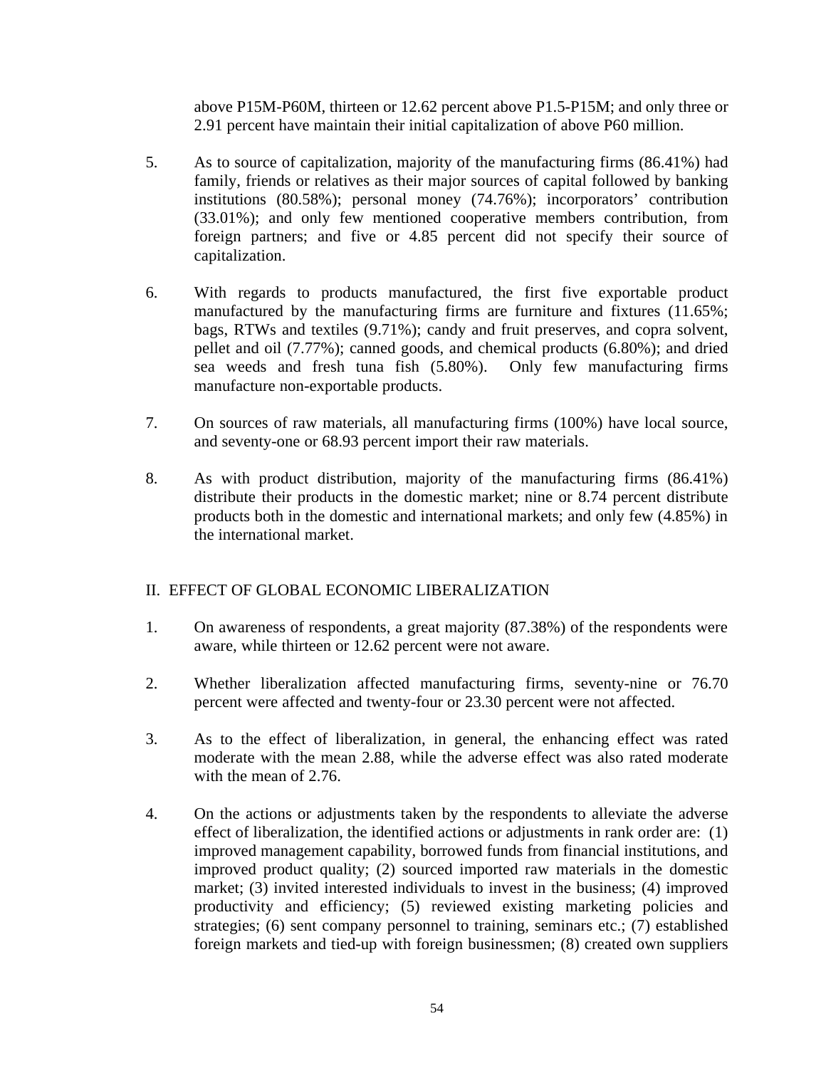above P15M-P60M, thirteen or 12.62 percent above P1.5-P15M; and only three or 2.91 percent have maintain their initial capitalization of above P60 million.

- 5. As to source of capitalization, majority of the manufacturing firms (86.41%) had family, friends or relatives as their major sources of capital followed by banking institutions (80.58%); personal money (74.76%); incorporators' contribution (33.01%); and only few mentioned cooperative members contribution, from foreign partners; and five or 4.85 percent did not specify their source of capitalization.
- 6. With regards to products manufactured, the first five exportable product manufactured by the manufacturing firms are furniture and fixtures (11.65%; bags, RTWs and textiles (9.71%); candy and fruit preserves, and copra solvent, pellet and oil (7.77%); canned goods, and chemical products (6.80%); and dried sea weeds and fresh tuna fish (5.80%). Only few manufacturing firms manufacture non-exportable products.
- 7. On sources of raw materials, all manufacturing firms (100%) have local source, and seventy-one or 68.93 percent import their raw materials.
- 8. As with product distribution, majority of the manufacturing firms (86.41%) distribute their products in the domestic market; nine or 8.74 percent distribute products both in the domestic and international markets; and only few (4.85%) in the international market.

# II. EFFECT OF GLOBAL ECONOMIC LIBERALIZATION

- 1. On awareness of respondents, a great majority (87.38%) of the respondents were aware, while thirteen or 12.62 percent were not aware.
- 2. Whether liberalization affected manufacturing firms, seventy-nine or 76.70 percent were affected and twenty-four or 23.30 percent were not affected.
- 3. As to the effect of liberalization, in general, the enhancing effect was rated moderate with the mean 2.88, while the adverse effect was also rated moderate with the mean of 2.76.
- 4. On the actions or adjustments taken by the respondents to alleviate the adverse effect of liberalization, the identified actions or adjustments in rank order are: (1) improved management capability, borrowed funds from financial institutions, and improved product quality; (2) sourced imported raw materials in the domestic market; (3) invited interested individuals to invest in the business; (4) improved productivity and efficiency; (5) reviewed existing marketing policies and strategies; (6) sent company personnel to training, seminars etc.; (7) established foreign markets and tied-up with foreign businessmen; (8) created own suppliers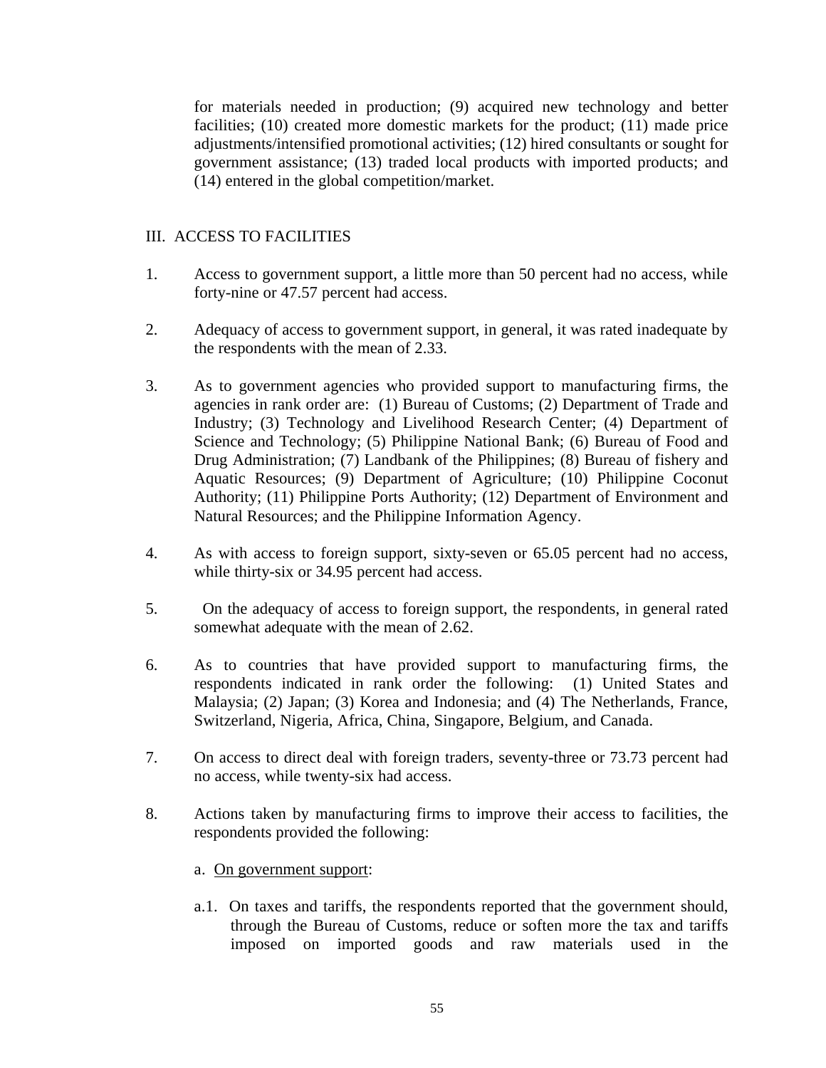for materials needed in production; (9) acquired new technology and better facilities; (10) created more domestic markets for the product; (11) made price adjustments/intensified promotional activities; (12) hired consultants or sought for government assistance; (13) traded local products with imported products; and (14) entered in the global competition/market.

# III. ACCESS TO FACILITIES

- 1. Access to government support, a little more than 50 percent had no access, while forty-nine or 47.57 percent had access.
- 2. Adequacy of access to government support, in general, it was rated inadequate by the respondents with the mean of 2.33.
- 3. As to government agencies who provided support to manufacturing firms, the agencies in rank order are: (1) Bureau of Customs; (2) Department of Trade and Industry; (3) Technology and Livelihood Research Center; (4) Department of Science and Technology; (5) Philippine National Bank; (6) Bureau of Food and Drug Administration; (7) Landbank of the Philippines; (8) Bureau of fishery and Aquatic Resources; (9) Department of Agriculture; (10) Philippine Coconut Authority; (11) Philippine Ports Authority; (12) Department of Environment and Natural Resources; and the Philippine Information Agency.
- 4. As with access to foreign support, sixty-seven or 65.05 percent had no access, while thirty-six or 34.95 percent had access.
- 5. On the adequacy of access to foreign support, the respondents, in general rated somewhat adequate with the mean of 2.62.
- 6. As to countries that have provided support to manufacturing firms, the respondents indicated in rank order the following: (1) United States and Malaysia; (2) Japan; (3) Korea and Indonesia; and (4) The Netherlands, France, Switzerland, Nigeria, Africa, China, Singapore, Belgium, and Canada.
- 7. On access to direct deal with foreign traders, seventy-three or 73.73 percent had no access, while twenty-six had access.
- 8. Actions taken by manufacturing firms to improve their access to facilities, the respondents provided the following:

# a. On government support:

a.1. On taxes and tariffs, the respondents reported that the government should, through the Bureau of Customs, reduce or soften more the tax and tariffs imposed on imported goods and raw materials used in the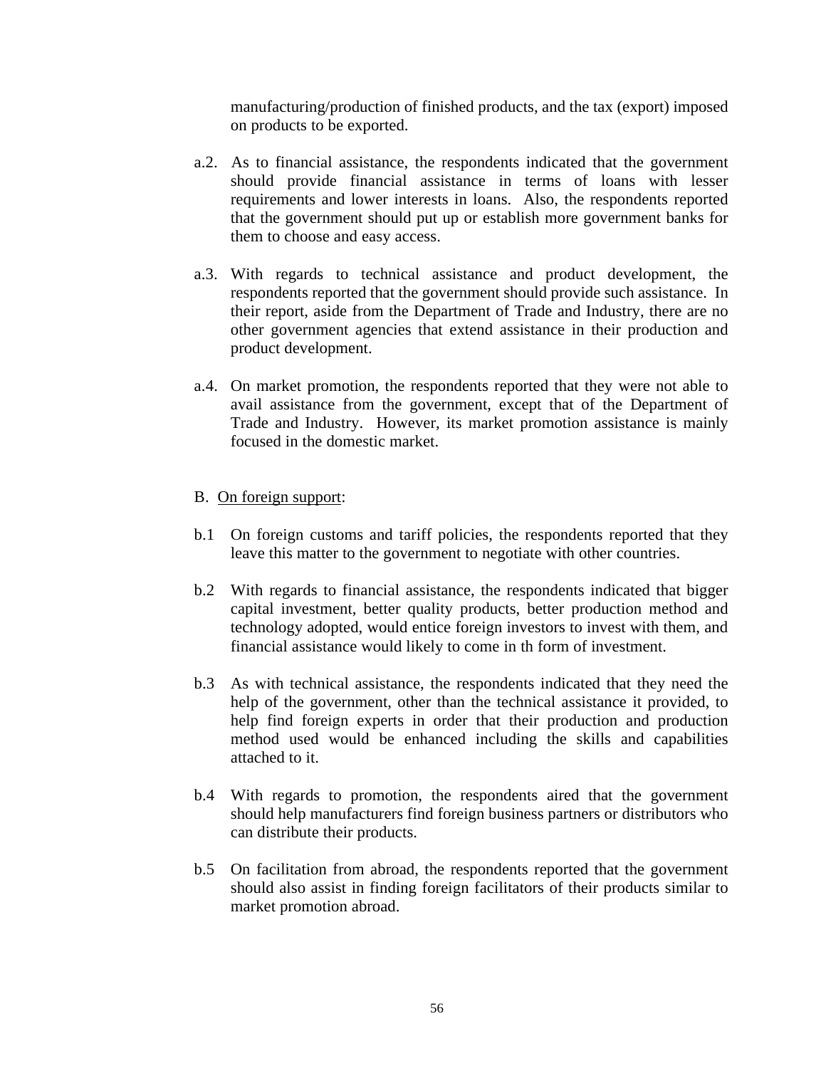manufacturing/production of finished products, and the tax (export) imposed on products to be exported.

- a.2. As to financial assistance, the respondents indicated that the government should provide financial assistance in terms of loans with lesser requirements and lower interests in loans. Also, the respondents reported that the government should put up or establish more government banks for them to choose and easy access.
- a.3. With regards to technical assistance and product development, the respondents reported that the government should provide such assistance. In their report, aside from the Department of Trade and Industry, there are no other government agencies that extend assistance in their production and product development.
- a.4. On market promotion, the respondents reported that they were not able to avail assistance from the government, except that of the Department of Trade and Industry. However, its market promotion assistance is mainly focused in the domestic market.

# B. On foreign support:

- b.1 On foreign customs and tariff policies, the respondents reported that they leave this matter to the government to negotiate with other countries.
- b.2 With regards to financial assistance, the respondents indicated that bigger capital investment, better quality products, better production method and technology adopted, would entice foreign investors to invest with them, and financial assistance would likely to come in th form of investment.
- b.3 As with technical assistance, the respondents indicated that they need the help of the government, other than the technical assistance it provided, to help find foreign experts in order that their production and production method used would be enhanced including the skills and capabilities attached to it.
- b.4 With regards to promotion, the respondents aired that the government should help manufacturers find foreign business partners or distributors who can distribute their products.
- b.5 On facilitation from abroad, the respondents reported that the government should also assist in finding foreign facilitators of their products similar to market promotion abroad.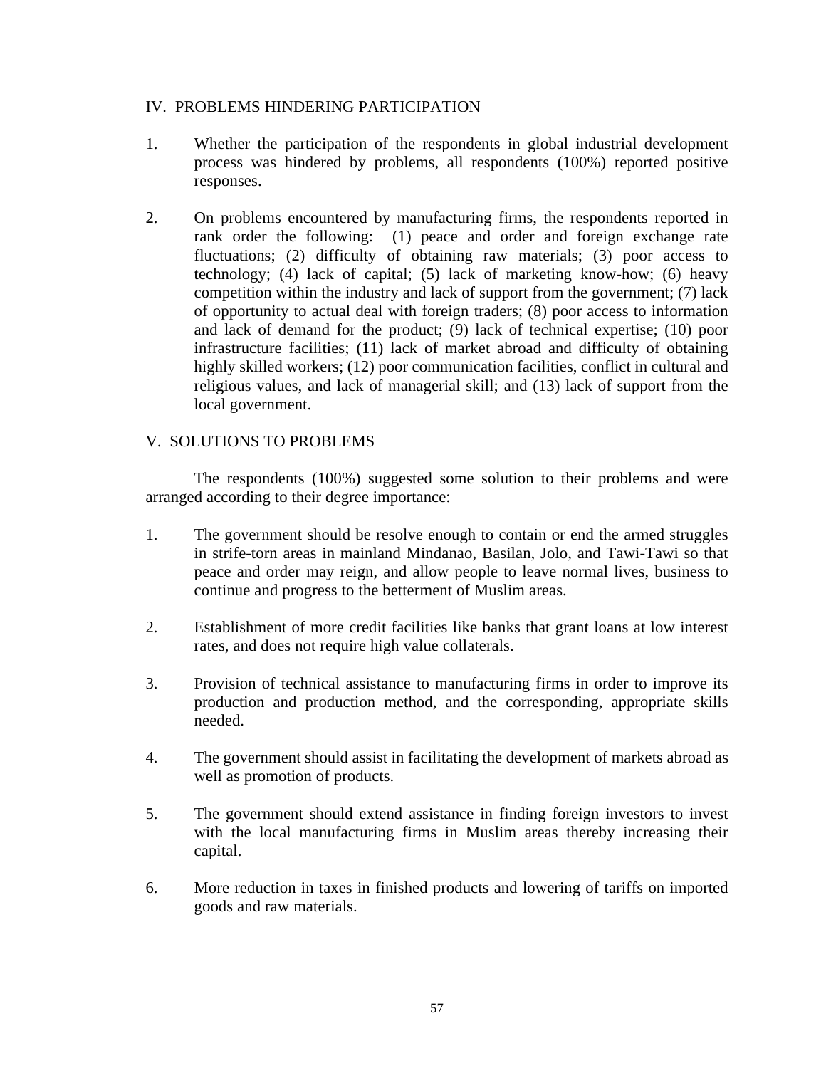# IV. PROBLEMS HINDERING PARTICIPATION

- 1. Whether the participation of the respondents in global industrial development process was hindered by problems, all respondents (100%) reported positive responses.
- 2. On problems encountered by manufacturing firms, the respondents reported in rank order the following: (1) peace and order and foreign exchange rate fluctuations; (2) difficulty of obtaining raw materials; (3) poor access to technology; (4) lack of capital; (5) lack of marketing know-how; (6) heavy competition within the industry and lack of support from the government; (7) lack of opportunity to actual deal with foreign traders; (8) poor access to information and lack of demand for the product; (9) lack of technical expertise; (10) poor infrastructure facilities; (11) lack of market abroad and difficulty of obtaining highly skilled workers; (12) poor communication facilities, conflict in cultural and religious values, and lack of managerial skill; and (13) lack of support from the local government.

# V. SOLUTIONS TO PROBLEMS

 The respondents (100%) suggested some solution to their problems and were arranged according to their degree importance:

- 1. The government should be resolve enough to contain or end the armed struggles in strife-torn areas in mainland Mindanao, Basilan, Jolo, and Tawi-Tawi so that peace and order may reign, and allow people to leave normal lives, business to continue and progress to the betterment of Muslim areas.
- 2. Establishment of more credit facilities like banks that grant loans at low interest rates, and does not require high value collaterals.
- 3. Provision of technical assistance to manufacturing firms in order to improve its production and production method, and the corresponding, appropriate skills needed.
- 4. The government should assist in facilitating the development of markets abroad as well as promotion of products.
- 5. The government should extend assistance in finding foreign investors to invest with the local manufacturing firms in Muslim areas thereby increasing their capital.
- 6. More reduction in taxes in finished products and lowering of tariffs on imported goods and raw materials.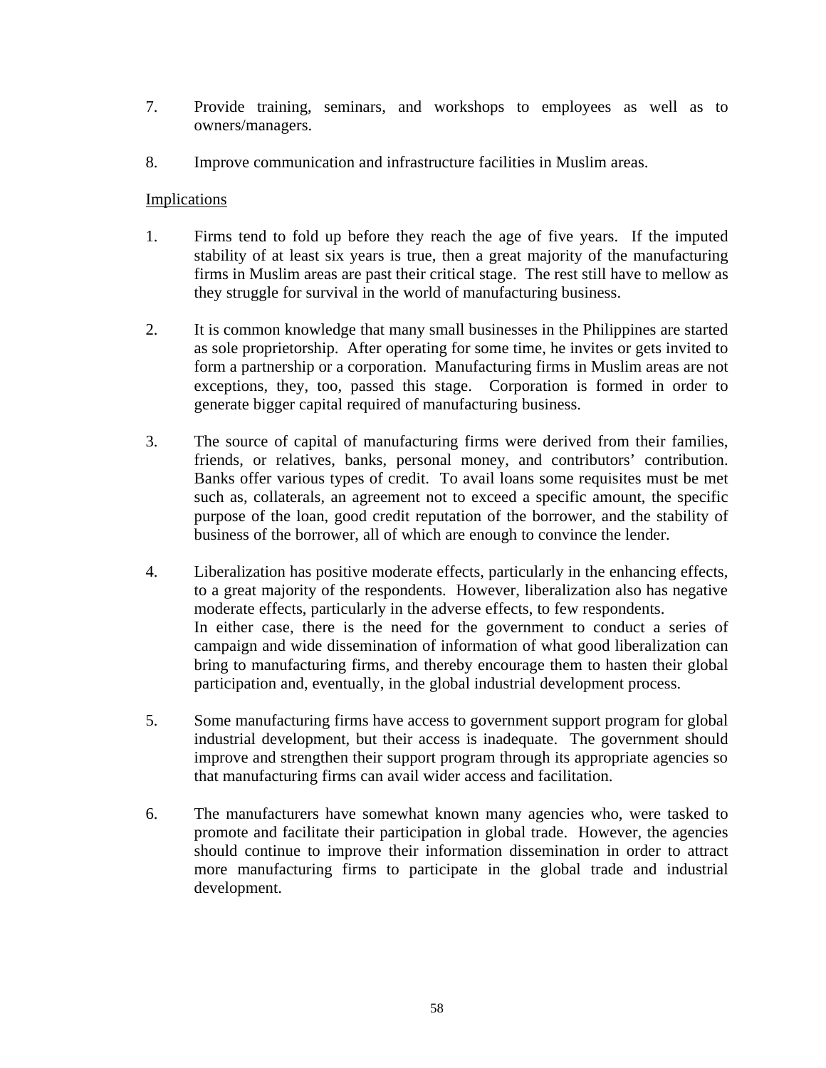- 7. Provide training, seminars, and workshops to employees as well as to owners/managers.
- 8. Improve communication and infrastructure facilities in Muslim areas.

## **Implications**

- 1. Firms tend to fold up before they reach the age of five years. If the imputed stability of at least six years is true, then a great majority of the manufacturing firms in Muslim areas are past their critical stage. The rest still have to mellow as they struggle for survival in the world of manufacturing business.
- 2. It is common knowledge that many small businesses in the Philippines are started as sole proprietorship. After operating for some time, he invites or gets invited to form a partnership or a corporation. Manufacturing firms in Muslim areas are not exceptions, they, too, passed this stage. Corporation is formed in order to generate bigger capital required of manufacturing business.
- 3. The source of capital of manufacturing firms were derived from their families, friends, or relatives, banks, personal money, and contributors' contribution. Banks offer various types of credit. To avail loans some requisites must be met such as, collaterals, an agreement not to exceed a specific amount, the specific purpose of the loan, good credit reputation of the borrower, and the stability of business of the borrower, all of which are enough to convince the lender.
- 4. Liberalization has positive moderate effects, particularly in the enhancing effects, to a great majority of the respondents. However, liberalization also has negative moderate effects, particularly in the adverse effects, to few respondents. In either case, there is the need for the government to conduct a series of campaign and wide dissemination of information of what good liberalization can bring to manufacturing firms, and thereby encourage them to hasten their global participation and, eventually, in the global industrial development process.
- 5. Some manufacturing firms have access to government support program for global industrial development, but their access is inadequate. The government should improve and strengthen their support program through its appropriate agencies so that manufacturing firms can avail wider access and facilitation.
- 6. The manufacturers have somewhat known many agencies who, were tasked to promote and facilitate their participation in global trade. However, the agencies should continue to improve their information dissemination in order to attract more manufacturing firms to participate in the global trade and industrial development.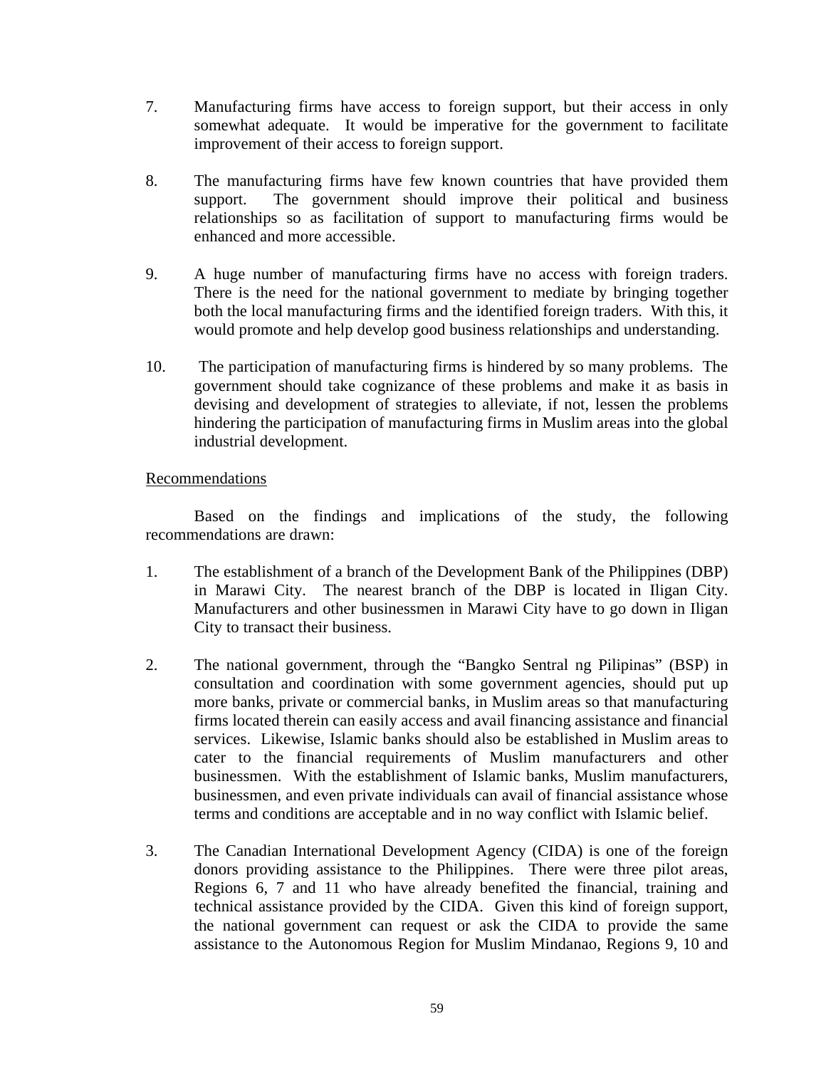- 7. Manufacturing firms have access to foreign support, but their access in only somewhat adequate. It would be imperative for the government to facilitate improvement of their access to foreign support.
- 8. The manufacturing firms have few known countries that have provided them support. The government should improve their political and business relationships so as facilitation of support to manufacturing firms would be enhanced and more accessible.
- 9. A huge number of manufacturing firms have no access with foreign traders. There is the need for the national government to mediate by bringing together both the local manufacturing firms and the identified foreign traders. With this, it would promote and help develop good business relationships and understanding.
- 10. The participation of manufacturing firms is hindered by so many problems. The government should take cognizance of these problems and make it as basis in devising and development of strategies to alleviate, if not, lessen the problems hindering the participation of manufacturing firms in Muslim areas into the global industrial development.

## Recommendations

 Based on the findings and implications of the study, the following recommendations are drawn:

- 1. The establishment of a branch of the Development Bank of the Philippines (DBP) in Marawi City. The nearest branch of the DBP is located in Iligan City. Manufacturers and other businessmen in Marawi City have to go down in Iligan City to transact their business.
- 2. The national government, through the "Bangko Sentral ng Pilipinas" (BSP) in consultation and coordination with some government agencies, should put up more banks, private or commercial banks, in Muslim areas so that manufacturing firms located therein can easily access and avail financing assistance and financial services. Likewise, Islamic banks should also be established in Muslim areas to cater to the financial requirements of Muslim manufacturers and other businessmen. With the establishment of Islamic banks, Muslim manufacturers, businessmen, and even private individuals can avail of financial assistance whose terms and conditions are acceptable and in no way conflict with Islamic belief.
- 3. The Canadian International Development Agency (CIDA) is one of the foreign donors providing assistance to the Philippines. There were three pilot areas, Regions 6, 7 and 11 who have already benefited the financial, training and technical assistance provided by the CIDA. Given this kind of foreign support, the national government can request or ask the CIDA to provide the same assistance to the Autonomous Region for Muslim Mindanao, Regions 9, 10 and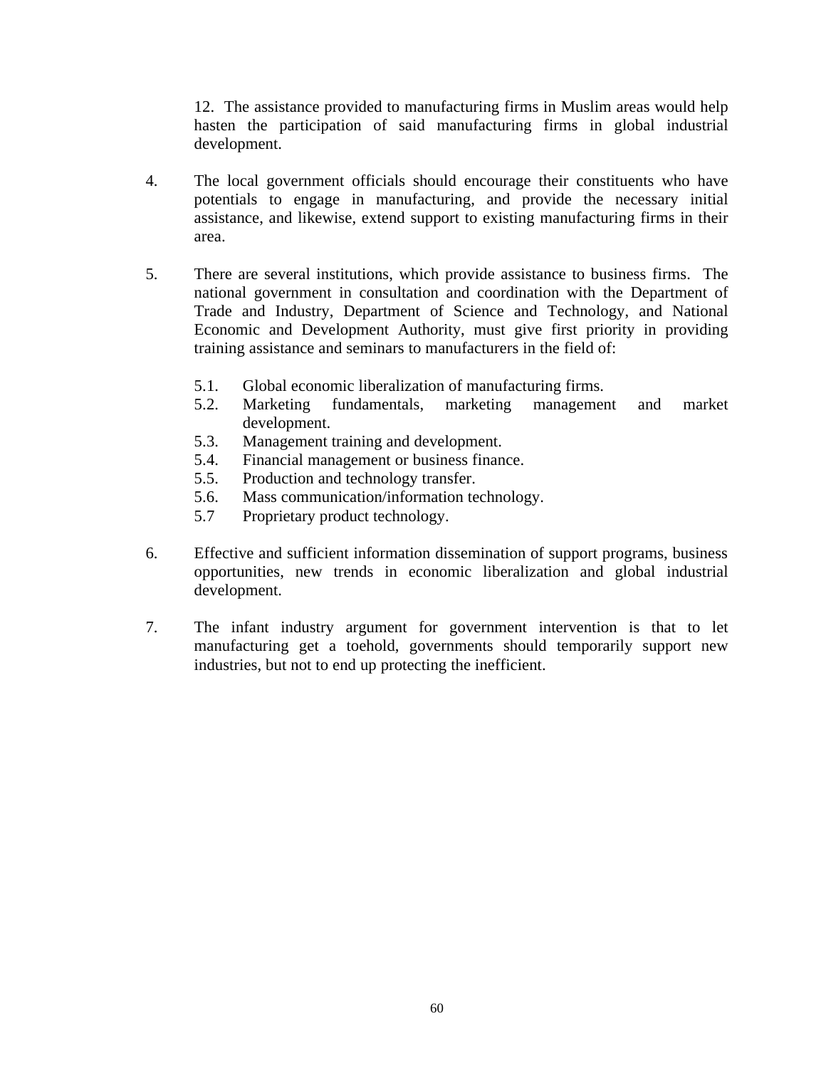12. The assistance provided to manufacturing firms in Muslim areas would help hasten the participation of said manufacturing firms in global industrial development.

- 4. The local government officials should encourage their constituents who have potentials to engage in manufacturing, and provide the necessary initial assistance, and likewise, extend support to existing manufacturing firms in their area.
- 5. There are several institutions, which provide assistance to business firms. The national government in consultation and coordination with the Department of Trade and Industry, Department of Science and Technology, and National Economic and Development Authority, must give first priority in providing training assistance and seminars to manufacturers in the field of:
	- 5.1. Global economic liberalization of manufacturing firms.
	- 5.2. Marketing fundamentals, marketing management and market development.
	- 5.3. Management training and development.
	- 5.4. Financial management or business finance.
	- 5.5. Production and technology transfer.
	- 5.6. Mass communication/information technology.
	- 5.7 Proprietary product technology.
- 6. Effective and sufficient information dissemination of support programs, business opportunities, new trends in economic liberalization and global industrial development.
- 7. The infant industry argument for government intervention is that to let manufacturing get a toehold, governments should temporarily support new industries, but not to end up protecting the inefficient.